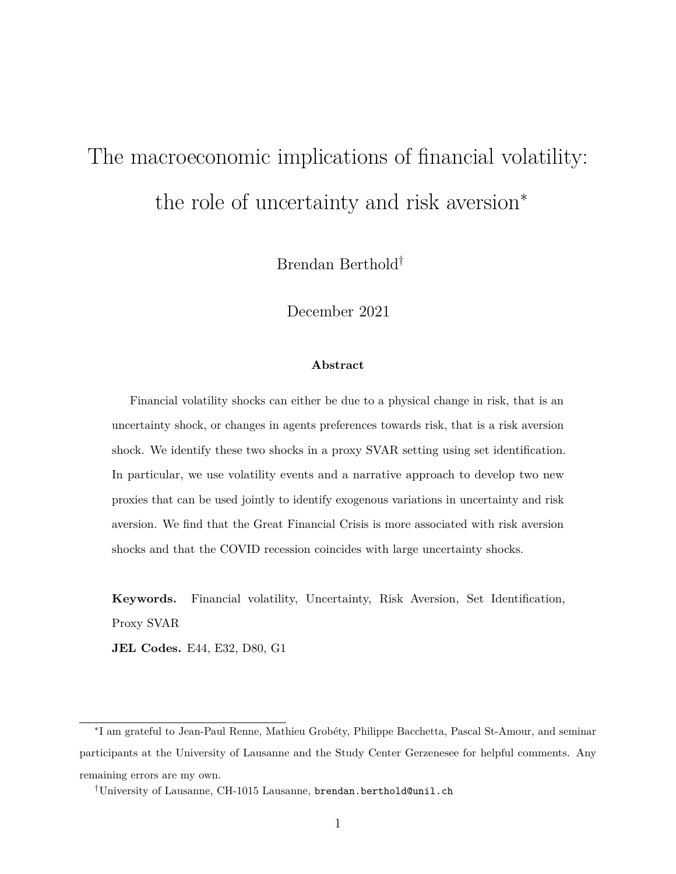# <span id="page-0-0"></span>The macroeconomic implications of financial volatility: the role of uncertainty and risk aversion<sup>∗</sup>

Brendan Berthold†

December 2021

#### **Abstract**

Financial volatility shocks can either be due to a physical change in risk, that is an uncertainty shock, or changes in agents preferences towards risk, that is a risk aversion shock. We identify these two shocks in a proxy SVAR setting using set identification. In particular, we use volatility events and a narrative approach to develop two new proxies that can be used jointly to identify exogenous variations in uncertainty and risk aversion. We find that the Great Financial Crisis is more associated with risk aversion shocks and that the COVID recession coincides with large uncertainty shocks.

**Keywords.** Financial volatility, Uncertainty, Risk Aversion, Set Identification, Proxy SVAR

**JEL Codes.** E44, E32, D80, G1

<sup>∗</sup> I am grateful to Jean-Paul Renne, Mathieu Grobéty, Philippe Bacchetta, Pascal St-Amour, and seminar participants at the University of Lausanne and the Study Center Gerzenesee for helpful comments. Any remaining errors are my own.

<sup>†</sup>University of Lausanne, CH-1015 Lausanne, brendan.berthold@unil.ch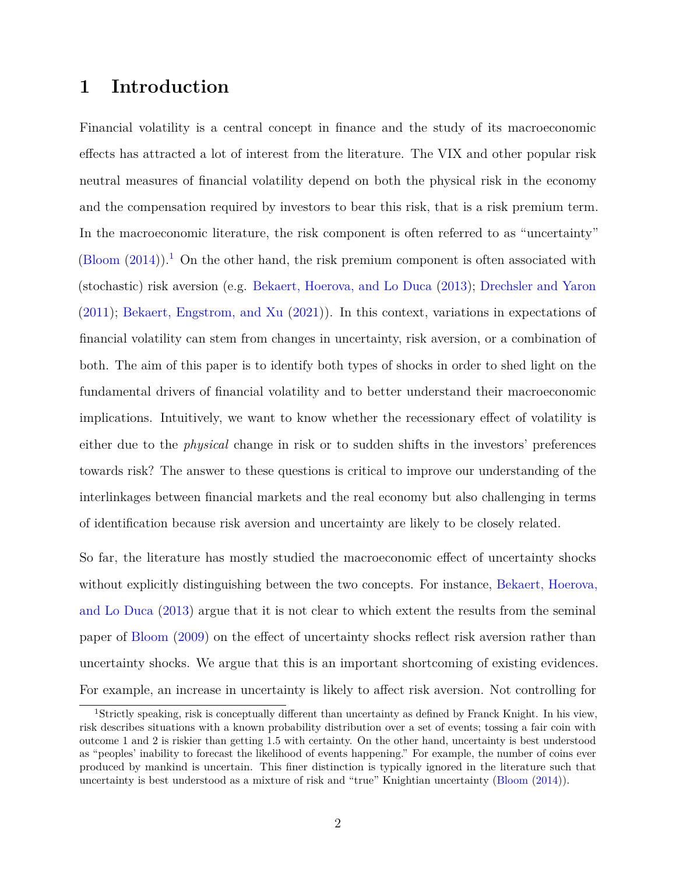# **1 Introduction**

Financial volatility is a central concept in finance and the study of its macroeconomic effects has attracted a lot of interest from the literature. The VIX and other popular risk neutral measures of financial volatility depend on both the physical risk in the economy and the compensation required by investors to bear this risk, that is a risk premium term. In the macroeconomic literature, the risk component is often referred to as "uncertainty"  $(Bloom (2014)).$  $(Bloom (2014)).$  $(Bloom (2014)).$  $(Bloom (2014)).$ <sup>[1](#page-0-0)</sup> On the other hand, the risk premium component is often associated with (stochastic) risk aversion (e.g. [Bekaert, Hoerova, and Lo Duca](#page-42-0) [\(2013\)](#page-42-0); [Drechsler and Yaron](#page-44-0) [\(2011\)](#page-44-0); [Bekaert, Engstrom, and Xu](#page-42-1) [\(2021\)](#page-42-1)). In this context, variations in expectations of financial volatility can stem from changes in uncertainty, risk aversion, or a combination of both. The aim of this paper is to identify both types of shocks in order to shed light on the fundamental drivers of financial volatility and to better understand their macroeconomic implications. Intuitively, we want to know whether the recessionary effect of volatility is either due to the *physical* change in risk or to sudden shifts in the investors' preferences towards risk? The answer to these questions is critical to improve our understanding of the interlinkages between financial markets and the real economy but also challenging in terms of identification because risk aversion and uncertainty are likely to be closely related.

So far, the literature has mostly studied the macroeconomic effect of uncertainty shocks without explicitly distinguishing between the two concepts. For instance, [Bekaert, Hoerova,](#page-42-0) [and Lo Duca](#page-42-0) [\(2013\)](#page-42-0) argue that it is not clear to which extent the results from the seminal paper of [Bloom](#page-43-1) [\(2009\)](#page-43-1) on the effect of uncertainty shocks reflect risk aversion rather than uncertainty shocks. We argue that this is an important shortcoming of existing evidences. For example, an increase in uncertainty is likely to affect risk aversion. Not controlling for

<sup>1</sup>Strictly speaking, risk is conceptually different than uncertainty as defined by Franck Knight. In his view, risk describes situations with a known probability distribution over a set of events; tossing a fair coin with outcome 1 and 2 is riskier than getting 1.5 with certainty. On the other hand, uncertainty is best understood as "peoples' inability to forecast the likelihood of events happening." For example, the number of coins ever produced by mankind is uncertain. This finer distinction is typically ignored in the literature such that uncertainty is best understood as a mixture of risk and "true" Knightian uncertainty [\(Bloom](#page-43-0) [\(2014\)](#page-43-0)).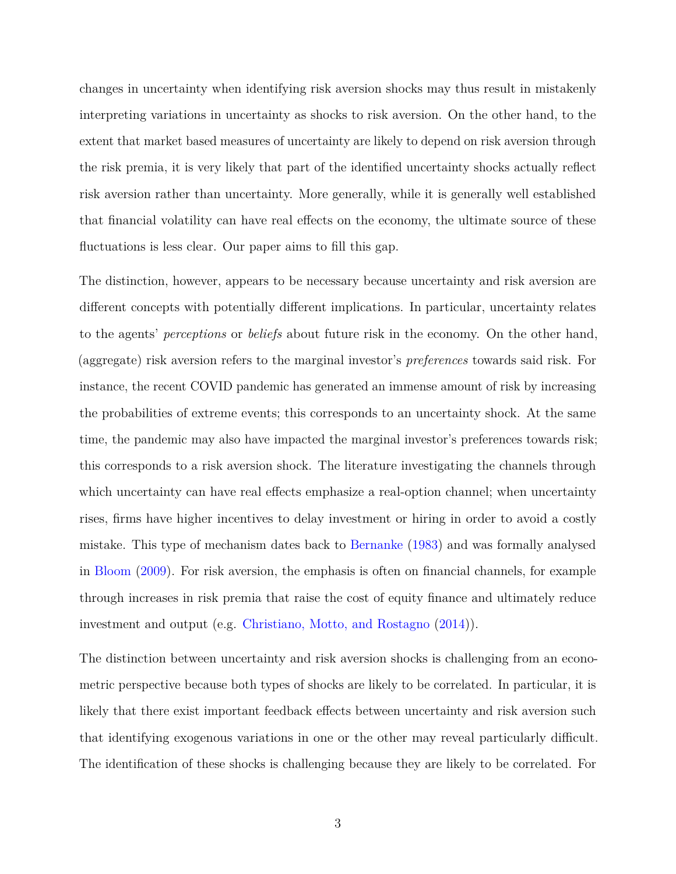changes in uncertainty when identifying risk aversion shocks may thus result in mistakenly interpreting variations in uncertainty as shocks to risk aversion. On the other hand, to the extent that market based measures of uncertainty are likely to depend on risk aversion through the risk premia, it is very likely that part of the identified uncertainty shocks actually reflect risk aversion rather than uncertainty. More generally, while it is generally well established that financial volatility can have real effects on the economy, the ultimate source of these fluctuations is less clear. Our paper aims to fill this gap.

The distinction, however, appears to be necessary because uncertainty and risk aversion are different concepts with potentially different implications. In particular, uncertainty relates to the agents' *perceptions* or *beliefs* about future risk in the economy. On the other hand, (aggregate) risk aversion refers to the marginal investor's *preferences* towards said risk. For instance, the recent COVID pandemic has generated an immense amount of risk by increasing the probabilities of extreme events; this corresponds to an uncertainty shock. At the same time, the pandemic may also have impacted the marginal investor's preferences towards risk; this corresponds to a risk aversion shock. The literature investigating the channels through which uncertainty can have real effects emphasize a real-option channel; when uncertainty rises, firms have higher incentives to delay investment or hiring in order to avoid a costly mistake. This type of mechanism dates back to [Bernanke](#page-43-2) [\(1983\)](#page-43-2) and was formally analysed in [Bloom](#page-43-1) [\(2009\)](#page-43-1). For risk aversion, the emphasis is often on financial channels, for example through increases in risk premia that raise the cost of equity finance and ultimately reduce investment and output (e.g. [Christiano, Motto, and Rostagno](#page-44-1) [\(2014\)](#page-44-1)).

The distinction between uncertainty and risk aversion shocks is challenging from an econometric perspective because both types of shocks are likely to be correlated. In particular, it is likely that there exist important feedback effects between uncertainty and risk aversion such that identifying exogenous variations in one or the other may reveal particularly difficult. The identification of these shocks is challenging because they are likely to be correlated. For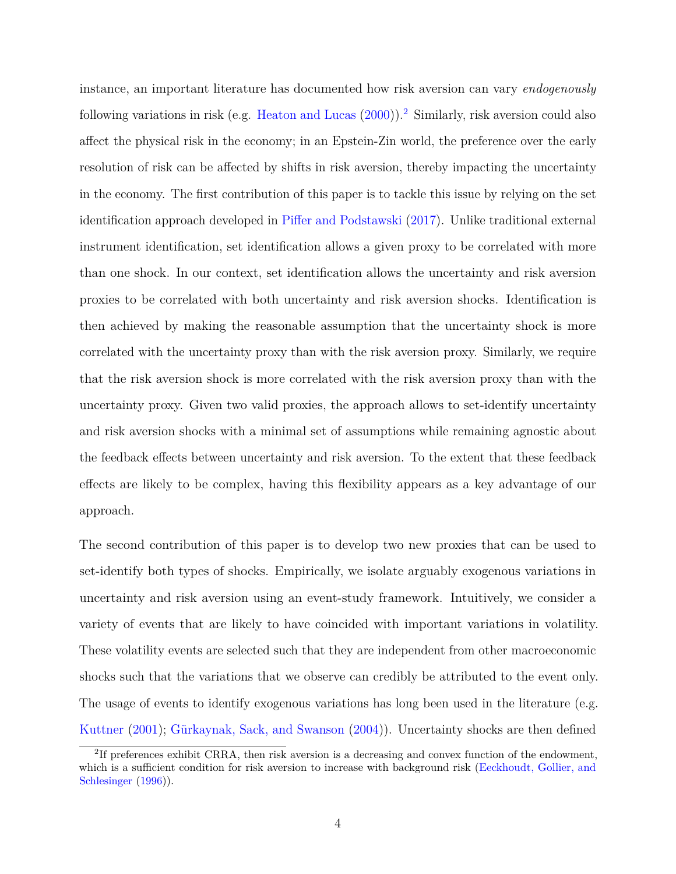instance, an important literature has documented how risk aversion can vary *endogenously* following variations in risk (e.g. [Heaton and Lucas](#page-45-0)  $(2000)$ ).<sup>[2](#page-0-0)</sup> Similarly, risk aversion could also affect the physical risk in the economy; in an Epstein-Zin world, the preference over the early resolution of risk can be affected by shifts in risk aversion, thereby impacting the uncertainty in the economy. The first contribution of this paper is to tackle this issue by relying on the set identification approach developed in [Piffer and Podstawski](#page-46-0) [\(2017\)](#page-46-0). Unlike traditional external instrument identification, set identification allows a given proxy to be correlated with more than one shock. In our context, set identification allows the uncertainty and risk aversion proxies to be correlated with both uncertainty and risk aversion shocks. Identification is then achieved by making the reasonable assumption that the uncertainty shock is more correlated with the uncertainty proxy than with the risk aversion proxy. Similarly, we require that the risk aversion shock is more correlated with the risk aversion proxy than with the uncertainty proxy. Given two valid proxies, the approach allows to set-identify uncertainty and risk aversion shocks with a minimal set of assumptions while remaining agnostic about the feedback effects between uncertainty and risk aversion. To the extent that these feedback effects are likely to be complex, having this flexibility appears as a key advantage of our approach.

The second contribution of this paper is to develop two new proxies that can be used to set-identify both types of shocks. Empirically, we isolate arguably exogenous variations in uncertainty and risk aversion using an event-study framework. Intuitively, we consider a variety of events that are likely to have coincided with important variations in volatility. These volatility events are selected such that they are independent from other macroeconomic shocks such that the variations that we observe can credibly be attributed to the event only. The usage of events to identify exogenous variations has long been used in the literature (e.g. [Kuttner](#page-46-1) [\(2001\)](#page-46-1); [Gürkaynak, Sack, and Swanson](#page-45-1) [\(2004\)](#page-45-1)). Uncertainty shocks are then defined

<sup>&</sup>lt;sup>2</sup>If preferences exhibit CRRA, then risk aversion is a decreasing and convex function of the endowment, which is a sufficient condition for risk aversion to increase with background risk [\(Eeckhoudt, Gollier, and](#page-44-2) [Schlesinger](#page-44-2) [\(1996\)](#page-44-2)).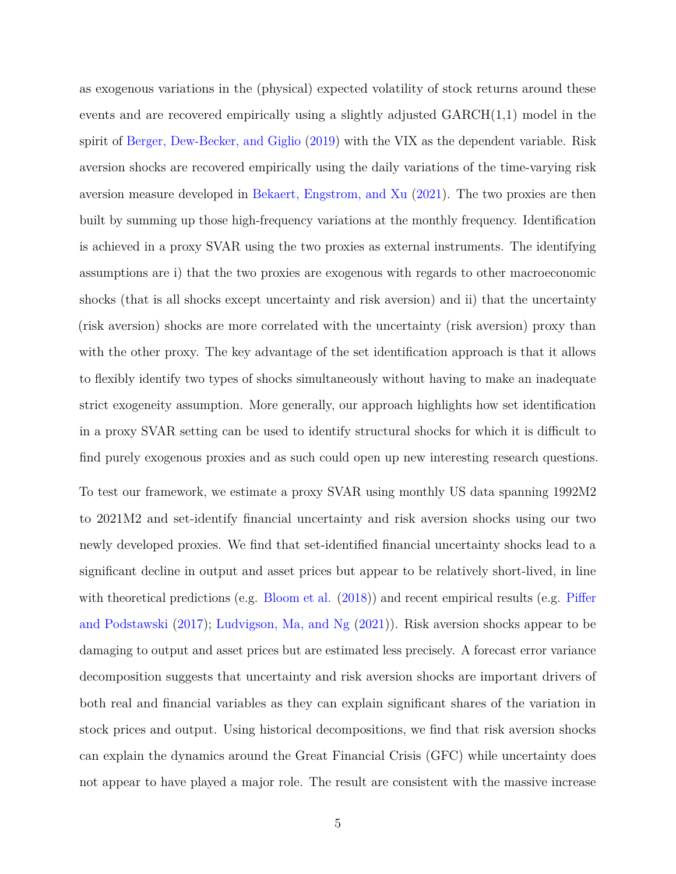as exogenous variations in the (physical) expected volatility of stock returns around these events and are recovered empirically using a slightly adjusted GARCH(1,1) model in the spirit of [Berger, Dew-Becker, and Giglio](#page-43-3) [\(2019\)](#page-43-3) with the VIX as the dependent variable. Risk aversion shocks are recovered empirically using the daily variations of the time-varying risk aversion measure developed in [Bekaert, Engstrom, and Xu](#page-42-1) [\(2021\)](#page-42-1). The two proxies are then built by summing up those high-frequency variations at the monthly frequency. Identification is achieved in a proxy SVAR using the two proxies as external instruments. The identifying assumptions are i) that the two proxies are exogenous with regards to other macroeconomic shocks (that is all shocks except uncertainty and risk aversion) and ii) that the uncertainty (risk aversion) shocks are more correlated with the uncertainty (risk aversion) proxy than with the other proxy. The key advantage of the set identification approach is that it allows to flexibly identify two types of shocks simultaneously without having to make an inadequate strict exogeneity assumption. More generally, our approach highlights how set identification in a proxy SVAR setting can be used to identify structural shocks for which it is difficult to find purely exogenous proxies and as such could open up new interesting research questions.

To test our framework, we estimate a proxy SVAR using monthly US data spanning 1992M2 to 2021M2 and set-identify financial uncertainty and risk aversion shocks using our two newly developed proxies. We find that set-identified financial uncertainty shocks lead to a significant decline in output and asset prices but appear to be relatively short-lived, in line with theoretical predictions (e.g. [Bloom et al.](#page-43-4) [\(2018\)](#page-43-4)) and recent empirical results (e.g. [Piffer](#page-46-0) [and Podstawski](#page-46-0) [\(2017\)](#page-46-0); [Ludvigson, Ma, and Ng](#page-46-2) [\(2021\)](#page-46-2)). Risk aversion shocks appear to be damaging to output and asset prices but are estimated less precisely. A forecast error variance decomposition suggests that uncertainty and risk aversion shocks are important drivers of both real and financial variables as they can explain significant shares of the variation in stock prices and output. Using historical decompositions, we find that risk aversion shocks can explain the dynamics around the Great Financial Crisis (GFC) while uncertainty does not appear to have played a major role. The result are consistent with the massive increase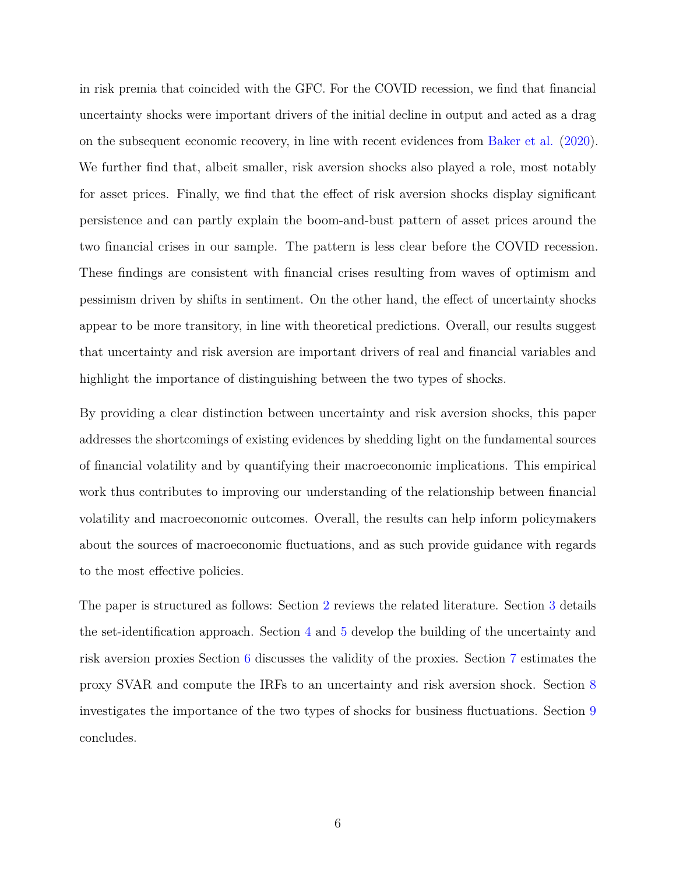in risk premia that coincided with the GFC. For the COVID recession, we find that financial uncertainty shocks were important drivers of the initial decline in output and acted as a drag on the subsequent economic recovery, in line with recent evidences from [Baker et al.](#page-42-2) [\(2020\)](#page-42-2). We further find that, albeit smaller, risk aversion shocks also played a role, most notably for asset prices. Finally, we find that the effect of risk aversion shocks display significant persistence and can partly explain the boom-and-bust pattern of asset prices around the two financial crises in our sample. The pattern is less clear before the COVID recession. These findings are consistent with financial crises resulting from waves of optimism and pessimism driven by shifts in sentiment. On the other hand, the effect of uncertainty shocks appear to be more transitory, in line with theoretical predictions. Overall, our results suggest that uncertainty and risk aversion are important drivers of real and financial variables and highlight the importance of distinguishing between the two types of shocks.

By providing a clear distinction between uncertainty and risk aversion shocks, this paper addresses the shortcomings of existing evidences by shedding light on the fundamental sources of financial volatility and by quantifying their macroeconomic implications. This empirical work thus contributes to improving our understanding of the relationship between financial volatility and macroeconomic outcomes. Overall, the results can help inform policymakers about the sources of macroeconomic fluctuations, and as such provide guidance with regards to the most effective policies.

The paper is structured as follows: Section [2](#page-6-0) reviews the related literature. Section [3](#page-8-0) details the set-identification approach. Section [4](#page-10-0) and [5](#page-18-0) develop the building of the uncertainty and risk aversion proxies Section [6](#page-22-0) discusses the validity of the proxies. Section [7](#page-26-0) estimates the proxy SVAR and compute the IRFs to an uncertainty and risk aversion shock. Section [8](#page-30-0) investigates the importance of the two types of shocks for business fluctuations. Section [9](#page-39-0) concludes.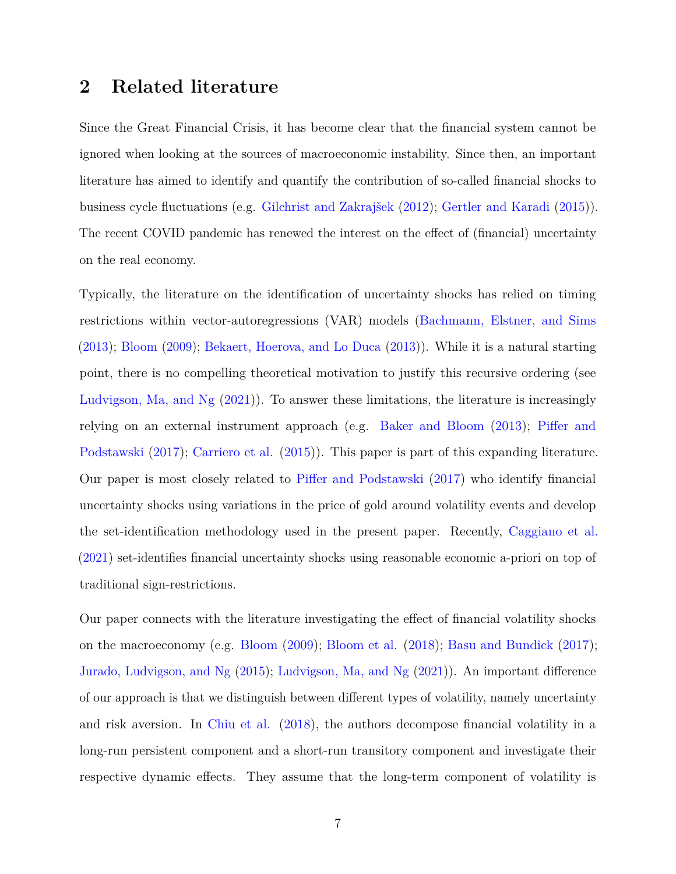# <span id="page-6-0"></span>**2 Related literature**

Since the Great Financial Crisis, it has become clear that the financial system cannot be ignored when looking at the sources of macroeconomic instability. Since then, an important literature has aimed to identify and quantify the contribution of so-called financial shocks to business cycle fluctuations (e.g. [Gilchrist and Zakrajšek](#page-45-2) [\(2012\)](#page-45-2); [Gertler and Karadi](#page-44-3) [\(2015\)](#page-44-3)). The recent COVID pandemic has renewed the interest on the effect of (financial) uncertainty on the real economy.

Typically, the literature on the identification of uncertainty shocks has relied on timing restrictions within vector-autoregressions (VAR) models [\(Bachmann, Elstner, and Sims](#page-42-3) [\(2013\)](#page-42-3); [Bloom](#page-43-1) [\(2009\)](#page-43-1); [Bekaert, Hoerova, and Lo Duca](#page-42-0) [\(2013\)](#page-42-0)). While it is a natural starting point, there is no compelling theoretical motivation to justify this recursive ordering (see [Ludvigson, Ma, and Ng](#page-46-2) [\(2021\)](#page-46-2)). To answer these limitations, the literature is increasingly relying on an external instrument approach (e.g. [Baker and Bloom](#page-42-4) [\(2013\)](#page-42-4); [Piffer and](#page-46-0) [Podstawski](#page-46-0) [\(2017\)](#page-46-0); [Carriero et al.](#page-43-5) [\(2015\)](#page-43-5)). This paper is part of this expanding literature. Our paper is most closely related to [Piffer and Podstawski](#page-46-0) [\(2017\)](#page-46-0) who identify financial uncertainty shocks using variations in the price of gold around volatility events and develop the set-identification methodology used in the present paper. Recently, [Caggiano et al.](#page-43-6) [\(2021\)](#page-43-6) set-identifies financial uncertainty shocks using reasonable economic a-priori on top of traditional sign-restrictions.

Our paper connects with the literature investigating the effect of financial volatility shocks on the macroeconomy (e.g. [Bloom](#page-43-1) [\(2009\)](#page-43-1); [Bloom et al.](#page-43-4) [\(2018\)](#page-43-4); [Basu and Bundick](#page-42-5) [\(2017\)](#page-42-5); [Jurado, Ludvigson, and Ng](#page-45-3) [\(2015\)](#page-45-3); [Ludvigson, Ma, and Ng](#page-46-2) [\(2021\)](#page-46-2)). An important difference of our approach is that we distinguish between different types of volatility, namely uncertainty and risk aversion. In [Chiu et al.](#page-44-4) [\(2018\)](#page-44-4), the authors decompose financial volatility in a long-run persistent component and a short-run transitory component and investigate their respective dynamic effects. They assume that the long-term component of volatility is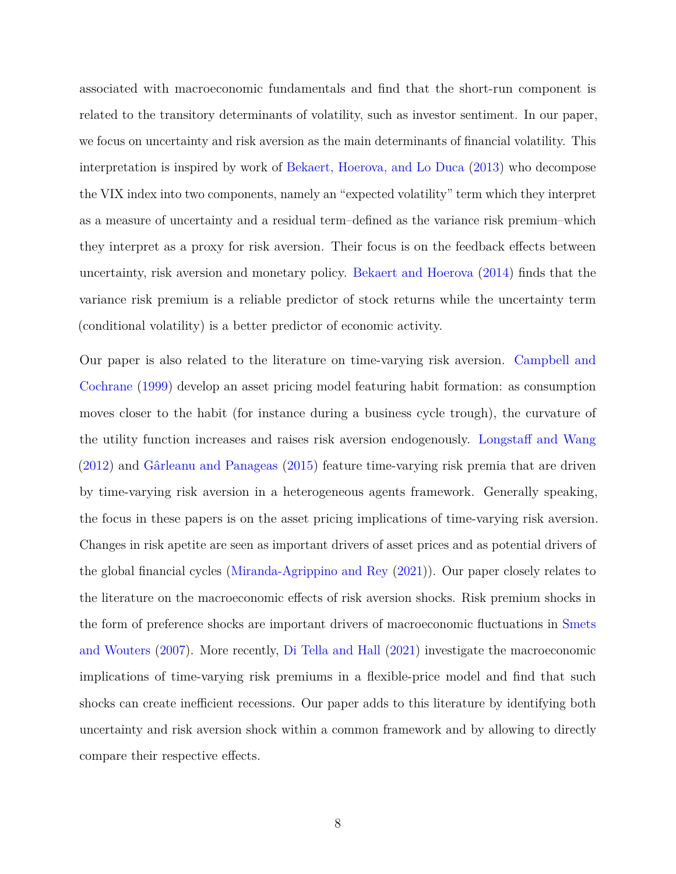associated with macroeconomic fundamentals and find that the short-run component is related to the transitory determinants of volatility, such as investor sentiment. In our paper, we focus on uncertainty and risk aversion as the main determinants of financial volatility. This interpretation is inspired by work of [Bekaert, Hoerova, and Lo Duca](#page-42-0) [\(2013\)](#page-42-0) who decompose the VIX index into two components, namely an "expected volatility" term which they interpret as a measure of uncertainty and a residual term–defined as the variance risk premium–which they interpret as a proxy for risk aversion. Their focus is on the feedback effects between uncertainty, risk aversion and monetary policy. [Bekaert and Hoerova](#page-42-6) [\(2014\)](#page-42-6) finds that the variance risk premium is a reliable predictor of stock returns while the uncertainty term (conditional volatility) is a better predictor of economic activity.

Our paper is also related to the literature on time-varying risk aversion. [Campbell and](#page-43-7) [Cochrane](#page-43-7) [\(1999\)](#page-43-7) develop an asset pricing model featuring habit formation: as consumption moves closer to the habit (for instance during a business cycle trough), the curvature of the utility function increases and raises risk aversion endogenously. [Longstaff and Wang](#page-46-3) [\(2012\)](#page-46-3) and [Gârleanu and Panageas](#page-44-5) [\(2015\)](#page-44-5) feature time-varying risk premia that are driven by time-varying risk aversion in a heterogeneous agents framework. Generally speaking, the focus in these papers is on the asset pricing implications of time-varying risk aversion. Changes in risk apetite are seen as important drivers of asset prices and as potential drivers of the global financial cycles [\(Miranda-Agrippino and Rey](#page-46-4) [\(2021\)](#page-46-4)). Our paper closely relates to the literature on the macroeconomic effects of risk aversion shocks. Risk premium shocks in the form of preference shocks are important drivers of macroeconomic fluctuations in [Smets](#page-46-5) [and Wouters](#page-46-5) [\(2007\)](#page-46-5). More recently, [Di Tella and Hall](#page-44-6) [\(2021\)](#page-44-6) investigate the macroeconomic implications of time-varying risk premiums in a flexible-price model and find that such shocks can create inefficient recessions. Our paper adds to this literature by identifying both uncertainty and risk aversion shock within a common framework and by allowing to directly compare their respective effects.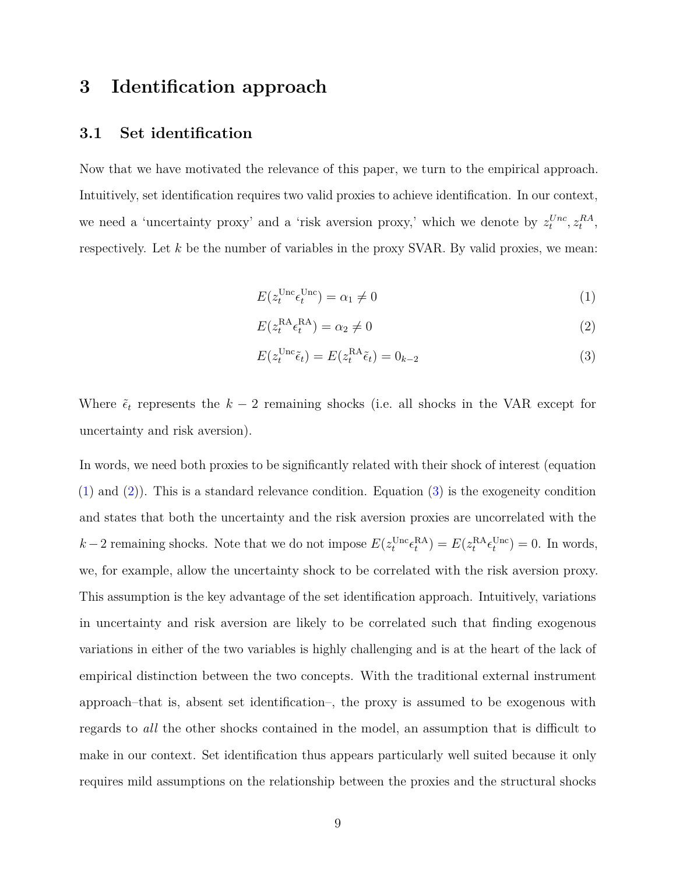# <span id="page-8-0"></span>**3 Identification approach**

### **3.1 Set identification**

Now that we have motivated the relevance of this paper, we turn to the empirical approach. Intuitively, set identification requires two valid proxies to achieve identification. In our context, we need a 'uncertainty proxy' and a 'risk aversion proxy,' which we denote by  $z_t^{Unc}$ ,  $z_t^{RA}$ , respectively. Let *k* be the number of variables in the proxy SVAR. By valid proxies, we mean:

<span id="page-8-1"></span>
$$
E(z_t^{\text{Unc}} \epsilon_t^{\text{Unc}}) = \alpha_1 \neq 0 \tag{1}
$$

<span id="page-8-3"></span><span id="page-8-2"></span>
$$
E(z_t^{\rm RA} \epsilon_t^{\rm RA}) = \alpha_2 \neq 0 \tag{2}
$$

$$
E(z_t^{\text{Unc}}\tilde{\epsilon}_t) = E(z_t^{\text{RA}}\tilde{\epsilon}_t) = 0_{k-2}
$$
\n(3)

Where  $\tilde{\epsilon}_t$  represents the  $k-2$  remaining shocks (i.e. all shocks in the VAR except for uncertainty and risk aversion).

In words, we need both proxies to be significantly related with their shock of interest (equation [\(1\)](#page-8-1) and [\(2\)](#page-8-2)). This is a standard relevance condition. Equation [\(3\)](#page-8-3) is the exogeneity condition and states that both the uncertainty and the risk aversion proxies are uncorrelated with the  $k-2$  remaining shocks. Note that we do not impose  $E(z_t^{\text{Unc}} \epsilon_t^{\text{RA}}) = E(z_t^{\text{RA}} \epsilon_t^{\text{Unc}}) = 0$ . In words, we, for example, allow the uncertainty shock to be correlated with the risk aversion proxy. This assumption is the key advantage of the set identification approach. Intuitively, variations in uncertainty and risk aversion are likely to be correlated such that finding exogenous variations in either of the two variables is highly challenging and is at the heart of the lack of empirical distinction between the two concepts. With the traditional external instrument approach–that is, absent set identification–, the proxy is assumed to be exogenous with regards to *all* the other shocks contained in the model, an assumption that is difficult to make in our context. Set identification thus appears particularly well suited because it only requires mild assumptions on the relationship between the proxies and the structural shocks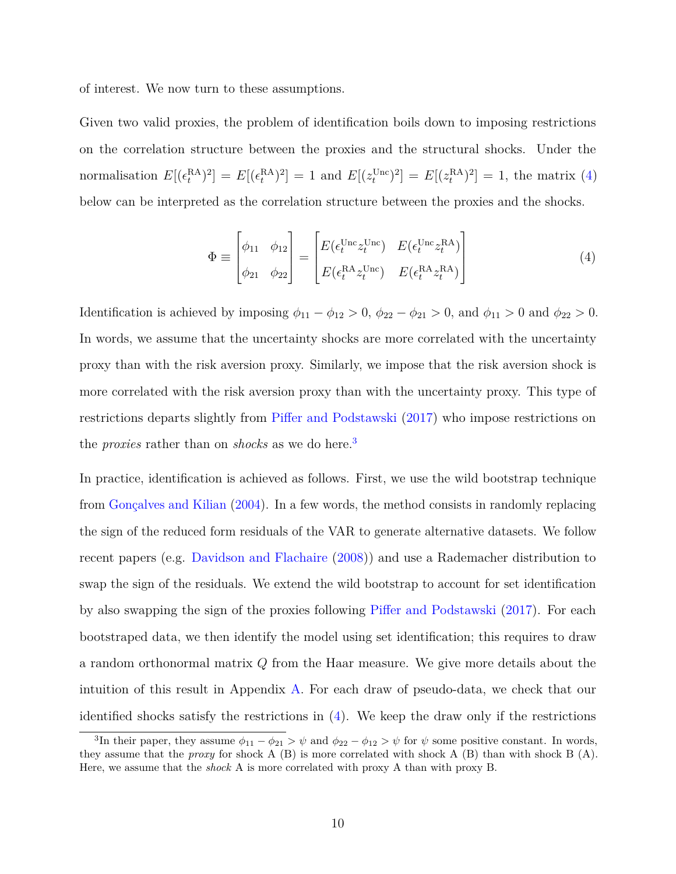of interest. We now turn to these assumptions.

Given two valid proxies, the problem of identification boils down to imposing restrictions on the correlation structure between the proxies and the structural shocks. Under the normalisation  $E[(\epsilon_t^{\text{RA}})^2] = E[(\epsilon_t^{\text{RA}})^2] = 1$  and  $E[(z_t^{\text{Unc}})^2] = E[(z_t^{\text{RA}})^2] = 1$ , the matrix [\(4\)](#page-9-0) below can be interpreted as the correlation structure between the proxies and the shocks.

<span id="page-9-0"></span>
$$
\Phi \equiv \begin{bmatrix} \phi_{11} & \phi_{12} \\ \phi_{21} & \phi_{22} \end{bmatrix} = \begin{bmatrix} E(\epsilon_t^{\text{Unc}} z_t^{\text{Unc}}) & E(\epsilon_t^{\text{Unc}} z_t^{\text{RA}}) \\ E(\epsilon_t^{\text{RA}} z_t^{\text{Unc}}) & E(\epsilon_t^{\text{RA}} z_t^{\text{RA}}) \end{bmatrix}
$$
(4)

Identification is achieved by imposing  $\phi_{11} - \phi_{12} > 0$ ,  $\phi_{22} - \phi_{21} > 0$ , and  $\phi_{11} > 0$  and  $\phi_{22} > 0$ . In words, we assume that the uncertainty shocks are more correlated with the uncertainty proxy than with the risk aversion proxy. Similarly, we impose that the risk aversion shock is more correlated with the risk aversion proxy than with the uncertainty proxy. This type of restrictions departs slightly from [Piffer and Podstawski](#page-46-0) [\(2017\)](#page-46-0) who impose restrictions on the *proxies* rather than on *shocks* as we do here.<sup>[3](#page-0-0)</sup>

In practice, identification is achieved as follows. First, we use the wild bootstrap technique from [Gonçalves and Kilian](#page-45-4) [\(2004\)](#page-45-4). In a few words, the method consists in randomly replacing the sign of the reduced form residuals of the VAR to generate alternative datasets. We follow recent papers (e.g. [Davidson and Flachaire](#page-44-7) [\(2008\)](#page-44-7)) and use a Rademacher distribution to swap the sign of the residuals. We extend the wild bootstrap to account for set identification by also swapping the sign of the proxies following [Piffer and Podstawski](#page-46-0) [\(2017\)](#page-46-0). For each bootstraped data, we then identify the model using set identification; this requires to draw a random orthonormal matrix *Q* from the Haar measure. We give more details about the intuition of this result in Appendix [A.](#page-48-0) For each draw of pseudo-data, we check that our identified shocks satisfy the restrictions in [\(4\)](#page-9-0). We keep the draw only if the restrictions

<sup>&</sup>lt;sup>3</sup>In their paper, they assume  $\phi_{11} - \phi_{21} > \psi$  and  $\phi_{22} - \phi_{12} > \psi$  for  $\psi$  some positive constant. In words, they assume that the *proxy* for shock A (B) is more correlated with shock A (B) than with shock B (A). Here, we assume that the *shock* A is more correlated with proxy A than with proxy B.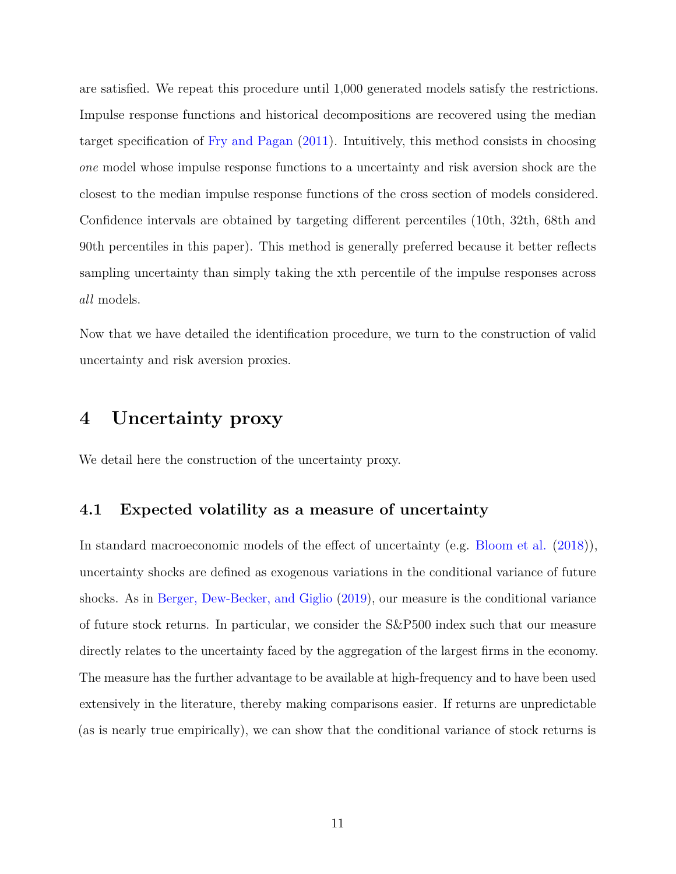are satisfied. We repeat this procedure until 1,000 generated models satisfy the restrictions. Impulse response functions and historical decompositions are recovered using the median target specification of [Fry and Pagan](#page-44-8) [\(2011\)](#page-44-8). Intuitively, this method consists in choosing *one* model whose impulse response functions to a uncertainty and risk aversion shock are the closest to the median impulse response functions of the cross section of models considered. Confidence intervals are obtained by targeting different percentiles (10th, 32th, 68th and 90th percentiles in this paper). This method is generally preferred because it better reflects sampling uncertainty than simply taking the xth percentile of the impulse responses across *all* models.

Now that we have detailed the identification procedure, we turn to the construction of valid uncertainty and risk aversion proxies.

# <span id="page-10-0"></span>**4 Uncertainty proxy**

We detail here the construction of the uncertainty proxy.

### **4.1 Expected volatility as a measure of uncertainty**

In standard macroeconomic models of the effect of uncertainty (e.g. [Bloom et al.](#page-43-4) [\(2018\)](#page-43-4)), uncertainty shocks are defined as exogenous variations in the conditional variance of future shocks. As in [Berger, Dew-Becker, and Giglio](#page-43-3) [\(2019\)](#page-43-3), our measure is the conditional variance of future stock returns. In particular, we consider the S&P500 index such that our measure directly relates to the uncertainty faced by the aggregation of the largest firms in the economy. The measure has the further advantage to be available at high-frequency and to have been used extensively in the literature, thereby making comparisons easier. If returns are unpredictable (as is nearly true empirically), we can show that the conditional variance of stock returns is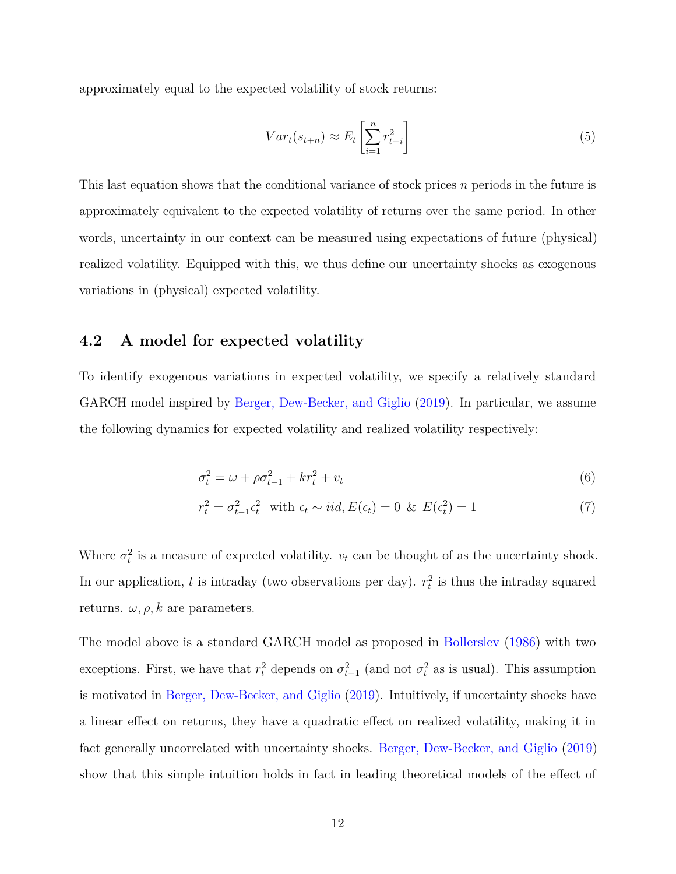approximately equal to the expected volatility of stock returns:

$$
Var_t(s_{t+n}) \approx E_t \left[ \sum_{i=1}^n r_{t+i}^2 \right] \tag{5}
$$

This last equation shows that the conditional variance of stock prices *n* periods in the future is approximately equivalent to the expected volatility of returns over the same period. In other words, uncertainty in our context can be measured using expectations of future (physical) realized volatility. Equipped with this, we thus define our uncertainty shocks as exogenous variations in (physical) expected volatility.

# **4.2 A model for expected volatility**

To identify exogenous variations in expected volatility, we specify a relatively standard GARCH model inspired by [Berger, Dew-Becker, and Giglio](#page-43-3) [\(2019\)](#page-43-3). In particular, we assume the following dynamics for expected volatility and realized volatility respectively:

<span id="page-11-1"></span><span id="page-11-0"></span>
$$
\sigma_t^2 = \omega + \rho \sigma_{t-1}^2 + kr_t^2 + v_t \tag{6}
$$

$$
r_t^2 = \sigma_{t-1}^2 \epsilon_t^2 \quad \text{with } \epsilon_t \sim iid, E(\epsilon_t) = 0 \quad \& \quad E(\epsilon_t^2) = 1 \tag{7}
$$

Where  $\sigma_t^2$  is a measure of expected volatility.  $v_t$  can be thought of as the uncertainty shock. In our application,  $t$  is intraday (two observations per day).  $r_t^2$  is thus the intraday squared returns.  $\omega, \rho, k$  are parameters.

The model above is a standard GARCH model as proposed in [Bollerslev](#page-43-8) [\(1986\)](#page-43-8) with two exceptions. First, we have that  $r_t^2$  depends on  $\sigma_{t-1}^2$  (and not  $\sigma_t^2$  as is usual). This assumption is motivated in [Berger, Dew-Becker, and Giglio](#page-43-3) [\(2019\)](#page-43-3). Intuitively, if uncertainty shocks have a linear effect on returns, they have a quadratic effect on realized volatility, making it in fact generally uncorrelated with uncertainty shocks. [Berger, Dew-Becker, and Giglio](#page-43-3) [\(2019\)](#page-43-3) show that this simple intuition holds in fact in leading theoretical models of the effect of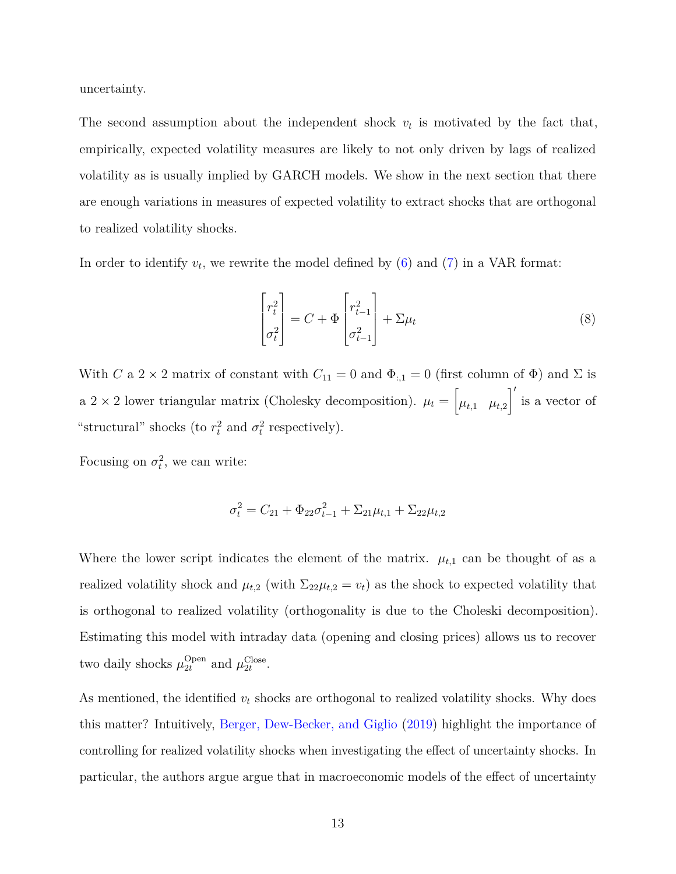uncertainty.

The second assumption about the independent shock  $v_t$  is motivated by the fact that, empirically, expected volatility measures are likely to not only driven by lags of realized volatility as is usually implied by GARCH models. We show in the next section that there are enough variations in measures of expected volatility to extract shocks that are orthogonal to realized volatility shocks.

In order to identify  $v_t$ , we rewrite the model defined by  $(6)$  and  $(7)$  in a VAR format:

<span id="page-12-0"></span>
$$
\begin{bmatrix} r_t^2 \\ \sigma_t^2 \end{bmatrix} = C + \Phi \begin{bmatrix} r_{t-1}^2 \\ \sigma_{t-1}^2 \end{bmatrix} + \Sigma \mu_t
$$
 (8)

With *C* a 2 × 2 matrix of constant with  $C_{11} = 0$  and  $\Phi_{:,1} = 0$  (first column of  $\Phi$ ) and  $\Sigma$  is a  $2 \times 2$  lower triangular matrix (Cholesky decomposition).  $\mu_t = \begin{bmatrix} \mu_{t,1} & \mu_{t,2} \end{bmatrix}$  $\int'$  is a vector of "structural" shocks (to  $r_t^2$  and  $\sigma_t^2$  respectively).

Focusing on  $\sigma_t^2$ , we can write:

$$
\sigma_t^2 = C_{21} + \Phi_{22}\sigma_{t-1}^2 + \Sigma_{21}\mu_{t,1} + \Sigma_{22}\mu_{t,2}
$$

Where the lower script indicates the element of the matrix.  $\mu_{t,1}$  can be thought of as a realized volatility shock and  $\mu_{t,2}$  (with  $\Sigma_{22}\mu_{t,2} = v_t$ ) as the shock to expected volatility that is orthogonal to realized volatility (orthogonality is due to the Choleski decomposition). Estimating this model with intraday data (opening and closing prices) allows us to recover two daily shocks  $\mu_{2t}^{\text{Open}}$  and  $\mu_{2t}^{\text{Close}}$ .

As mentioned, the identified  $v_t$  shocks are orthogonal to realized volatility shocks. Why does this matter? Intuitively, [Berger, Dew-Becker, and Giglio](#page-43-3) [\(2019\)](#page-43-3) highlight the importance of controlling for realized volatility shocks when investigating the effect of uncertainty shocks. In particular, the authors argue argue that in macroeconomic models of the effect of uncertainty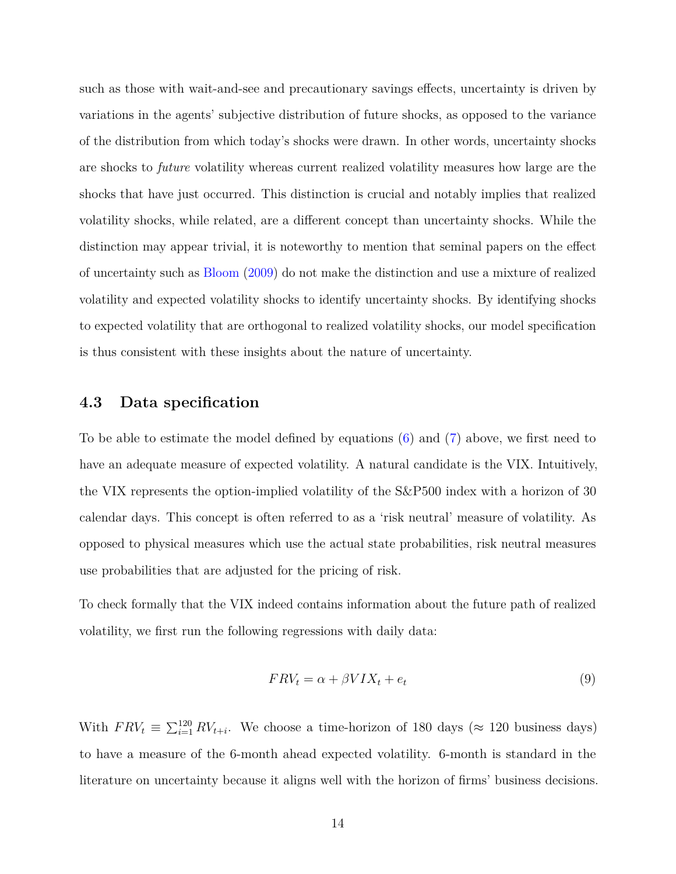such as those with wait-and-see and precautionary savings effects, uncertainty is driven by variations in the agents' subjective distribution of future shocks, as opposed to the variance of the distribution from which today's shocks were drawn. In other words, uncertainty shocks are shocks to *future* volatility whereas current realized volatility measures how large are the shocks that have just occurred. This distinction is crucial and notably implies that realized volatility shocks, while related, are a different concept than uncertainty shocks. While the distinction may appear trivial, it is noteworthy to mention that seminal papers on the effect of uncertainty such as [Bloom](#page-43-1) [\(2009\)](#page-43-1) do not make the distinction and use a mixture of realized volatility and expected volatility shocks to identify uncertainty shocks. By identifying shocks to expected volatility that are orthogonal to realized volatility shocks, our model specification is thus consistent with these insights about the nature of uncertainty.

# **4.3 Data specification**

To be able to estimate the model defined by equations [\(6\)](#page-11-0) and [\(7\)](#page-11-1) above, we first need to have an adequate measure of expected volatility. A natural candidate is the VIX. Intuitively, the VIX represents the option-implied volatility of the S&P500 index with a horizon of 30 calendar days. This concept is often referred to as a 'risk neutral' measure of volatility. As opposed to physical measures which use the actual state probabilities, risk neutral measures use probabilities that are adjusted for the pricing of risk.

To check formally that the VIX indeed contains information about the future path of realized volatility, we first run the following regressions with daily data:

<span id="page-13-0"></span>
$$
FRV_t = \alpha + \beta VIX_t + e_t \tag{9}
$$

With  $FRV_t \equiv \sum_{i=1}^{120} RV_{t+i}$ . We choose a time-horizon of 180 days ( $\approx$  120 business days) to have a measure of the 6-month ahead expected volatility. 6-month is standard in the literature on uncertainty because it aligns well with the horizon of firms' business decisions.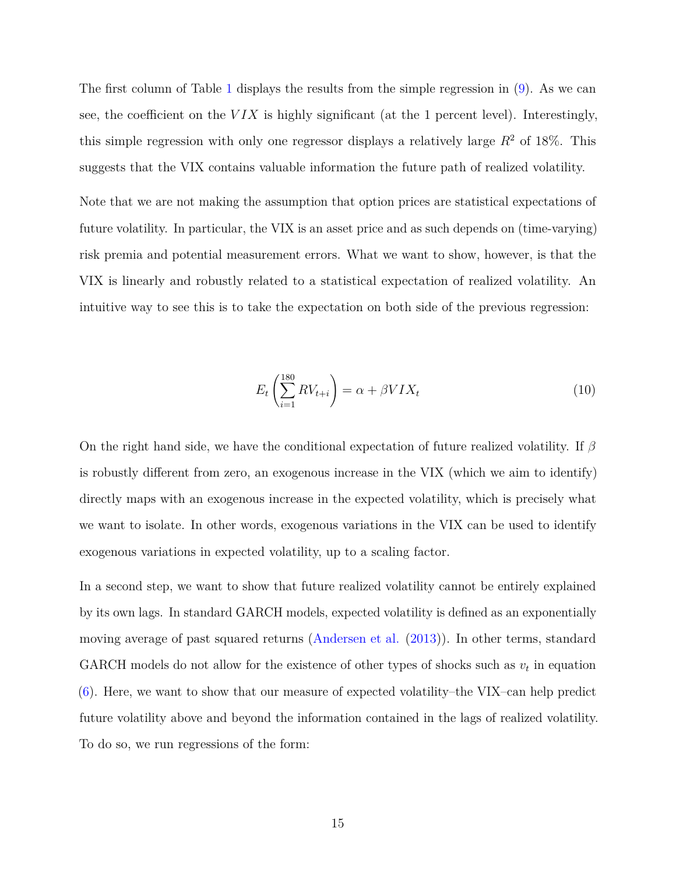The first column of Table [1](#page-16-0) displays the results from the simple regression in [\(9\)](#page-13-0). As we can see, the coefficient on the *V IX* is highly significant (at the 1 percent level). Interestingly, this simple regression with only one regressor displays a relatively large  $R^2$  of 18%. This suggests that the VIX contains valuable information the future path of realized volatility.

Note that we are not making the assumption that option prices are statistical expectations of future volatility. In particular, the VIX is an asset price and as such depends on (time-varying) risk premia and potential measurement errors. What we want to show, however, is that the VIX is linearly and robustly related to a statistical expectation of realized volatility. An intuitive way to see this is to take the expectation on both side of the previous regression:

$$
E_t\left(\sum_{i=1}^{180} RV_{t+i}\right) = \alpha + \beta VIX_t\tag{10}
$$

On the right hand side, we have the conditional expectation of future realized volatility. If *β* is robustly different from zero, an exogenous increase in the VIX (which we aim to identify) directly maps with an exogenous increase in the expected volatility, which is precisely what we want to isolate. In other words, exogenous variations in the VIX can be used to identify exogenous variations in expected volatility, up to a scaling factor.

In a second step, we want to show that future realized volatility cannot be entirely explained by its own lags. In standard GARCH models, expected volatility is defined as an exponentially moving average of past squared returns [\(Andersen et al.](#page-42-7) [\(2013\)](#page-42-7)). In other terms, standard GARCH models do not allow for the existence of other types of shocks such as  $v_t$  in equation [\(6\)](#page-11-0). Here, we want to show that our measure of expected volatility–the VIX–can help predict future volatility above and beyond the information contained in the lags of realized volatility. To do so, we run regressions of the form: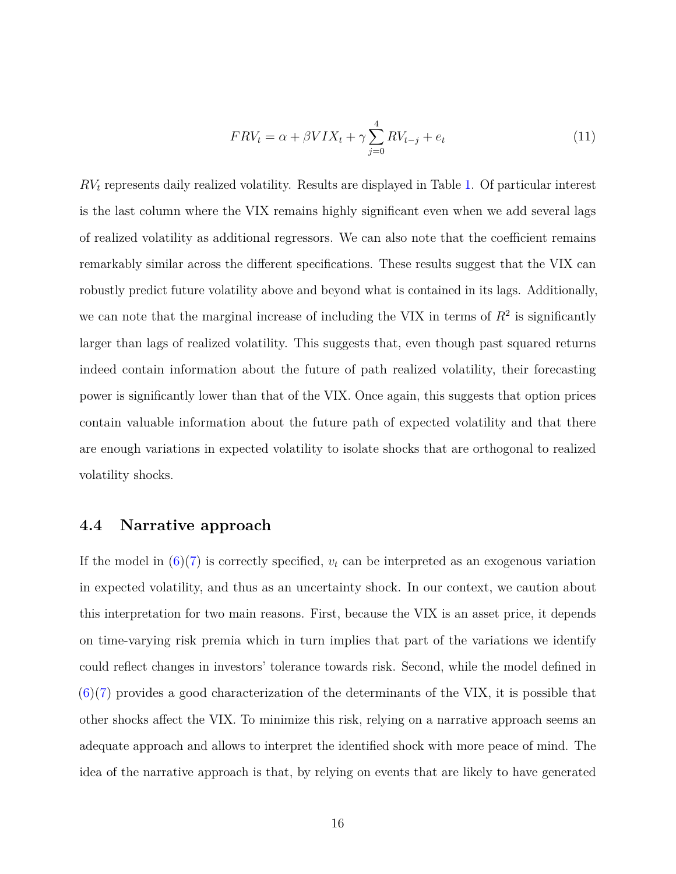$$
FRV_t = \alpha + \beta VIX_t + \gamma \sum_{j=0}^{4} RV_{t-j} + e_t
$$
\n(11)

*RV<sup>t</sup>* represents daily realized volatility. Results are displayed in Table [1.](#page-16-0) Of particular interest is the last column where the VIX remains highly significant even when we add several lags of realized volatility as additional regressors. We can also note that the coefficient remains remarkably similar across the different specifications. These results suggest that the VIX can robustly predict future volatility above and beyond what is contained in its lags. Additionally, we can note that the marginal increase of including the VIX in terms of  $R<sup>2</sup>$  is significantly larger than lags of realized volatility. This suggests that, even though past squared returns indeed contain information about the future of path realized volatility, their forecasting power is significantly lower than that of the VIX. Once again, this suggests that option prices contain valuable information about the future path of expected volatility and that there are enough variations in expected volatility to isolate shocks that are orthogonal to realized volatility shocks.

### **4.4 Narrative approach**

If the model in  $(6)(7)$  $(6)(7)$  is correctly specified,  $v_t$  can be interpreted as an exogenous variation in expected volatility, and thus as an uncertainty shock. In our context, we caution about this interpretation for two main reasons. First, because the VIX is an asset price, it depends on time-varying risk premia which in turn implies that part of the variations we identify could reflect changes in investors' tolerance towards risk. Second, while the model defined in  $(6)(7)$  $(6)(7)$  provides a good characterization of the determinants of the VIX, it is possible that other shocks affect the VIX. To minimize this risk, relying on a narrative approach seems an adequate approach and allows to interpret the identified shock with more peace of mind. The idea of the narrative approach is that, by relying on events that are likely to have generated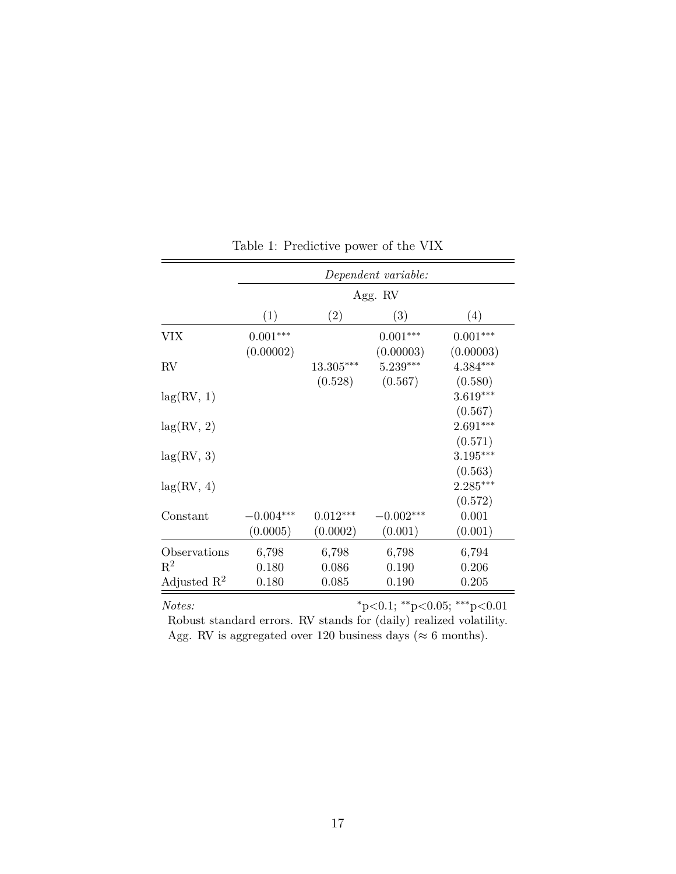<span id="page-16-0"></span>

|                                | Dependent variable: |                |                         |                         |  |  |  |
|--------------------------------|---------------------|----------------|-------------------------|-------------------------|--|--|--|
|                                | Agg. RV             |                |                         |                         |  |  |  |
|                                | (1)                 | (2)            | (3)                     | (4)                     |  |  |  |
| <b>VIX</b>                     | $0.001***$          |                | $0.001***$              | $0.001***$              |  |  |  |
| RV                             | (0.00002)           | $13.305***$    | (0.00003)<br>$5.239***$ | (0.00003)<br>$4.384***$ |  |  |  |
| lag(RV, 1)                     |                     | (0.528)        | (0.567)                 | (0.580)<br>$3.619***$   |  |  |  |
| lag(RV, 2)                     |                     |                |                         | (0.567)<br>$2.691***$   |  |  |  |
| lag(RV, 3)                     |                     |                |                         | (0.571)<br>$3.195***$   |  |  |  |
| lag(RV, 4)                     |                     |                |                         | (0.563)<br>$2.285***$   |  |  |  |
| Constant                       | $-0.004***$         | $0.012***$     | $-0.002***$             | (0.572)<br>0.001        |  |  |  |
|                                | (0.0005)            | (0.0002)       | (0.001)                 | (0.001)                 |  |  |  |
| Observations<br>$\mathbf{R}^2$ | 6,798<br>0.180      | 6,798<br>0.086 | 6,798<br>0.190          | 6,794<br>0.206          |  |  |  |
| Adjusted $\mathbb{R}^2$        | 0.180               | 0.085          | 0.190                   | 0.205                   |  |  |  |

Table 1: Predictive power of the VIX

*Notes:* <sup>∗</sup>p*<*0.1; ∗∗p*<*0.05; ∗∗∗p*<*0.01 Robust standard errors. RV stands for (daily) realized volatility. Agg. RV is aggregated over 120 business days ( $\approx$  6 months).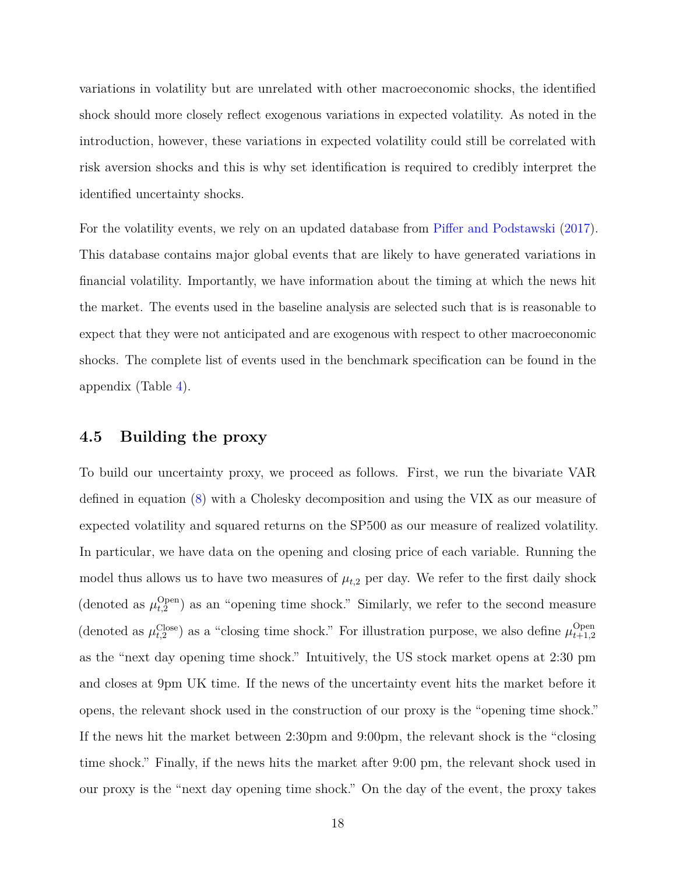variations in volatility but are unrelated with other macroeconomic shocks, the identified shock should more closely reflect exogenous variations in expected volatility. As noted in the introduction, however, these variations in expected volatility could still be correlated with risk aversion shocks and this is why set identification is required to credibly interpret the identified uncertainty shocks.

For the volatility events, we rely on an updated database from [Piffer and Podstawski](#page-46-0) [\(2017\)](#page-46-0). This database contains major global events that are likely to have generated variations in financial volatility. Importantly, we have information about the timing at which the news hit the market. The events used in the baseline analysis are selected such that is is reasonable to expect that they were not anticipated and are exogenous with respect to other macroeconomic shocks. The complete list of events used in the benchmark specification can be found in the appendix (Table [4\)](#page-59-0).

### **4.5 Building the proxy**

To build our uncertainty proxy, we proceed as follows. First, we run the bivariate VAR defined in equation [\(8\)](#page-12-0) with a Cholesky decomposition and using the VIX as our measure of expected volatility and squared returns on the SP500 as our measure of realized volatility. In particular, we have data on the opening and closing price of each variable. Running the model thus allows us to have two measures of  $\mu_{t,2}$  per day. We refer to the first daily shock (denoted as  $\mu_{t,2}^{\text{Open}}$  $t_{t,2}^{Open}$  as an "opening time shock." Similarly, we refer to the second measure (denoted as  $\mu_{t,2}^{\text{Close}}$ ) as a "closing time shock." For illustration purpose, we also define  $\mu_{t+1,2}^{\text{Open}}$ *t*+1*,*2 as the "next day opening time shock." Intuitively, the US stock market opens at 2:30 pm and closes at 9pm UK time. If the news of the uncertainty event hits the market before it opens, the relevant shock used in the construction of our proxy is the "opening time shock." If the news hit the market between 2:30pm and 9:00pm, the relevant shock is the "closing time shock." Finally, if the news hits the market after 9:00 pm, the relevant shock used in our proxy is the "next day opening time shock." On the day of the event, the proxy takes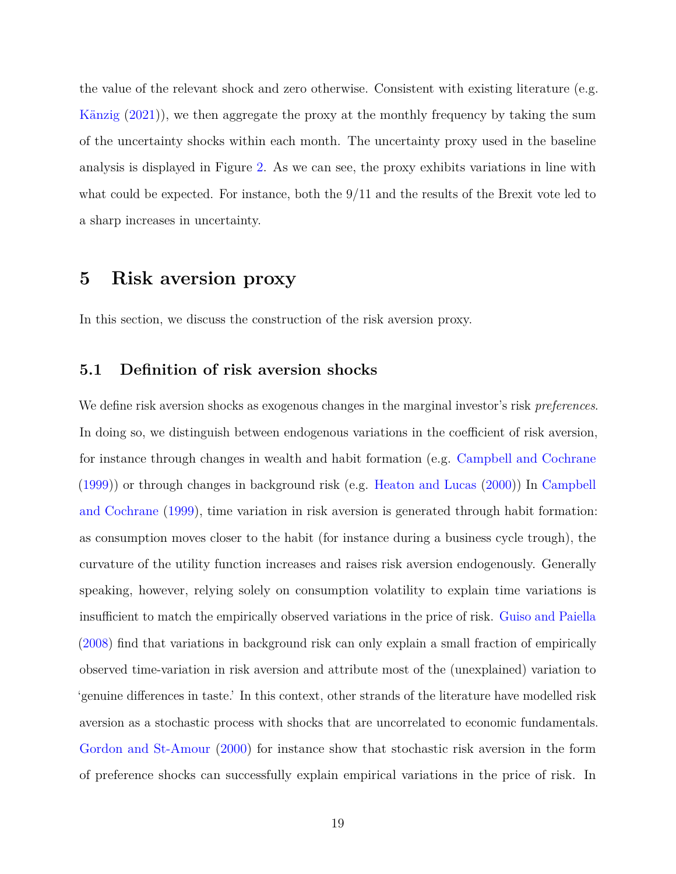the value of the relevant shock and zero otherwise. Consistent with existing literature (e.g. [Känzig](#page-45-5) [\(2021\)](#page-45-5)), we then aggregate the proxy at the monthly frequency by taking the sum of the uncertainty shocks within each month. The uncertainty proxy used in the baseline analysis is displayed in Figure [2.](#page-25-0) As we can see, the proxy exhibits variations in line with what could be expected. For instance, both the 9/11 and the results of the Brexit vote led to a sharp increases in uncertainty.

# <span id="page-18-0"></span>**5 Risk aversion proxy**

In this section, we discuss the construction of the risk aversion proxy.

## **5.1 Definition of risk aversion shocks**

We define risk aversion shocks as exogenous changes in the marginal investor's risk *preferences*. In doing so, we distinguish between endogenous variations in the coefficient of risk aversion, for instance through changes in wealth and habit formation (e.g. [Campbell and Cochrane](#page-43-7) [\(1999\)](#page-43-7)) or through changes in background risk (e.g. [Heaton and Lucas](#page-45-0) [\(2000\)](#page-45-0)) In [Campbell](#page-43-7) [and Cochrane](#page-43-7) [\(1999\)](#page-43-7), time variation in risk aversion is generated through habit formation: as consumption moves closer to the habit (for instance during a business cycle trough), the curvature of the utility function increases and raises risk aversion endogenously. Generally speaking, however, relying solely on consumption volatility to explain time variations is insufficient to match the empirically observed variations in the price of risk. [Guiso and Paiella](#page-45-6) [\(2008\)](#page-45-6) find that variations in background risk can only explain a small fraction of empirically observed time-variation in risk aversion and attribute most of the (unexplained) variation to 'genuine differences in taste.' In this context, other strands of the literature have modelled risk aversion as a stochastic process with shocks that are uncorrelated to economic fundamentals. [Gordon and St-Amour](#page-45-7) [\(2000\)](#page-45-7) for instance show that stochastic risk aversion in the form of preference shocks can successfully explain empirical variations in the price of risk. In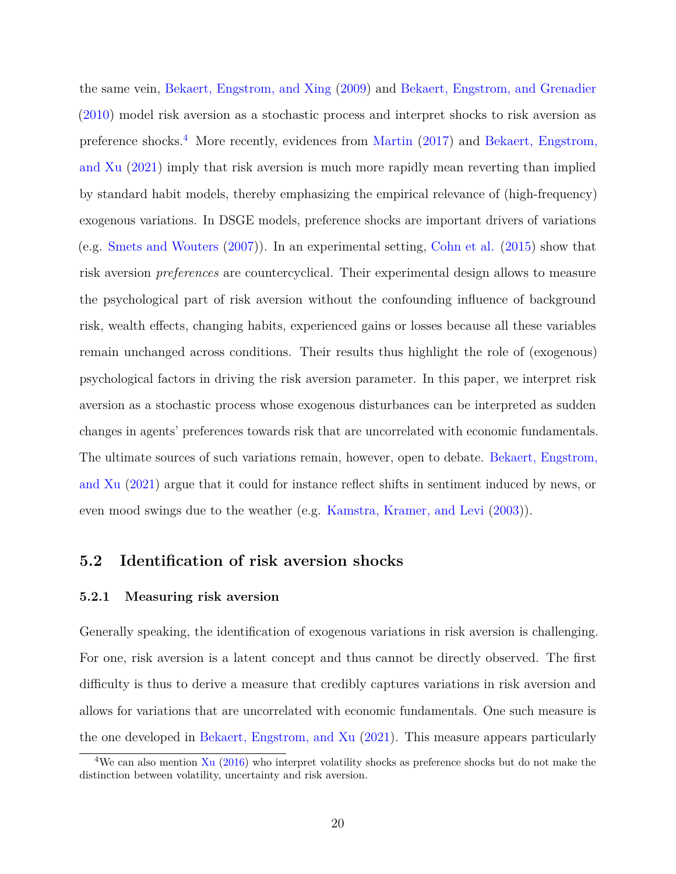the same vein, [Bekaert, Engstrom, and Xing](#page-42-8) [\(2009\)](#page-42-8) and [Bekaert, Engstrom, and Grenadier](#page-42-9) [\(2010\)](#page-42-9) model risk aversion as a stochastic process and interpret shocks to risk aversion as preference shocks.<sup>[4](#page-0-0)</sup> More recently, evidences from [Martin](#page-46-6) [\(2017\)](#page-46-6) and [Bekaert, Engstrom,](#page-42-1) [and Xu](#page-42-1) [\(2021\)](#page-42-1) imply that risk aversion is much more rapidly mean reverting than implied by standard habit models, thereby emphasizing the empirical relevance of (high-frequency) exogenous variations. In DSGE models, preference shocks are important drivers of variations (e.g. [Smets and Wouters](#page-46-5) [\(2007\)](#page-46-5)). In an experimental setting, [Cohn et al.](#page-44-9) [\(2015\)](#page-44-9) show that risk aversion *preferences* are countercyclical. Their experimental design allows to measure the psychological part of risk aversion without the confounding influence of background risk, wealth effects, changing habits, experienced gains or losses because all these variables remain unchanged across conditions. Their results thus highlight the role of (exogenous) psychological factors in driving the risk aversion parameter. In this paper, we interpret risk aversion as a stochastic process whose exogenous disturbances can be interpreted as sudden changes in agents' preferences towards risk that are uncorrelated with economic fundamentals. The ultimate sources of such variations remain, however, open to debate. [Bekaert, Engstrom,](#page-42-1) [and Xu](#page-42-1) [\(2021\)](#page-42-1) argue that it could for instance reflect shifts in sentiment induced by news, or even mood swings due to the weather (e.g. [Kamstra, Kramer, and Levi](#page-45-8) [\(2003\)](#page-45-8)).

# **5.2 Identification of risk aversion shocks**

#### **5.2.1 Measuring risk aversion**

Generally speaking, the identification of exogenous variations in risk aversion is challenging. For one, risk aversion is a latent concept and thus cannot be directly observed. The first difficulty is thus to derive a measure that credibly captures variations in risk aversion and allows for variations that are uncorrelated with economic fundamentals. One such measure is the one developed in [Bekaert, Engstrom, and Xu](#page-42-1) [\(2021\)](#page-42-1). This measure appears particularly

<sup>&</sup>lt;sup>4</sup>We can also mention [Xu](#page-47-0) [\(2016\)](#page-47-0) who interpret volatility shocks as preference shocks but do not make the distinction between volatility, uncertainty and risk aversion.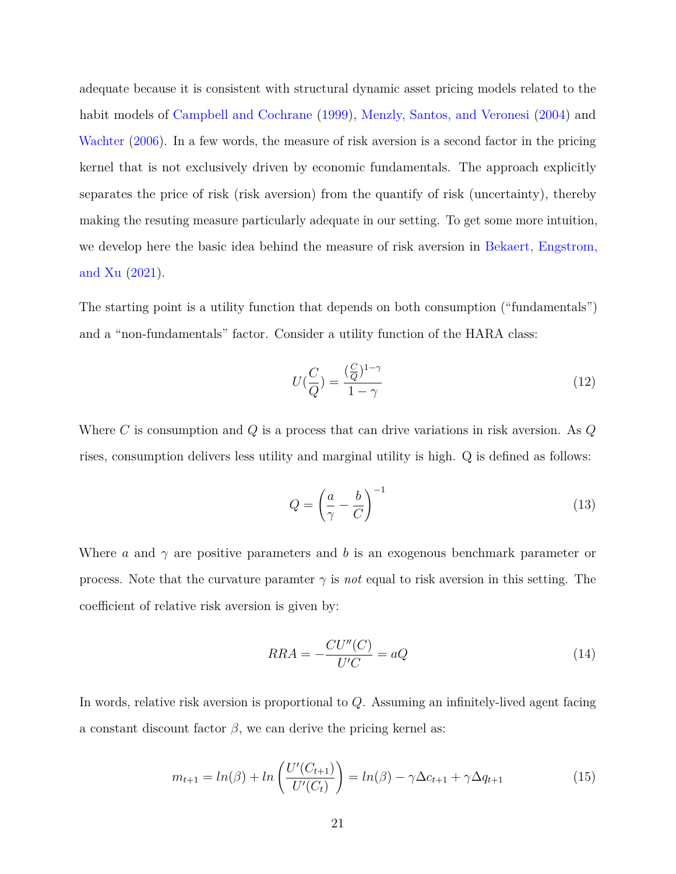adequate because it is consistent with structural dynamic asset pricing models related to the habit models of [Campbell and Cochrane](#page-43-7) [\(1999\)](#page-43-7), [Menzly, Santos, and Veronesi](#page-46-7) [\(2004\)](#page-46-7) and [Wachter](#page-47-1) [\(2006\)](#page-47-1). In a few words, the measure of risk aversion is a second factor in the pricing kernel that is not exclusively driven by economic fundamentals. The approach explicitly separates the price of risk (risk aversion) from the quantify of risk (uncertainty), thereby making the resuting measure particularly adequate in our setting. To get some more intuition, we develop here the basic idea behind the measure of risk aversion in [Bekaert, Engstrom,](#page-42-1) [and Xu](#page-42-1) [\(2021\)](#page-42-1).

The starting point is a utility function that depends on both consumption ("fundamentals") and a "non-fundamentals" factor. Consider a utility function of the HARA class:

$$
U(\frac{C}{Q}) = \frac{(\frac{C}{Q})^{1-\gamma}}{1-\gamma}
$$
\n(12)

Where *C* is consumption and *Q* is a process that can drive variations in risk aversion. As *Q* rises, consumption delivers less utility and marginal utility is high. Q is defined as follows:

$$
Q = \left(\frac{a}{\gamma} - \frac{b}{C}\right)^{-1} \tag{13}
$$

Where *a* and *γ* are positive parameters and *b* is an exogenous benchmark parameter or process. Note that the curvature paramter  $\gamma$  is *not* equal to risk aversion in this setting. The coefficient of relative risk aversion is given by:

$$
RRA = -\frac{CU''(C)}{U'C} = aQ \tag{14}
$$

In words, relative risk aversion is proportional to *Q*. Assuming an infinitely-lived agent facing a constant discount factor  $\beta$ , we can derive the pricing kernel as:

$$
m_{t+1} = \ln(\beta) + \ln\left(\frac{U'(C_{t+1})}{U'(C_t)}\right) = \ln(\beta) - \gamma \Delta c_{t+1} + \gamma \Delta q_{t+1}
$$
\n(15)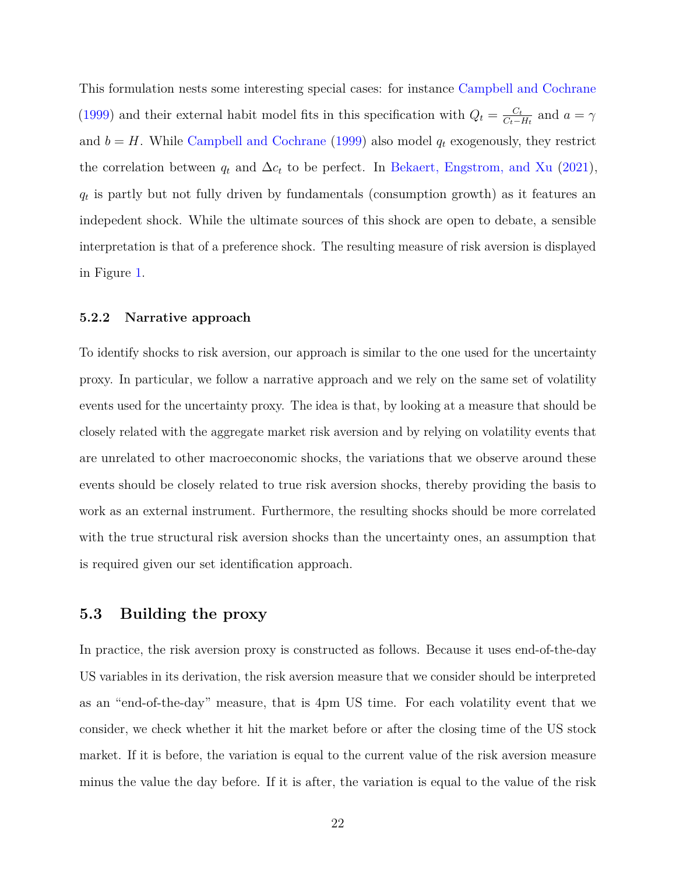This formulation nests some interesting special cases: for instance [Campbell and Cochrane](#page-43-7) [\(1999\)](#page-43-7) and their external habit model fits in this specification with  $Q_t = \frac{C_t}{C_t - r}$  $\frac{C_t}{C_t - H_t}$  and  $a = \gamma$ and  $b = H$ . While [Campbell and Cochrane](#page-43-7) [\(1999\)](#page-43-7) also model  $q_t$  exogenously, they restrict the correlation between  $q_t$  and  $\Delta c_t$  to be perfect. In [Bekaert, Engstrom, and Xu](#page-42-1) [\(2021\)](#page-42-1), *qt* is partly but not fully driven by fundamentals (consumption growth) as it features an indepedent shock. While the ultimate sources of this shock are open to debate, a sensible interpretation is that of a preference shock. The resulting measure of risk aversion is displayed in Figure [1.](#page-24-0)

#### **5.2.2 Narrative approach**

To identify shocks to risk aversion, our approach is similar to the one used for the uncertainty proxy. In particular, we follow a narrative approach and we rely on the same set of volatility events used for the uncertainty proxy. The idea is that, by looking at a measure that should be closely related with the aggregate market risk aversion and by relying on volatility events that are unrelated to other macroeconomic shocks, the variations that we observe around these events should be closely related to true risk aversion shocks, thereby providing the basis to work as an external instrument. Furthermore, the resulting shocks should be more correlated with the true structural risk aversion shocks than the uncertainty ones, an assumption that is required given our set identification approach.

# **5.3 Building the proxy**

In practice, the risk aversion proxy is constructed as follows. Because it uses end-of-the-day US variables in its derivation, the risk aversion measure that we consider should be interpreted as an "end-of-the-day" measure, that is 4pm US time. For each volatility event that we consider, we check whether it hit the market before or after the closing time of the US stock market. If it is before, the variation is equal to the current value of the risk aversion measure minus the value the day before. If it is after, the variation is equal to the value of the risk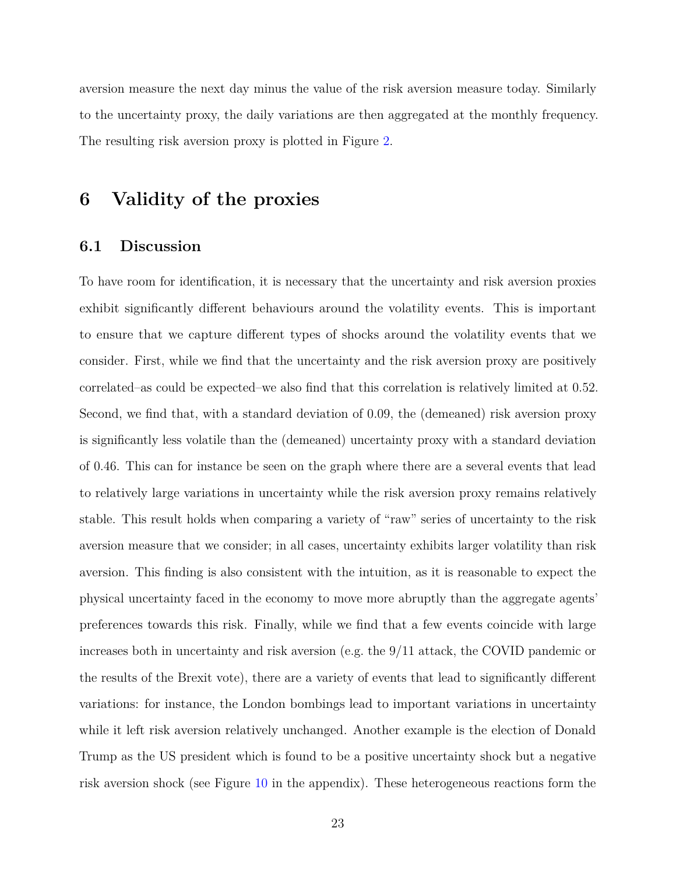aversion measure the next day minus the value of the risk aversion measure today. Similarly to the uncertainty proxy, the daily variations are then aggregated at the monthly frequency. The resulting risk aversion proxy is plotted in Figure [2.](#page-25-0)

# <span id="page-22-0"></span>**6 Validity of the proxies**

### **6.1 Discussion**

To have room for identification, it is necessary that the uncertainty and risk aversion proxies exhibit significantly different behaviours around the volatility events. This is important to ensure that we capture different types of shocks around the volatility events that we consider. First, while we find that the uncertainty and the risk aversion proxy are positively correlated–as could be expected–we also find that this correlation is relatively limited at 0.52. Second, we find that, with a standard deviation of 0.09, the (demeaned) risk aversion proxy is significantly less volatile than the (demeaned) uncertainty proxy with a standard deviation of 0.46. This can for instance be seen on the graph where there are a several events that lead to relatively large variations in uncertainty while the risk aversion proxy remains relatively stable. This result holds when comparing a variety of "raw" series of uncertainty to the risk aversion measure that we consider; in all cases, uncertainty exhibits larger volatility than risk aversion. This finding is also consistent with the intuition, as it is reasonable to expect the physical uncertainty faced in the economy to move more abruptly than the aggregate agents' preferences towards this risk. Finally, while we find that a few events coincide with large increases both in uncertainty and risk aversion (e.g. the 9/11 attack, the COVID pandemic or the results of the Brexit vote), there are a variety of events that lead to significantly different variations: for instance, the London bombings lead to important variations in uncertainty while it left risk aversion relatively unchanged. Another example is the election of Donald Trump as the US president which is found to be a positive uncertainty shock but a negative risk aversion shock (see Figure [10](#page-58-0) in the appendix). These heterogeneous reactions form the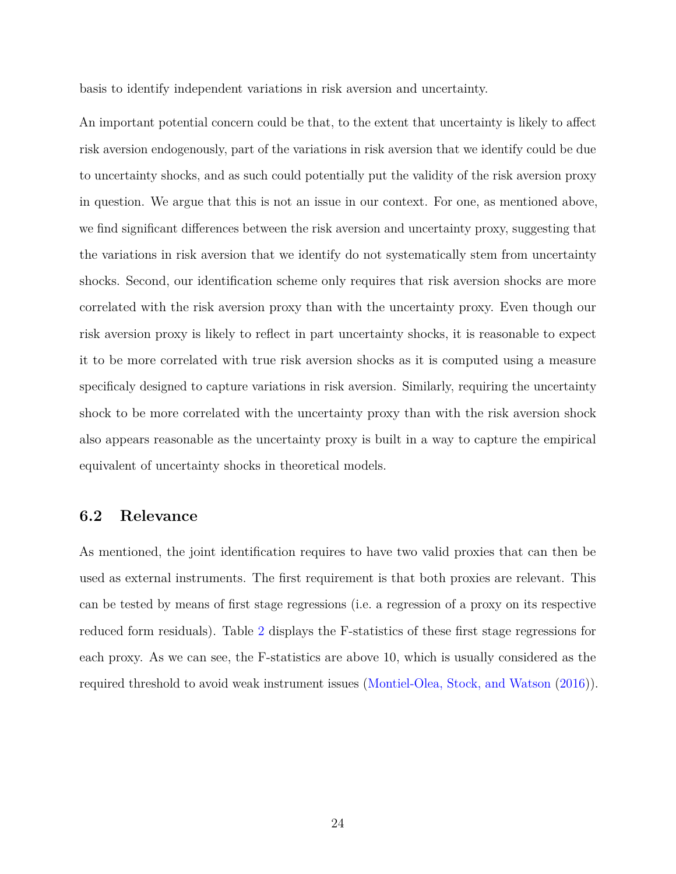basis to identify independent variations in risk aversion and uncertainty.

An important potential concern could be that, to the extent that uncertainty is likely to affect risk aversion endogenously, part of the variations in risk aversion that we identify could be due to uncertainty shocks, and as such could potentially put the validity of the risk aversion proxy in question. We argue that this is not an issue in our context. For one, as mentioned above, we find significant differences between the risk aversion and uncertainty proxy, suggesting that the variations in risk aversion that we identify do not systematically stem from uncertainty shocks. Second, our identification scheme only requires that risk aversion shocks are more correlated with the risk aversion proxy than with the uncertainty proxy. Even though our risk aversion proxy is likely to reflect in part uncertainty shocks, it is reasonable to expect it to be more correlated with true risk aversion shocks as it is computed using a measure specificaly designed to capture variations in risk aversion. Similarly, requiring the uncertainty shock to be more correlated with the uncertainty proxy than with the risk aversion shock also appears reasonable as the uncertainty proxy is built in a way to capture the empirical equivalent of uncertainty shocks in theoretical models.

# **6.2 Relevance**

As mentioned, the joint identification requires to have two valid proxies that can then be used as external instruments. The first requirement is that both proxies are relevant. This can be tested by means of first stage regressions (i.e. a regression of a proxy on its respective reduced form residuals). Table [2](#page-24-1) displays the F-statistics of these first stage regressions for each proxy. As we can see, the F-statistics are above 10, which is usually considered as the required threshold to avoid weak instrument issues [\(Montiel-Olea, Stock, and Watson](#page-46-8) [\(2016\)](#page-46-8)).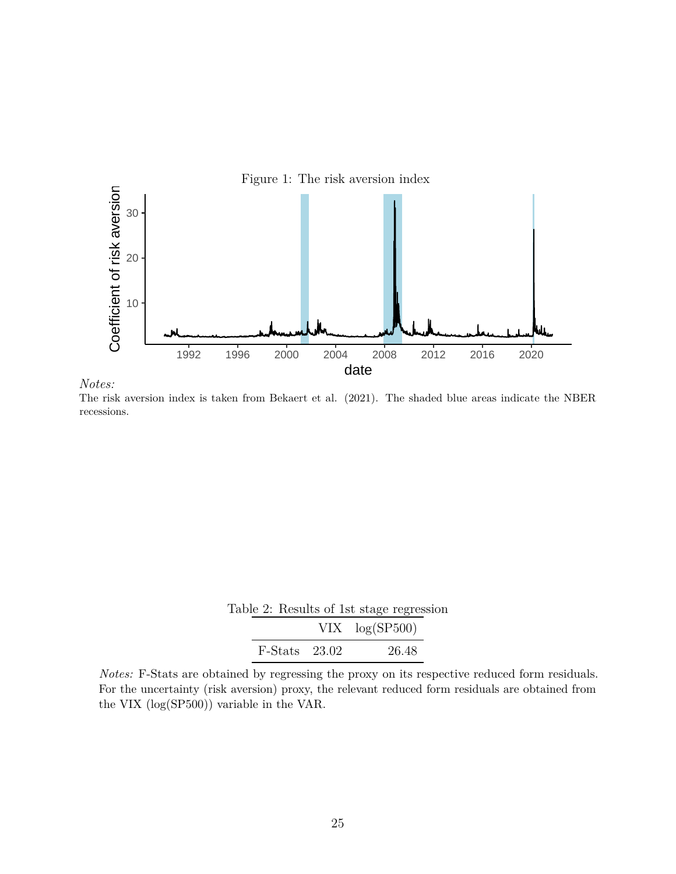<span id="page-24-0"></span>

*Notes:* The risk aversion index is taken from Bekaert et al. (2021). The shaded blue areas indicate the NBER recessions.

|  |                 |                   | Table 2: Results of 1st stage regression |
|--|-----------------|-------------------|------------------------------------------|
|  |                 | $VIX \log(SP500)$ |                                          |
|  | $F-Stats$ 23.02 |                   | 26.48                                    |

<span id="page-24-1"></span>*Notes:* F-Stats are obtained by regressing the proxy on its respective reduced form residuals. For the uncertainty (risk aversion) proxy, the relevant reduced form residuals are obtained from the VIX (log(SP500)) variable in the VAR.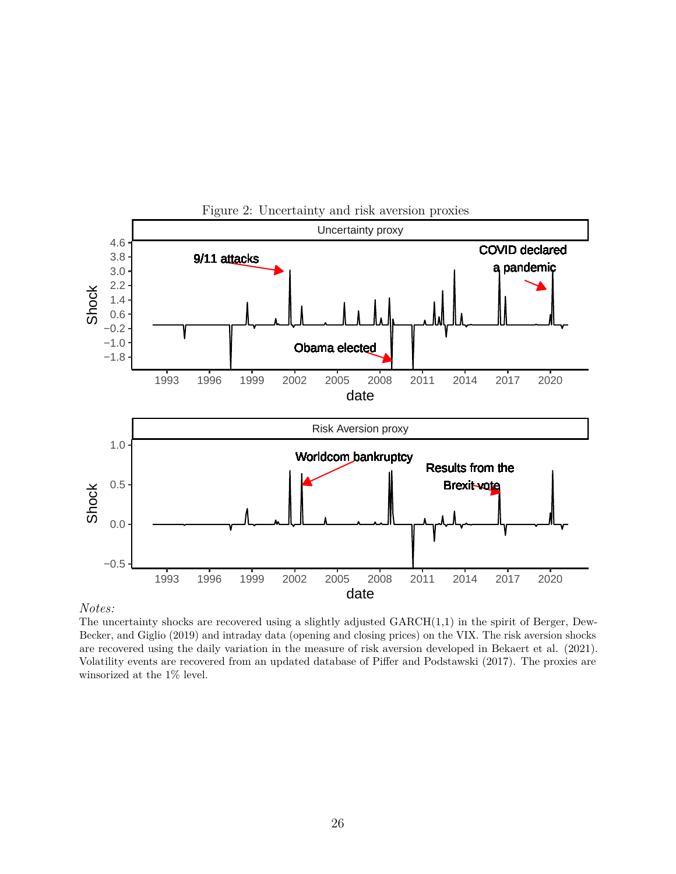<span id="page-25-0"></span>

*Notes:*

The uncertainty shocks are recovered using a slightly adjusted GARCH(1,1) in the spirit of Berger, Dew-Becker, and Giglio (2019) and intraday data (opening and closing prices) on the VIX. The risk aversion shocks are recovered using the daily variation in the measure of risk aversion developed in Bekaert et al. (2021). Volatility events are recovered from an updated database of Piffer and Podstawski (2017). The proxies are winsorized at the 1% level.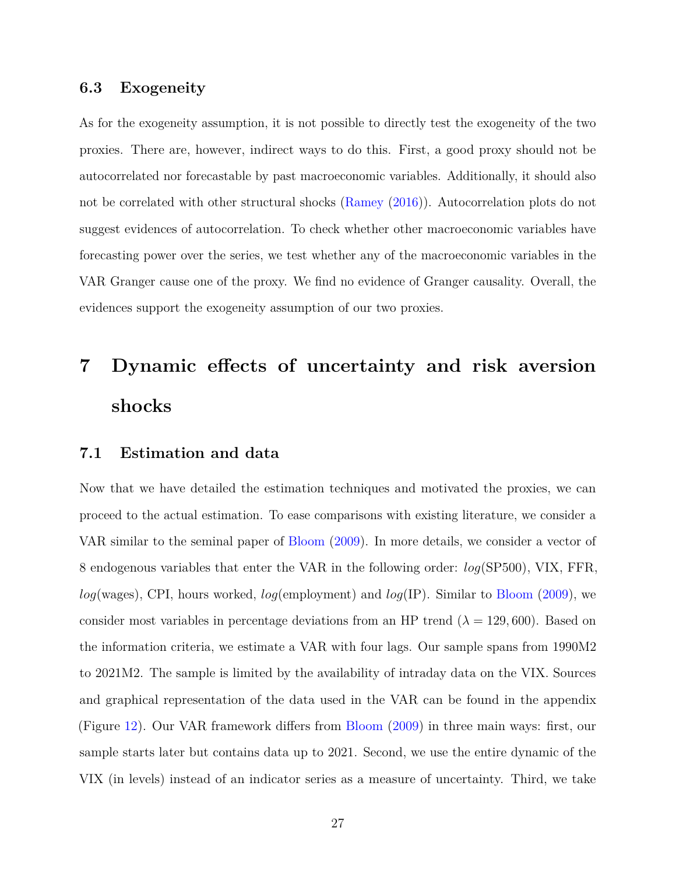# **6.3 Exogeneity**

As for the exogeneity assumption, it is not possible to directly test the exogeneity of the two proxies. There are, however, indirect ways to do this. First, a good proxy should not be autocorrelated nor forecastable by past macroeconomic variables. Additionally, it should also not be correlated with other structural shocks [\(Ramey](#page-46-9) [\(2016\)](#page-46-9)). Autocorrelation plots do not suggest evidences of autocorrelation. To check whether other macroeconomic variables have forecasting power over the series, we test whether any of the macroeconomic variables in the VAR Granger cause one of the proxy. We find no evidence of Granger causality. Overall, the evidences support the exogeneity assumption of our two proxies.

# <span id="page-26-0"></span>**7 Dynamic effects of uncertainty and risk aversion shocks**

### **7.1 Estimation and data**

Now that we have detailed the estimation techniques and motivated the proxies, we can proceed to the actual estimation. To ease comparisons with existing literature, we consider a VAR similar to the seminal paper of [Bloom](#page-43-1) [\(2009\)](#page-43-1). In more details, we consider a vector of 8 endogenous variables that enter the VAR in the following order: *log*(SP500), VIX, FFR, *log*(wages), CPI, hours worked, *log*(employment) and *log*(IP). Similar to [Bloom](#page-43-1) [\(2009\)](#page-43-1), we consider most variables in percentage deviations from an HP trend  $(\lambda = 129, 600)$ . Based on the information criteria, we estimate a VAR with four lags. Our sample spans from 1990M2 to 2021M2. The sample is limited by the availability of intraday data on the VIX. Sources and graphical representation of the data used in the VAR can be found in the appendix (Figure [12\)](#page-61-0). Our VAR framework differs from [Bloom](#page-43-1) [\(2009\)](#page-43-1) in three main ways: first, our sample starts later but contains data up to 2021. Second, we use the entire dynamic of the VIX (in levels) instead of an indicator series as a measure of uncertainty. Third, we take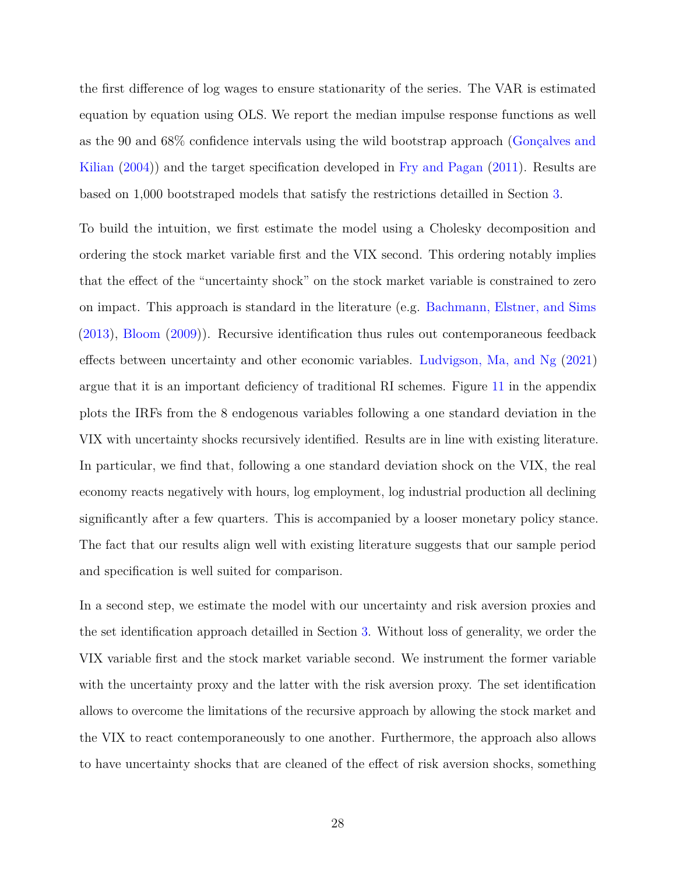the first difference of log wages to ensure stationarity of the series. The VAR is estimated equation by equation using OLS. We report the median impulse response functions as well as the 90 and 68% confidence intervals using the wild bootstrap approach [\(Gonçalves and](#page-45-4) [Kilian](#page-45-4) [\(2004\)](#page-45-4)) and the target specification developed in [Fry and Pagan](#page-44-8) [\(2011\)](#page-44-8). Results are based on 1,000 bootstraped models that satisfy the restrictions detailled in Section [3.](#page-8-0)

To build the intuition, we first estimate the model using a Cholesky decomposition and ordering the stock market variable first and the VIX second. This ordering notably implies that the effect of the "uncertainty shock" on the stock market variable is constrained to zero on impact. This approach is standard in the literature (e.g. [Bachmann, Elstner, and Sims](#page-42-3) [\(2013\)](#page-42-3), [Bloom](#page-43-1) [\(2009\)](#page-43-1)). Recursive identification thus rules out contemporaneous feedback effects between uncertainty and other economic variables. [Ludvigson, Ma, and Ng](#page-46-2) [\(2021\)](#page-46-2) argue that it is an important deficiency of traditional RI schemes. Figure [11](#page-60-0) in the appendix plots the IRFs from the 8 endogenous variables following a one standard deviation in the VIX with uncertainty shocks recursively identified. Results are in line with existing literature. In particular, we find that, following a one standard deviation shock on the VIX, the real economy reacts negatively with hours, log employment, log industrial production all declining significantly after a few quarters. This is accompanied by a looser monetary policy stance. The fact that our results align well with existing literature suggests that our sample period and specification is well suited for comparison.

In a second step, we estimate the model with our uncertainty and risk aversion proxies and the set identification approach detailled in Section [3.](#page-8-0) Without loss of generality, we order the VIX variable first and the stock market variable second. We instrument the former variable with the uncertainty proxy and the latter with the risk aversion proxy. The set identification allows to overcome the limitations of the recursive approach by allowing the stock market and the VIX to react contemporaneously to one another. Furthermore, the approach also allows to have uncertainty shocks that are cleaned of the effect of risk aversion shocks, something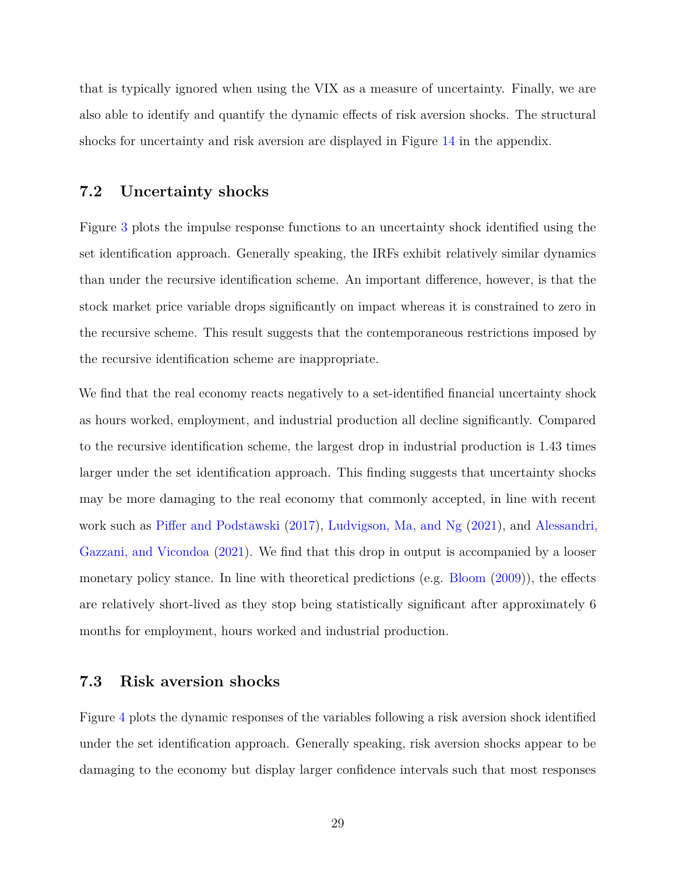that is typically ignored when using the VIX as a measure of uncertainty. Finally, we are also able to identify and quantify the dynamic effects of risk aversion shocks. The structural shocks for uncertainty and risk aversion are displayed in Figure [14](#page-63-0) in the appendix.

### **7.2 Uncertainty shocks**

Figure [3](#page-29-0) plots the impulse response functions to an uncertainty shock identified using the set identification approach. Generally speaking, the IRFs exhibit relatively similar dynamics than under the recursive identification scheme. An important difference, however, is that the stock market price variable drops significantly on impact whereas it is constrained to zero in the recursive scheme. This result suggests that the contemporaneous restrictions imposed by the recursive identification scheme are inappropriate.

We find that the real economy reacts negatively to a set-identified financial uncertainty shock as hours worked, employment, and industrial production all decline significantly. Compared to the recursive identification scheme, the largest drop in industrial production is 1.43 times larger under the set identification approach. This finding suggests that uncertainty shocks may be more damaging to the real economy that commonly accepted, in line with recent work such as [Piffer and Podstawski](#page-46-0) [\(2017\)](#page-46-0), [Ludvigson, Ma, and Ng](#page-46-2) [\(2021\)](#page-46-2), and [Alessandri,](#page-42-10) [Gazzani, and Vicondoa](#page-42-10) [\(2021\)](#page-42-10). We find that this drop in output is accompanied by a looser monetary policy stance. In line with theoretical predictions (e.g. [Bloom](#page-43-1) [\(2009\)](#page-43-1)), the effects are relatively short-lived as they stop being statistically significant after approximately 6 months for employment, hours worked and industrial production.

# **7.3 Risk aversion shocks**

Figure [4](#page-31-0) plots the dynamic responses of the variables following a risk aversion shock identified under the set identification approach. Generally speaking, risk aversion shocks appear to be damaging to the economy but display larger confidence intervals such that most responses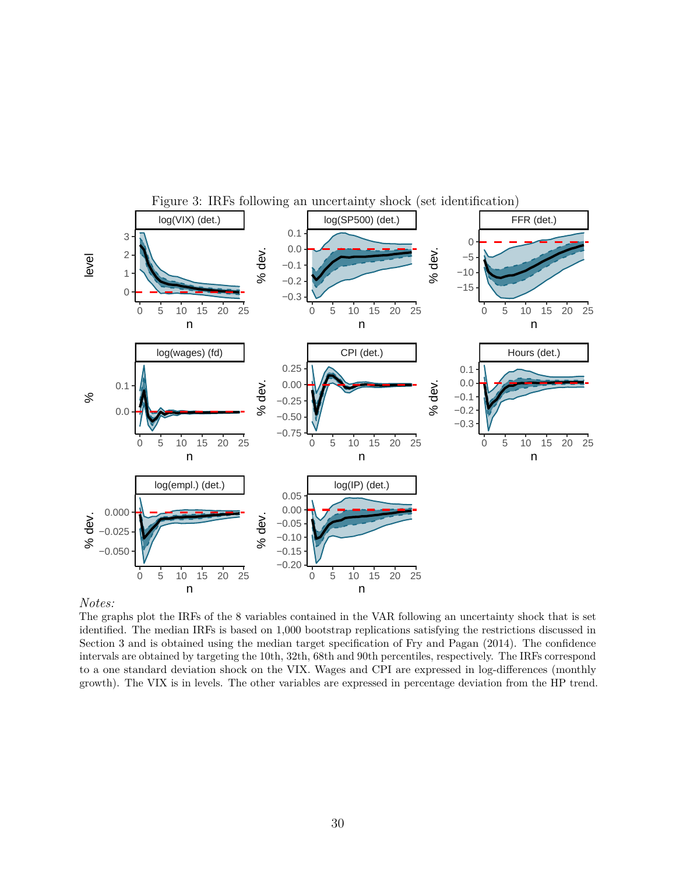<span id="page-29-0"></span>

#### *Notes:*

The graphs plot the IRFs of the 8 variables contained in the VAR following an uncertainty shock that is set identified. The median IRFs is based on 1,000 bootstrap replications satisfying the restrictions discussed in Section 3 and is obtained using the median target specification of Fry and Pagan (2014). The confidence intervals are obtained by targeting the 10th, 32th, 68th and 90th percentiles, respectively. The IRFs correspond to a one standard deviation shock on the VIX. Wages and CPI are expressed in log-differences (monthly growth). The VIX is in levels. The other variables are expressed in percentage deviation from the HP trend.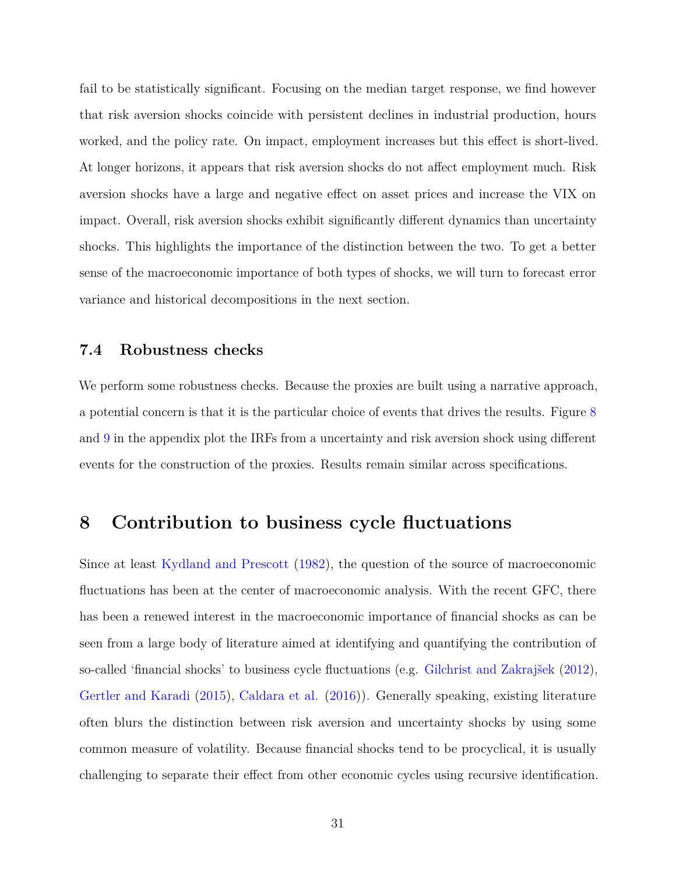fail to be statistically significant. Focusing on the median target response, we find however that risk aversion shocks coincide with persistent declines in industrial production, hours worked, and the policy rate. On impact, employment increases but this effect is short-lived. At longer horizons, it appears that risk aversion shocks do not affect employment much. Risk aversion shocks have a large and negative effect on asset prices and increase the VIX on impact. Overall, risk aversion shocks exhibit significantly different dynamics than uncertainty shocks. This highlights the importance of the distinction between the two. To get a better sense of the macroeconomic importance of both types of shocks, we will turn to forecast error variance and historical decompositions in the next section.

### **7.4 Robustness checks**

We perform some robustness checks. Because the proxies are built using a narrative approach, a potential concern is that it is the particular choice of events that drives the results. Figure [8](#page-55-0) and [9](#page-56-0) in the appendix plot the IRFs from a uncertainty and risk aversion shock using different events for the construction of the proxies. Results remain similar across specifications.

# <span id="page-30-0"></span>**8 Contribution to business cycle fluctuations**

Since at least [Kydland and Prescott](#page-46-10) [\(1982\)](#page-46-10), the question of the source of macroeconomic fluctuations has been at the center of macroeconomic analysis. With the recent GFC, there has been a renewed interest in the macroeconomic importance of financial shocks as can be seen from a large body of literature aimed at identifying and quantifying the contribution of so-called 'financial shocks' to business cycle fluctuations (e.g. [Gilchrist and Zakrajšek](#page-45-2) [\(2012\)](#page-45-2), [Gertler and Karadi](#page-44-3) [\(2015\)](#page-44-3), [Caldara et al.](#page-43-9) [\(2016\)](#page-43-9)). Generally speaking, existing literature often blurs the distinction between risk aversion and uncertainty shocks by using some common measure of volatility. Because financial shocks tend to be procyclical, it is usually challenging to separate their effect from other economic cycles using recursive identification.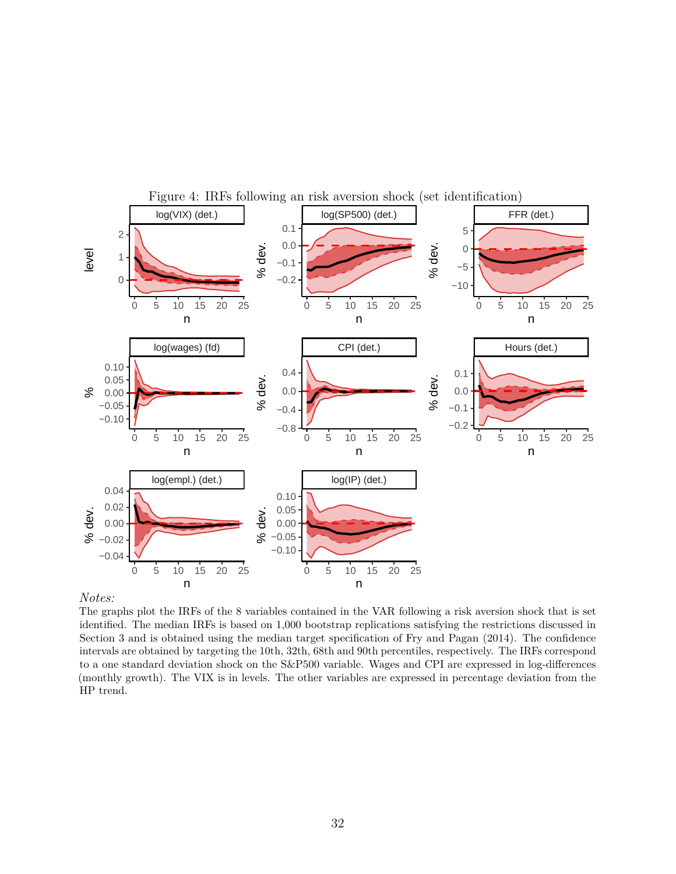<span id="page-31-0"></span>

#### *Notes:*

The graphs plot the IRFs of the 8 variables contained in the VAR following a risk aversion shock that is set identified. The median IRFs is based on 1,000 bootstrap replications satisfying the restrictions discussed in Section 3 and is obtained using the median target specification of Fry and Pagan (2014). The confidence intervals are obtained by targeting the 10th, 32th, 68th and 90th percentiles, respectively. The IRFs correspond to a one standard deviation shock on the S&P500 variable. Wages and CPI are expressed in log-differences (monthly growth). The VIX is in levels. The other variables are expressed in percentage deviation from the HP trend.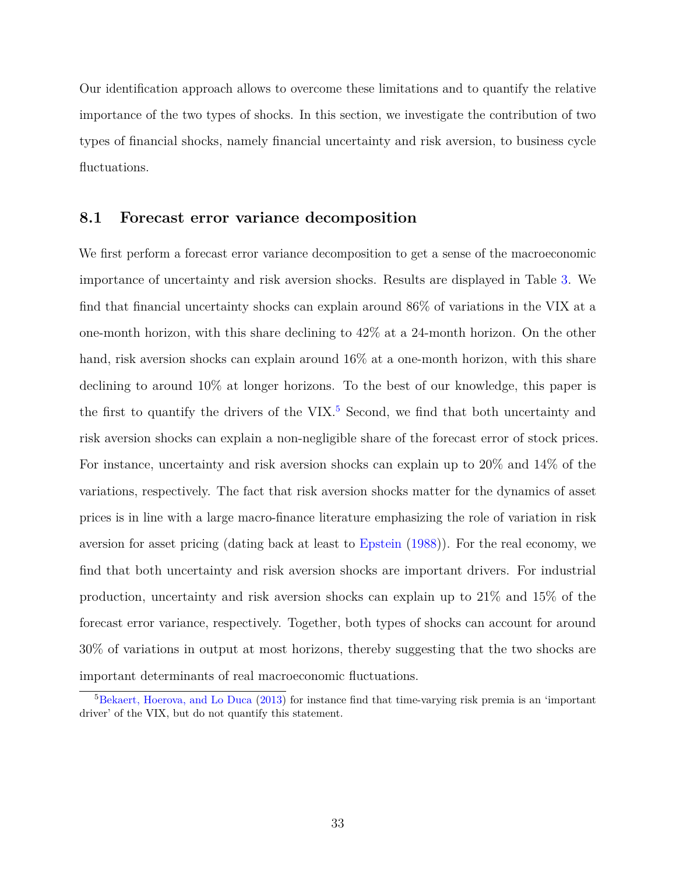Our identification approach allows to overcome these limitations and to quantify the relative importance of the two types of shocks. In this section, we investigate the contribution of two types of financial shocks, namely financial uncertainty and risk aversion, to business cycle fluctuations.

# **8.1 Forecast error variance decomposition**

We first perform a forecast error variance decomposition to get a sense of the macroeconomic importance of uncertainty and risk aversion shocks. Results are displayed in Table [3.](#page-33-0) We find that financial uncertainty shocks can explain around 86% of variations in the VIX at a one-month horizon, with this share declining to 42% at a 24-month horizon. On the other hand, risk aversion shocks can explain around  $16\%$  at a one-month horizon, with this share declining to around 10% at longer horizons. To the best of our knowledge, this paper is the first to quantify the drivers of the VIX.<sup>[5](#page-0-0)</sup> Second, we find that both uncertainty and risk aversion shocks can explain a non-negligible share of the forecast error of stock prices. For instance, uncertainty and risk aversion shocks can explain up to 20% and 14% of the variations, respectively. The fact that risk aversion shocks matter for the dynamics of asset prices is in line with a large macro-finance literature emphasizing the role of variation in risk aversion for asset pricing (dating back at least to [Epstein](#page-44-10) [\(1988\)](#page-44-10)). For the real economy, we find that both uncertainty and risk aversion shocks are important drivers. For industrial production, uncertainty and risk aversion shocks can explain up to 21% and 15% of the forecast error variance, respectively. Together, both types of shocks can account for around 30% of variations in output at most horizons, thereby suggesting that the two shocks are important determinants of real macroeconomic fluctuations.

<sup>5</sup>[Bekaert, Hoerova, and Lo Duca](#page-42-0) [\(2013\)](#page-42-0) for instance find that time-varying risk premia is an 'important driver' of the VIX, but do not quantify this statement.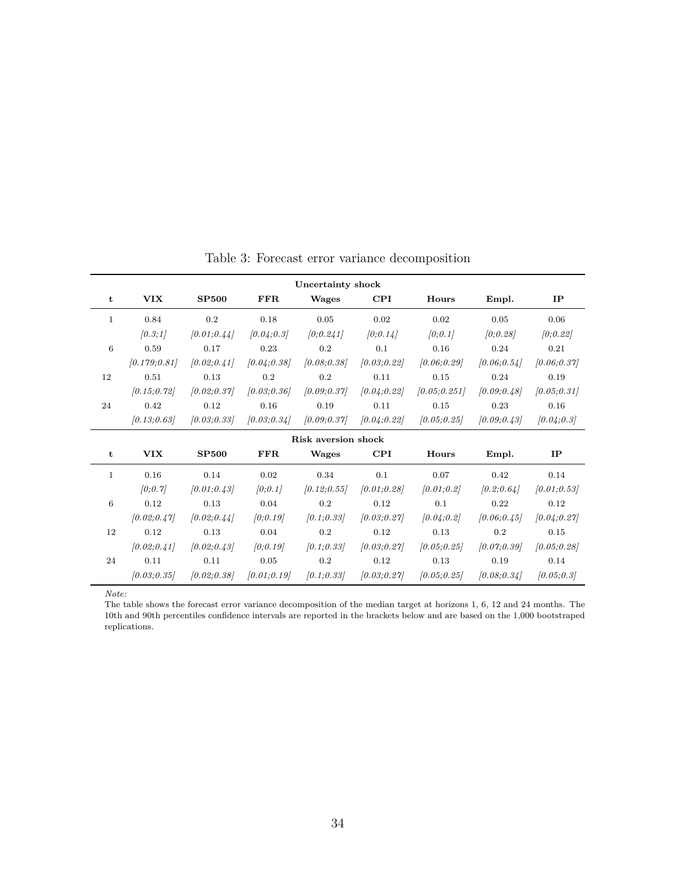<span id="page-33-0"></span>

| Uncertainty shock |              |                     |              |              |              |               |              |              |  |  |
|-------------------|--------------|---------------------|--------------|--------------|--------------|---------------|--------------|--------------|--|--|
| t                 | <b>VIX</b>   | <b>SP500</b>        | <b>FFR</b>   | Wages        | $\bf CPI$    | Hours         | Empl.        | $_{\rm IP}$  |  |  |
| $\mathbf{1}$      | 0.84         | 0.2                 | 0.18         | 0.05         | 0.02         | 0.02          | 0.05         | 0.06         |  |  |
|                   | [0.3;1]      | [0.01; 0.44]        | [0.04; 0.3]  | [0, 0.241]   | [0, 0.14]    | [0, 0.1]      | [0;0.28]     | [0, 0.22]    |  |  |
| 6                 | 0.59         | 0.17                | 0.23         | 0.2          | 0.1          | 0.16          | 0.24         | 0.21         |  |  |
|                   | [0.179:0.81] | [0.02; 0.41]        | [0.04; 0.38] | [0.08; 0.38] | [0.03; 0.22] | [0.06; 0.29]  | [0.06; 0.54] | [0.06, 0.37] |  |  |
| 12                | 0.51         | 0.13                | 0.2          | 0.2          | 0.11         | 0.15          | 0.24         | 0.19         |  |  |
|                   | [0.15; 0.72] | [0.02; 0.37]        | [0.03; 0.36] | [0.09; 0.37] | [0.04; 0.22] | [0.05; 0.251] | [0.09; 0.48] | [0.05; 0.31] |  |  |
| 24                | 0.42         | 0.12                | 0.16         | 0.19         | 0.11         | 0.15          | 0.23         | 0.16         |  |  |
|                   | [0.13; 0.63] | [0.03; 0.33]        | [0.03; 0.34] | [0.09; 0.37] | [0.04; 0.22] | [0.05; 0.25]  | [0.09; 0.43] | [0.04; 0.3]  |  |  |
|                   |              | Risk aversion shock |              |              |              |               |              |              |  |  |
|                   |              |                     |              |              |              |               |              |              |  |  |
| t                 | <b>VIX</b>   | <b>SP500</b>        | <b>FFR</b>   | Wages        | $\rm CPI$    | Hours         | Empl.        | IP           |  |  |
| $\mathbf{1}$      | 0.16         | 0.14                | 0.02         | 0.34         | 0.1          | 0.07          | 0.42         | 0.14         |  |  |
|                   | [0, 0.7]     | [0.01; 0.43]        | [0, 0.1]     | [0.12; 0.55] | [0.01; 0.28] | [0.01; 0.2]   | [0.2; 0.64]  | [0.01; 0.53] |  |  |
| 6                 | 0.12         | 0.13                | 0.04         | 0.2          | 0.12         | 0.1           | 0.22         | 0.12         |  |  |
|                   | [0.02; 0.47] | [0.02; 0.44]        | [0:0.19]     | [0.1; 0.33]  | [0.03; 0.27] | [0.04; 0.2]   | [0.06; 0.45] | [0.04; 0.27] |  |  |
| 12                | 0.12         | 0.13                | 0.04         | 0.2          | 0.12         | 0.13          | 0.2          | 0.15         |  |  |
|                   | [0.02; 0.41] | [0.02; 0.43]        | [0:0.19]     | [0.1; 0.33]  | [0.03; 0.27] | [0.05; 0.25]  | [0.07; 0.39] | [0.05; 0.28] |  |  |
| 24                | 0.11         | 0.11                | 0.05         | 0.2          | 0.12         | 0.13          | 0.19         | 0.14         |  |  |

Table 3: Forecast error variance decomposition

*Note:*

The table shows the forecast error variance decomposition of the median target at horizons 1, 6, 12 and 24 months. The 10th and 90th percentiles confidence intervals are reported in the brackets below and are based on the 1,000 bootstraped replications.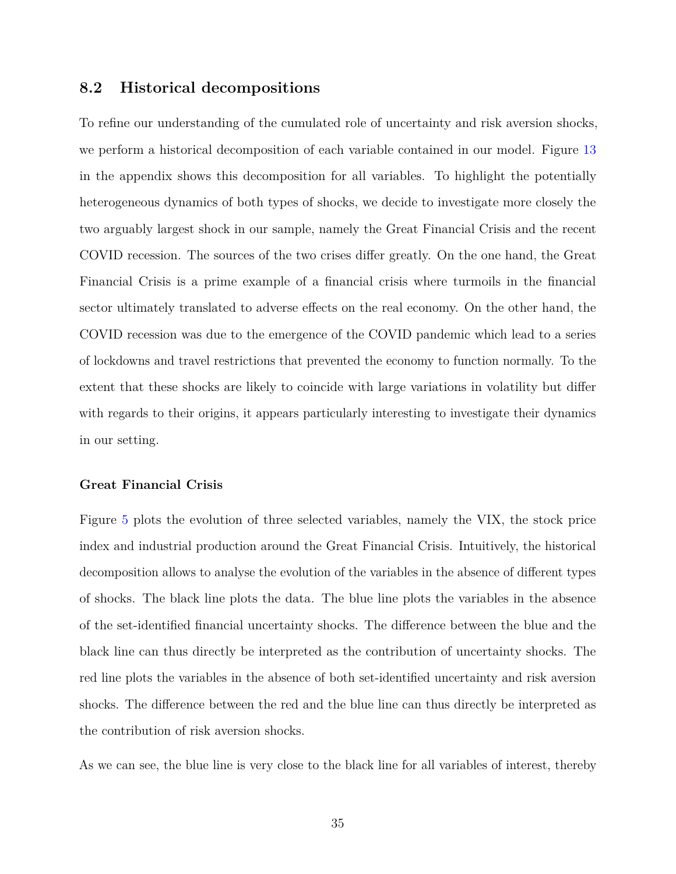# **8.2 Historical decompositions**

To refine our understanding of the cumulated role of uncertainty and risk aversion shocks, we perform a historical decomposition of each variable contained in our model. Figure [13](#page-62-0) in the appendix shows this decomposition for all variables. To highlight the potentially heterogeneous dynamics of both types of shocks, we decide to investigate more closely the two arguably largest shock in our sample, namely the Great Financial Crisis and the recent COVID recession. The sources of the two crises differ greatly. On the one hand, the Great Financial Crisis is a prime example of a financial crisis where turmoils in the financial sector ultimately translated to adverse effects on the real economy. On the other hand, the COVID recession was due to the emergence of the COVID pandemic which lead to a series of lockdowns and travel restrictions that prevented the economy to function normally. To the extent that these shocks are likely to coincide with large variations in volatility but differ with regards to their origins, it appears particularly interesting to investigate their dynamics in our setting.

#### **Great Financial Crisis**

Figure [5](#page-36-0) plots the evolution of three selected variables, namely the VIX, the stock price index and industrial production around the Great Financial Crisis. Intuitively, the historical decomposition allows to analyse the evolution of the variables in the absence of different types of shocks. The black line plots the data. The blue line plots the variables in the absence of the set-identified financial uncertainty shocks. The difference between the blue and the black line can thus directly be interpreted as the contribution of uncertainty shocks. The red line plots the variables in the absence of both set-identified uncertainty and risk aversion shocks. The difference between the red and the blue line can thus directly be interpreted as the contribution of risk aversion shocks.

As we can see, the blue line is very close to the black line for all variables of interest, thereby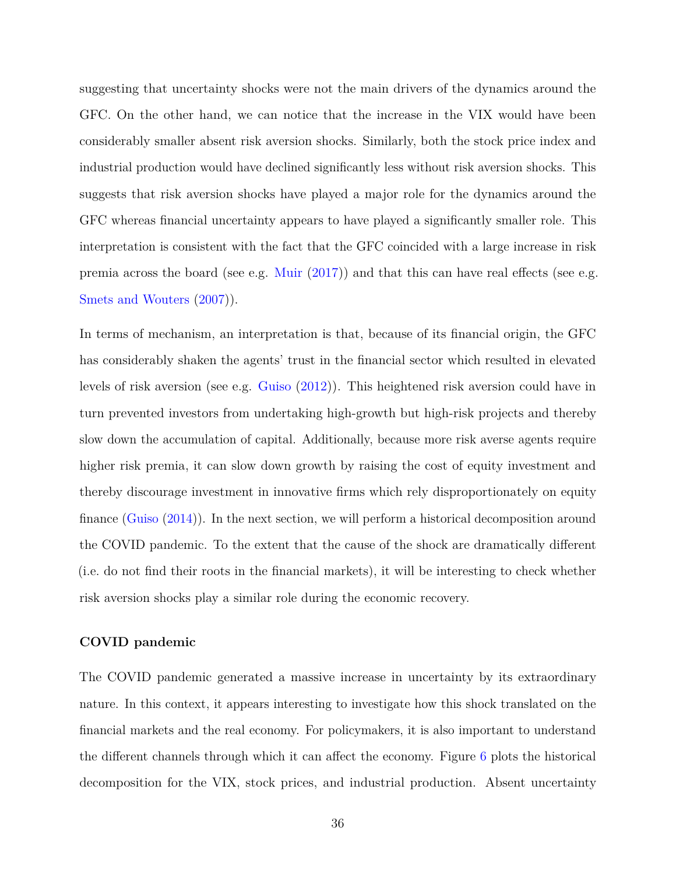suggesting that uncertainty shocks were not the main drivers of the dynamics around the GFC. On the other hand, we can notice that the increase in the VIX would have been considerably smaller absent risk aversion shocks. Similarly, both the stock price index and industrial production would have declined significantly less without risk aversion shocks. This suggests that risk aversion shocks have played a major role for the dynamics around the GFC whereas financial uncertainty appears to have played a significantly smaller role. This interpretation is consistent with the fact that the GFC coincided with a large increase in risk premia across the board (see e.g. [Muir](#page-46-11) [\(2017\)](#page-46-11)) and that this can have real effects (see e.g. [Smets and Wouters](#page-46-5) [\(2007\)](#page-46-5)).

In terms of mechanism, an interpretation is that, because of its financial origin, the GFC has considerably shaken the agents' trust in the financial sector which resulted in elevated levels of risk aversion (see e.g. [Guiso](#page-45-9) [\(2012\)](#page-45-9)). This heightened risk aversion could have in turn prevented investors from undertaking high-growth but high-risk projects and thereby slow down the accumulation of capital. Additionally, because more risk averse agents require higher risk premia, it can slow down growth by raising the cost of equity investment and thereby discourage investment in innovative firms which rely disproportionately on equity finance [\(Guiso](#page-45-10) [\(2014\)](#page-45-10)). In the next section, we will perform a historical decomposition around the COVID pandemic. To the extent that the cause of the shock are dramatically different (i.e. do not find their roots in the financial markets), it will be interesting to check whether risk aversion shocks play a similar role during the economic recovery.

#### **COVID pandemic**

The COVID pandemic generated a massive increase in uncertainty by its extraordinary nature. In this context, it appears interesting to investigate how this shock translated on the financial markets and the real economy. For policymakers, it is also important to understand the different channels through which it can affect the economy. Figure [6](#page-38-0) plots the historical decomposition for the VIX, stock prices, and industrial production. Absent uncertainty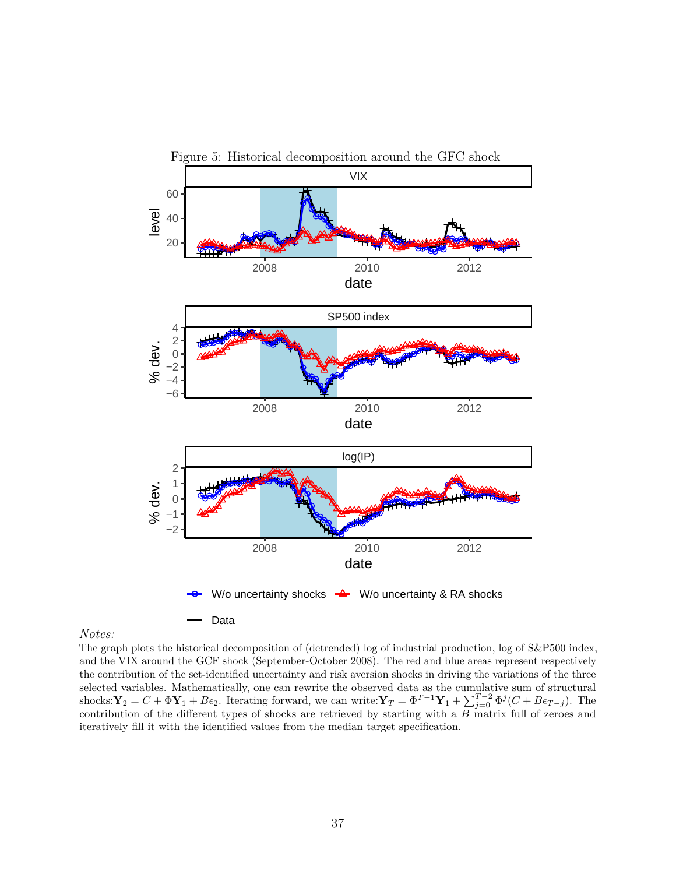<span id="page-36-0"></span>

#### *Notes:*

The graph plots the historical decomposition of (detrended) log of industrial production, log of S&P500 index, and the VIX around the GCF shock (September-October 2008). The red and blue areas represent respectively the contribution of the set-identified uncertainty and risk aversion shocks in driving the variations of the three selected variables. Mathematically, one can rewrite the observed data as the cumulative sum of structural shocks:  $\mathbf{Y}_2 = C + \Phi \mathbf{Y}_1 + B\epsilon_2$ . Iterating forward, we can write:  $\mathbf{Y}_T = \Phi^{T-1} \mathbf{Y}_1 + \sum_{j=0}^{T-2} \Phi^j (C + B\epsilon_{T-j})$ . The contribution of the different types of shocks are retrieved by starting with a *B* matrix full of zeroes and iteratively fill it with the identified values from the median target specification.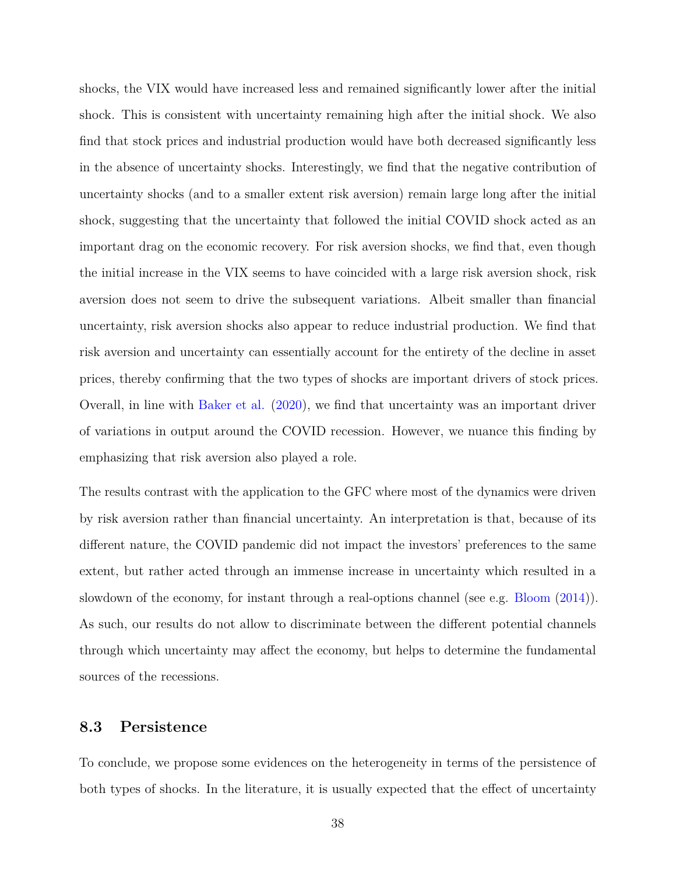shocks, the VIX would have increased less and remained significantly lower after the initial shock. This is consistent with uncertainty remaining high after the initial shock. We also find that stock prices and industrial production would have both decreased significantly less in the absence of uncertainty shocks. Interestingly, we find that the negative contribution of uncertainty shocks (and to a smaller extent risk aversion) remain large long after the initial shock, suggesting that the uncertainty that followed the initial COVID shock acted as an important drag on the economic recovery. For risk aversion shocks, we find that, even though the initial increase in the VIX seems to have coincided with a large risk aversion shock, risk aversion does not seem to drive the subsequent variations. Albeit smaller than financial uncertainty, risk aversion shocks also appear to reduce industrial production. We find that risk aversion and uncertainty can essentially account for the entirety of the decline in asset prices, thereby confirming that the two types of shocks are important drivers of stock prices. Overall, in line with [Baker et al.](#page-42-2) [\(2020\)](#page-42-2), we find that uncertainty was an important driver of variations in output around the COVID recession. However, we nuance this finding by emphasizing that risk aversion also played a role.

The results contrast with the application to the GFC where most of the dynamics were driven by risk aversion rather than financial uncertainty. An interpretation is that, because of its different nature, the COVID pandemic did not impact the investors' preferences to the same extent, but rather acted through an immense increase in uncertainty which resulted in a slowdown of the economy, for instant through a real-options channel (see e.g. [Bloom](#page-43-0) [\(2014\)](#page-43-0)). As such, our results do not allow to discriminate between the different potential channels through which uncertainty may affect the economy, but helps to determine the fundamental sources of the recessions.

### **8.3 Persistence**

To conclude, we propose some evidences on the heterogeneity in terms of the persistence of both types of shocks. In the literature, it is usually expected that the effect of uncertainty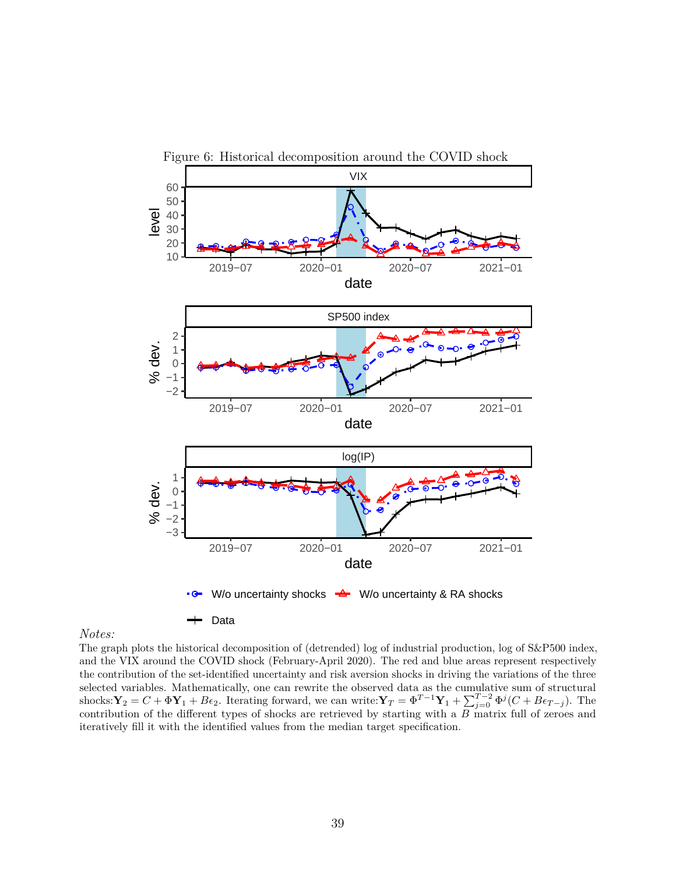<span id="page-38-0"></span>

#### *Notes:*

The graph plots the historical decomposition of (detrended) log of industrial production, log of S&P500 index, and the VIX around the COVID shock (February-April 2020). The red and blue areas represent respectively the contribution of the set-identified uncertainty and risk aversion shocks in driving the variations of the three selected variables. Mathematically, one can rewrite the observed data as the cumulative sum of structural shocks:  $\mathbf{Y}_2 = C + \Phi \mathbf{Y}_1 + B\epsilon_2$ . Iterating forward, we can write:  $\mathbf{Y}_T = \Phi^{T-1} \mathbf{Y}_1 + \sum_{j=0}^{T-2} \Phi^j (C + B\epsilon_{T-j})$ . The contribution of the different types of shocks are retrieved by starting with a *B* matrix full of zeroes and iteratively fill it with the identified values from the median target specification.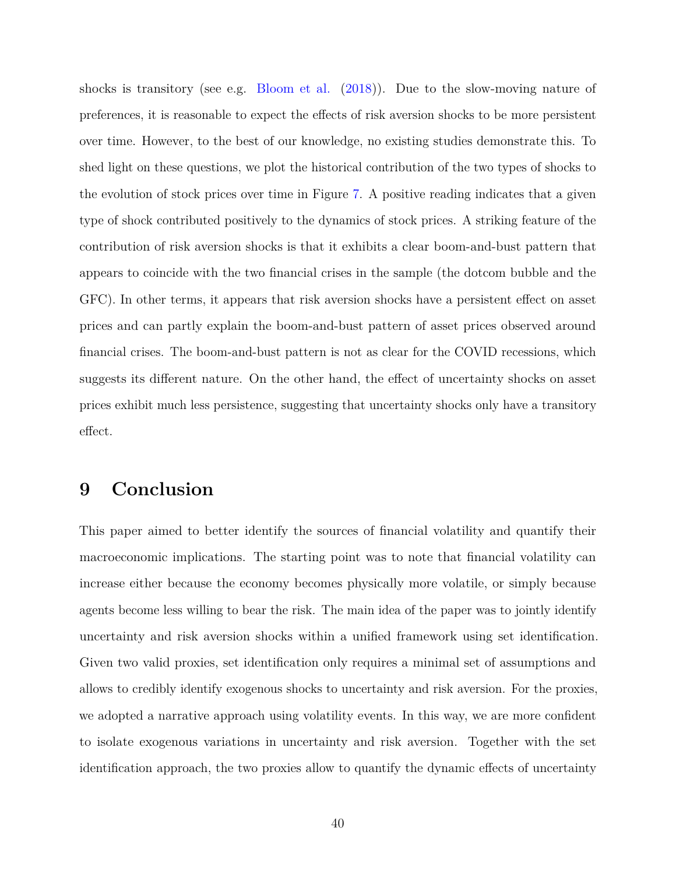shocks is transitory (see e.g. [Bloom et al.](#page-43-4) [\(2018\)](#page-43-4)). Due to the slow-moving nature of preferences, it is reasonable to expect the effects of risk aversion shocks to be more persistent over time. However, to the best of our knowledge, no existing studies demonstrate this. To shed light on these questions, we plot the historical contribution of the two types of shocks to the evolution of stock prices over time in Figure [7.](#page-40-0) A positive reading indicates that a given type of shock contributed positively to the dynamics of stock prices. A striking feature of the contribution of risk aversion shocks is that it exhibits a clear boom-and-bust pattern that appears to coincide with the two financial crises in the sample (the dotcom bubble and the GFC). In other terms, it appears that risk aversion shocks have a persistent effect on asset prices and can partly explain the boom-and-bust pattern of asset prices observed around financial crises. The boom-and-bust pattern is not as clear for the COVID recessions, which suggests its different nature. On the other hand, the effect of uncertainty shocks on asset prices exhibit much less persistence, suggesting that uncertainty shocks only have a transitory effect.

# <span id="page-39-0"></span>**9 Conclusion**

This paper aimed to better identify the sources of financial volatility and quantify their macroeconomic implications. The starting point was to note that financial volatility can increase either because the economy becomes physically more volatile, or simply because agents become less willing to bear the risk. The main idea of the paper was to jointly identify uncertainty and risk aversion shocks within a unified framework using set identification. Given two valid proxies, set identification only requires a minimal set of assumptions and allows to credibly identify exogenous shocks to uncertainty and risk aversion. For the proxies, we adopted a narrative approach using volatility events. In this way, we are more confident to isolate exogenous variations in uncertainty and risk aversion. Together with the set identification approach, the two proxies allow to quantify the dynamic effects of uncertainty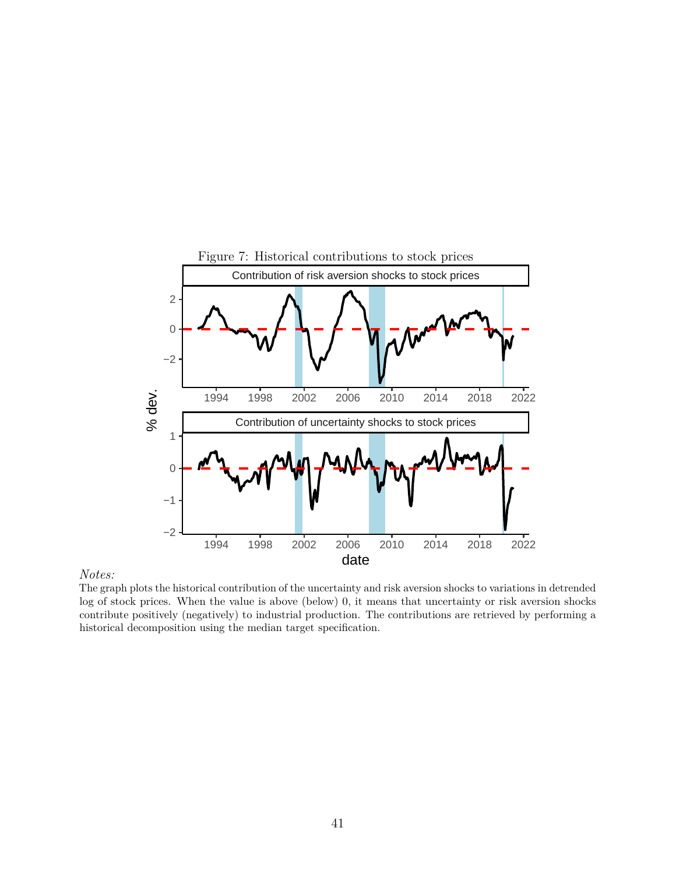<span id="page-40-0"></span>

#### *Notes:*

The graph plots the historical contribution of the uncertainty and risk aversion shocks to variations in detrended log of stock prices. When the value is above (below) 0, it means that uncertainty or risk aversion shocks contribute positively (negatively) to industrial production. The contributions are retrieved by performing a historical decomposition using the median target specification.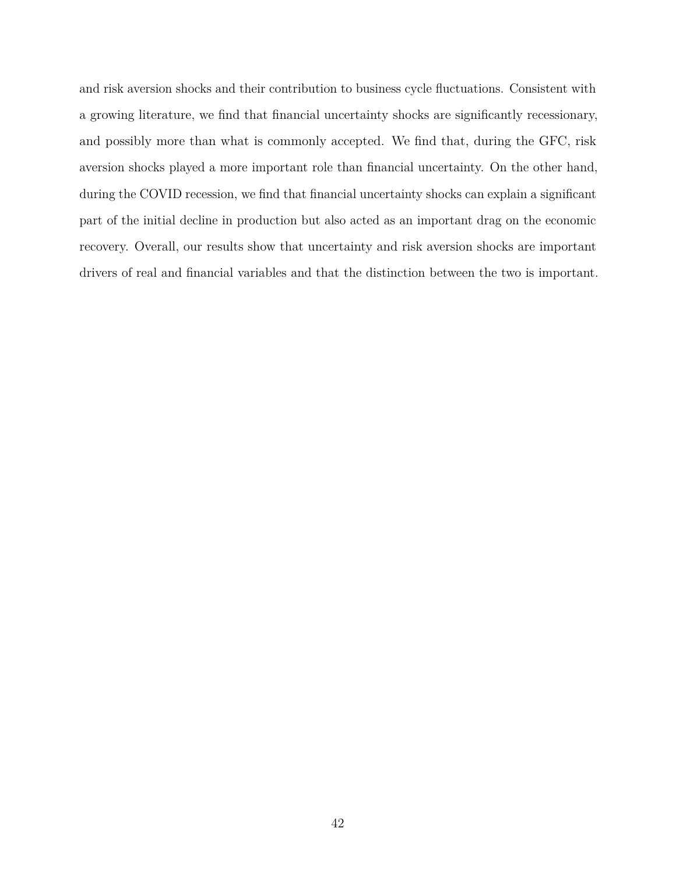and risk aversion shocks and their contribution to business cycle fluctuations. Consistent with a growing literature, we find that financial uncertainty shocks are significantly recessionary, and possibly more than what is commonly accepted. We find that, during the GFC, risk aversion shocks played a more important role than financial uncertainty. On the other hand, during the COVID recession, we find that financial uncertainty shocks can explain a significant part of the initial decline in production but also acted as an important drag on the economic recovery. Overall, our results show that uncertainty and risk aversion shocks are important drivers of real and financial variables and that the distinction between the two is important.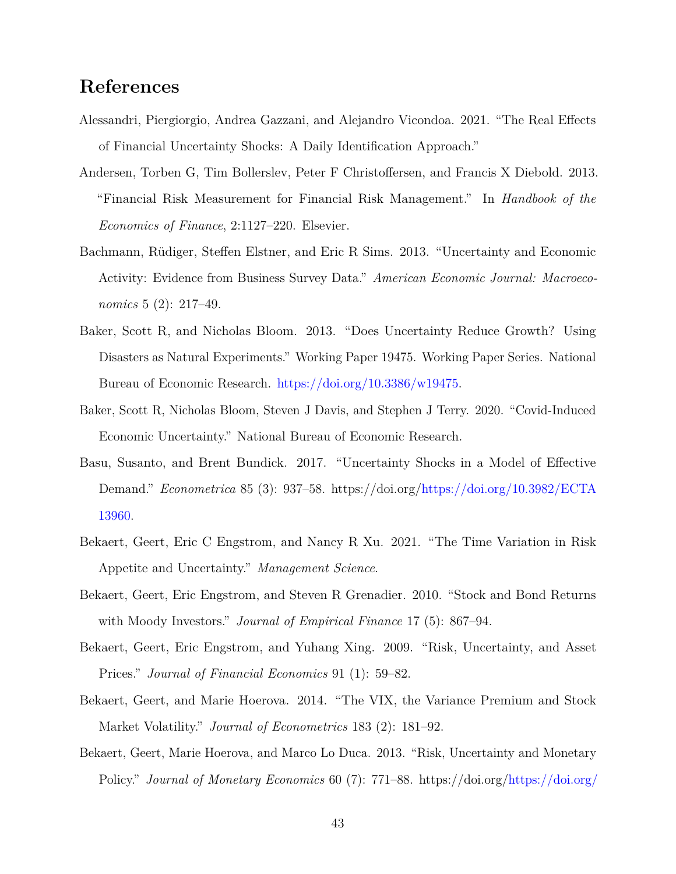# **References**

- <span id="page-42-10"></span>Alessandri, Piergiorgio, Andrea Gazzani, and Alejandro Vicondoa. 2021. "The Real Effects of Financial Uncertainty Shocks: A Daily Identification Approach."
- <span id="page-42-7"></span>Andersen, Torben G, Tim Bollerslev, Peter F Christoffersen, and Francis X Diebold. 2013. "Financial Risk Measurement for Financial Risk Management." In *Handbook of the Economics of Finance*, 2:1127–220. Elsevier.
- <span id="page-42-3"></span>Bachmann, Rüdiger, Steffen Elstner, and Eric R Sims. 2013. "Uncertainty and Economic Activity: Evidence from Business Survey Data." *American Economic Journal: Macroeconomics* 5 (2): 217–49.
- <span id="page-42-4"></span>Baker, Scott R, and Nicholas Bloom. 2013. "Does Uncertainty Reduce Growth? Using Disasters as Natural Experiments." Working Paper 19475. Working Paper Series. National Bureau of Economic Research. [https://doi.org/10.3386/w19475.](https://doi.org/10.3386/w19475)
- <span id="page-42-2"></span>Baker, Scott R, Nicholas Bloom, Steven J Davis, and Stephen J Terry. 2020. "Covid-Induced Economic Uncertainty." National Bureau of Economic Research.
- <span id="page-42-5"></span>Basu, Susanto, and Brent Bundick. 2017. "Uncertainty Shocks in a Model of Effective Demand." *Econometrica* 85 (3): 937–58. https://doi.org[/https://doi.org/10.3982/ECTA](https://doi.org/10.3982/ECTA13960) [13960.](https://doi.org/10.3982/ECTA13960)
- <span id="page-42-1"></span>Bekaert, Geert, Eric C Engstrom, and Nancy R Xu. 2021. "The Time Variation in Risk Appetite and Uncertainty." *Management Science*.
- <span id="page-42-9"></span>Bekaert, Geert, Eric Engstrom, and Steven R Grenadier. 2010. "Stock and Bond Returns with Moody Investors." *Journal of Empirical Finance* 17 (5): 867–94.
- <span id="page-42-8"></span>Bekaert, Geert, Eric Engstrom, and Yuhang Xing. 2009. "Risk, Uncertainty, and Asset Prices." *Journal of Financial Economics* 91 (1): 59–82.
- <span id="page-42-6"></span>Bekaert, Geert, and Marie Hoerova. 2014. "The VIX, the Variance Premium and Stock Market Volatility." *Journal of Econometrics* 183 (2): 181–92.
- <span id="page-42-0"></span>Bekaert, Geert, Marie Hoerova, and Marco Lo Duca. 2013. "Risk, Uncertainty and Monetary Policy." *Journal of Monetary Economics* 60 (7): 771–88. https://doi.org[/https://doi.org/](https://doi.org/10.1016/j.jmoneco.2013.06.003)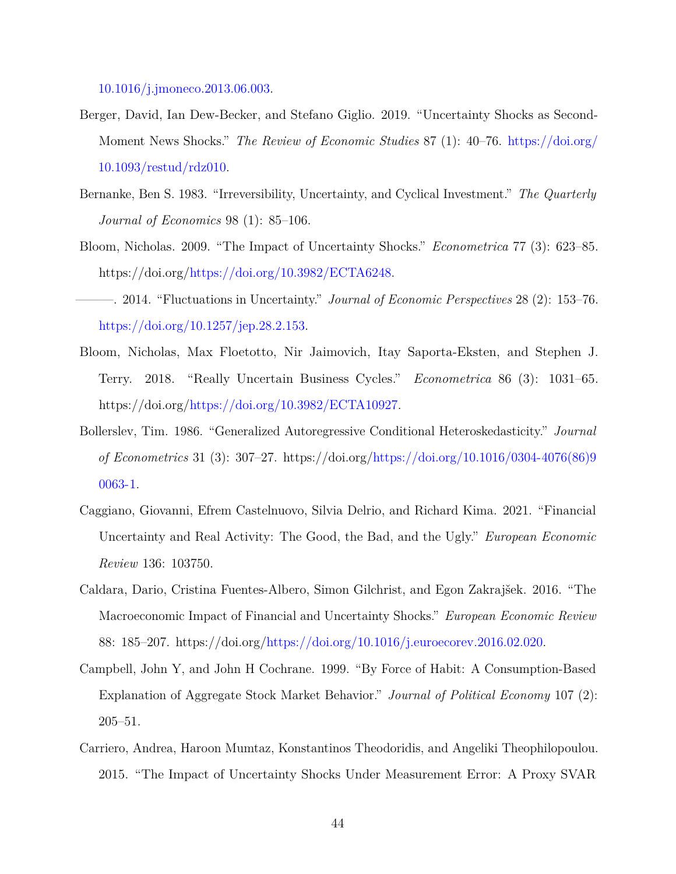[10.1016/j.jmoneco.2013.06.003.](https://doi.org/10.1016/j.jmoneco.2013.06.003)

- <span id="page-43-3"></span>Berger, David, Ian Dew-Becker, and Stefano Giglio. 2019. "Uncertainty Shocks as Second-Moment News Shocks." *The Review of Economic Studies* 87 (1): 40–76. [https://doi.org/](https://doi.org/10.1093/restud/rdz010) [10.1093/restud/rdz010.](https://doi.org/10.1093/restud/rdz010)
- <span id="page-43-2"></span>Bernanke, Ben S. 1983. "Irreversibility, Uncertainty, and Cyclical Investment." *The Quarterly Journal of Economics* 98 (1): 85–106.
- <span id="page-43-1"></span>Bloom, Nicholas. 2009. "The Impact of Uncertainty Shocks." *Econometrica* 77 (3): 623–85. https://doi.org[/https://doi.org/10.3982/ECTA6248.](https://doi.org/10.3982/ECTA6248)
- <span id="page-43-0"></span>———. 2014. "Fluctuations in Uncertainty." *Journal of Economic Perspectives* 28 (2): 153–76. [https://doi.org/10.1257/jep.28.2.153.](https://doi.org/10.1257/jep.28.2.153)
- <span id="page-43-4"></span>Bloom, Nicholas, Max Floetotto, Nir Jaimovich, Itay Saporta-Eksten, and Stephen J. Terry. 2018. "Really Uncertain Business Cycles." *Econometrica* 86 (3): 1031–65. https://doi.org[/https://doi.org/10.3982/ECTA10927.](https://doi.org/10.3982/ECTA10927)
- <span id="page-43-8"></span>Bollerslev, Tim. 1986. "Generalized Autoregressive Conditional Heteroskedasticity." *Journal of Econometrics* 31 (3): 307–27. https://doi.org[/https://doi.org/10.1016/0304-4076\(86\)9](https://doi.org/10.1016/0304-4076(86)90063-1) [0063-1.](https://doi.org/10.1016/0304-4076(86)90063-1)
- <span id="page-43-6"></span>Caggiano, Giovanni, Efrem Castelnuovo, Silvia Delrio, and Richard Kima. 2021. "Financial Uncertainty and Real Activity: The Good, the Bad, and the Ugly." *European Economic Review* 136: 103750.
- <span id="page-43-9"></span>Caldara, Dario, Cristina Fuentes-Albero, Simon Gilchrist, and Egon Zakrajšek. 2016. "The Macroeconomic Impact of Financial and Uncertainty Shocks." *European Economic Review* 88: 185–207. https://doi.org[/https://doi.org/10.1016/j.euroecorev.2016.02.020.](https://doi.org/10.1016/j.euroecorev.2016.02.020)
- <span id="page-43-7"></span>Campbell, John Y, and John H Cochrane. 1999. "By Force of Habit: A Consumption-Based Explanation of Aggregate Stock Market Behavior." *Journal of Political Economy* 107 (2): 205–51.
- <span id="page-43-5"></span>Carriero, Andrea, Haroon Mumtaz, Konstantinos Theodoridis, and Angeliki Theophilopoulou. 2015. "The Impact of Uncertainty Shocks Under Measurement Error: A Proxy SVAR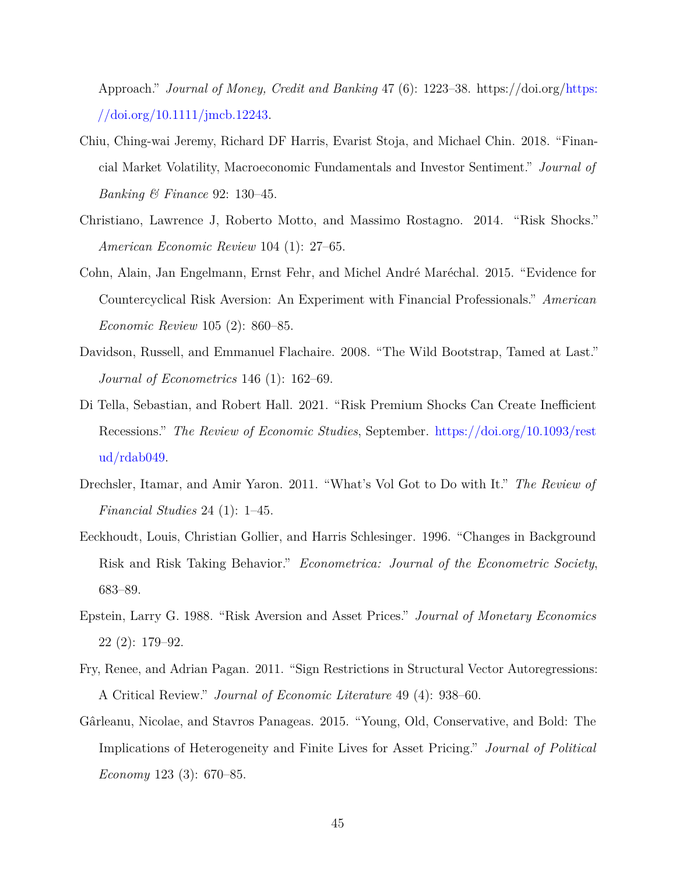Approach." *Journal of Money, Credit and Banking* 47 (6): 1223–38. https://doi.org[/https:](https://doi.org/10.1111/jmcb.12243) [//doi.org/10.1111/jmcb.12243.](https://doi.org/10.1111/jmcb.12243)

- <span id="page-44-4"></span>Chiu, Ching-wai Jeremy, Richard DF Harris, Evarist Stoja, and Michael Chin. 2018. "Financial Market Volatility, Macroeconomic Fundamentals and Investor Sentiment." *Journal of Banking & Finance* 92: 130–45.
- <span id="page-44-1"></span>Christiano, Lawrence J, Roberto Motto, and Massimo Rostagno. 2014. "Risk Shocks." *American Economic Review* 104 (1): 27–65.
- <span id="page-44-9"></span>Cohn, Alain, Jan Engelmann, Ernst Fehr, and Michel André Maréchal. 2015. "Evidence for Countercyclical Risk Aversion: An Experiment with Financial Professionals." *American Economic Review* 105 (2): 860–85.
- <span id="page-44-7"></span>Davidson, Russell, and Emmanuel Flachaire. 2008. "The Wild Bootstrap, Tamed at Last." *Journal of Econometrics* 146 (1): 162–69.
- <span id="page-44-6"></span>Di Tella, Sebastian, and Robert Hall. 2021. "Risk Premium Shocks Can Create Inefficient Recessions." *The Review of Economic Studies*, September. [https://doi.org/10.1093/rest](https://doi.org/10.1093/restud/rdab049) [ud/rdab049.](https://doi.org/10.1093/restud/rdab049)
- <span id="page-44-0"></span>Drechsler, Itamar, and Amir Yaron. 2011. "What's Vol Got to Do with It." *The Review of Financial Studies* 24 (1): 1–45.
- <span id="page-44-2"></span>Eeckhoudt, Louis, Christian Gollier, and Harris Schlesinger. 1996. "Changes in Background Risk and Risk Taking Behavior." *Econometrica: Journal of the Econometric Society*, 683–89.
- <span id="page-44-10"></span>Epstein, Larry G. 1988. "Risk Aversion and Asset Prices." *Journal of Monetary Economics* 22 (2): 179–92.
- <span id="page-44-8"></span>Fry, Renee, and Adrian Pagan. 2011. "Sign Restrictions in Structural Vector Autoregressions: A Critical Review." *Journal of Economic Literature* 49 (4): 938–60.
- <span id="page-44-5"></span><span id="page-44-3"></span>Gârleanu, Nicolae, and Stavros Panageas. 2015. "Young, Old, Conservative, and Bold: The Implications of Heterogeneity and Finite Lives for Asset Pricing." *Journal of Political Economy* 123 (3): 670–85.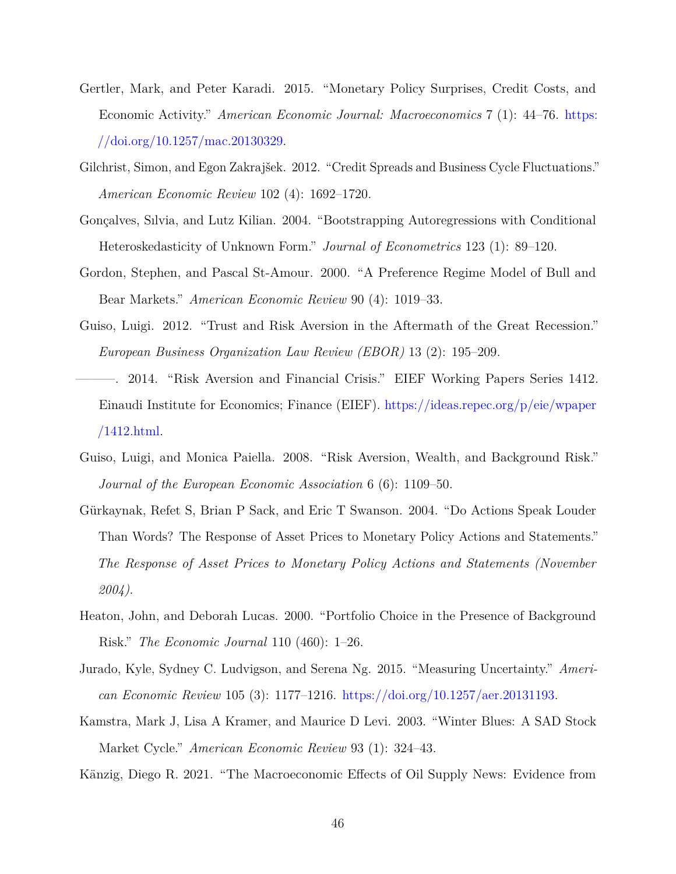- Gertler, Mark, and Peter Karadi. 2015. "Monetary Policy Surprises, Credit Costs, and Economic Activity." *American Economic Journal: Macroeconomics* 7 (1): 44–76. [https:](https://doi.org/10.1257/mac.20130329) [//doi.org/10.1257/mac.20130329.](https://doi.org/10.1257/mac.20130329)
- <span id="page-45-2"></span>Gilchrist, Simon, and Egon Zakrajšek. 2012. "Credit Spreads and Business Cycle Fluctuations." *American Economic Review* 102 (4): 1692–1720.
- <span id="page-45-4"></span>Gonçalves, Sılvia, and Lutz Kilian. 2004. "Bootstrapping Autoregressions with Conditional Heteroskedasticity of Unknown Form." *Journal of Econometrics* 123 (1): 89–120.
- <span id="page-45-7"></span>Gordon, Stephen, and Pascal St-Amour. 2000. "A Preference Regime Model of Bull and Bear Markets." *American Economic Review* 90 (4): 1019–33.
- <span id="page-45-10"></span><span id="page-45-9"></span>Guiso, Luigi. 2012. "Trust and Risk Aversion in the Aftermath of the Great Recession." *European Business Organization Law Review (EBOR)* 13 (2): 195–209.
	- ———. 2014. "Risk Aversion and Financial Crisis." EIEF Working Papers Series 1412. Einaudi Institute for Economics; Finance (EIEF). [https://ideas.repec.org/p/eie/wpaper](https://ideas.repec.org/p/eie/wpaper/1412.html) [/1412.html.](https://ideas.repec.org/p/eie/wpaper/1412.html)
- <span id="page-45-6"></span>Guiso, Luigi, and Monica Paiella. 2008. "Risk Aversion, Wealth, and Background Risk." *Journal of the European Economic Association* 6 (6): 1109–50.
- <span id="page-45-1"></span>Gürkaynak, Refet S, Brian P Sack, and Eric T Swanson. 2004. "Do Actions Speak Louder Than Words? The Response of Asset Prices to Monetary Policy Actions and Statements." *The Response of Asset Prices to Monetary Policy Actions and Statements (November 2004)*.
- <span id="page-45-0"></span>Heaton, John, and Deborah Lucas. 2000. "Portfolio Choice in the Presence of Background Risk." *The Economic Journal* 110 (460): 1–26.
- <span id="page-45-3"></span>Jurado, Kyle, Sydney C. Ludvigson, and Serena Ng. 2015. "Measuring Uncertainty." *American Economic Review* 105 (3): 1177–1216. [https://doi.org/10.1257/aer.20131193.](https://doi.org/10.1257/aer.20131193)
- <span id="page-45-8"></span>Kamstra, Mark J, Lisa A Kramer, and Maurice D Levi. 2003. "Winter Blues: A SAD Stock Market Cycle." *American Economic Review* 93 (1): 324–43.
- <span id="page-45-5"></span>Känzig, Diego R. 2021. "The Macroeconomic Effects of Oil Supply News: Evidence from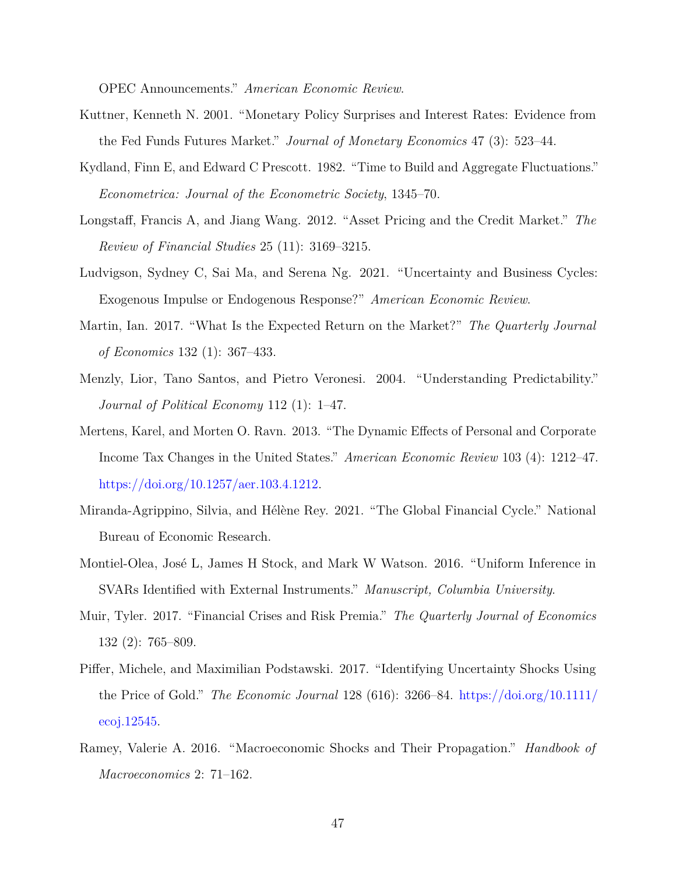OPEC Announcements." *American Economic Review*.

- <span id="page-46-1"></span>Kuttner, Kenneth N. 2001. "Monetary Policy Surprises and Interest Rates: Evidence from the Fed Funds Futures Market." *Journal of Monetary Economics* 47 (3): 523–44.
- <span id="page-46-10"></span>Kydland, Finn E, and Edward C Prescott. 1982. "Time to Build and Aggregate Fluctuations." *Econometrica: Journal of the Econometric Society*, 1345–70.
- <span id="page-46-3"></span>Longstaff, Francis A, and Jiang Wang. 2012. "Asset Pricing and the Credit Market." *The Review of Financial Studies* 25 (11): 3169–3215.
- <span id="page-46-2"></span>Ludvigson, Sydney C, Sai Ma, and Serena Ng. 2021. "Uncertainty and Business Cycles: Exogenous Impulse or Endogenous Response?" *American Economic Review*.
- <span id="page-46-6"></span>Martin, Ian. 2017. "What Is the Expected Return on the Market?" *The Quarterly Journal of Economics* 132 (1): 367–433.
- <span id="page-46-7"></span>Menzly, Lior, Tano Santos, and Pietro Veronesi. 2004. "Understanding Predictability." *Journal of Political Economy* 112 (1): 1–47.
- <span id="page-46-12"></span>Mertens, Karel, and Morten O. Ravn. 2013. "The Dynamic Effects of Personal and Corporate Income Tax Changes in the United States." *American Economic Review* 103 (4): 1212–47. [https://doi.org/10.1257/aer.103.4.1212.](https://doi.org/10.1257/aer.103.4.1212)
- <span id="page-46-4"></span>Miranda-Agrippino, Silvia, and Hélène Rey. 2021. "The Global Financial Cycle." National Bureau of Economic Research.
- <span id="page-46-8"></span>Montiel-Olea, José L, James H Stock, and Mark W Watson. 2016. "Uniform Inference in SVARs Identified with External Instruments." *Manuscript, Columbia University*.
- <span id="page-46-11"></span>Muir, Tyler. 2017. "Financial Crises and Risk Premia." *The Quarterly Journal of Economics* 132 (2): 765–809.
- <span id="page-46-0"></span>Piffer, Michele, and Maximilian Podstawski. 2017. "Identifying Uncertainty Shocks Using the Price of Gold." *The Economic Journal* 128 (616): 3266–84. [https://doi.org/10.1111/](https://doi.org/10.1111/ecoj.12545) [ecoj.12545.](https://doi.org/10.1111/ecoj.12545)
- <span id="page-46-9"></span><span id="page-46-5"></span>Ramey, Valerie A. 2016. "Macroeconomic Shocks and Their Propagation." *Handbook of Macroeconomics* 2: 71–162.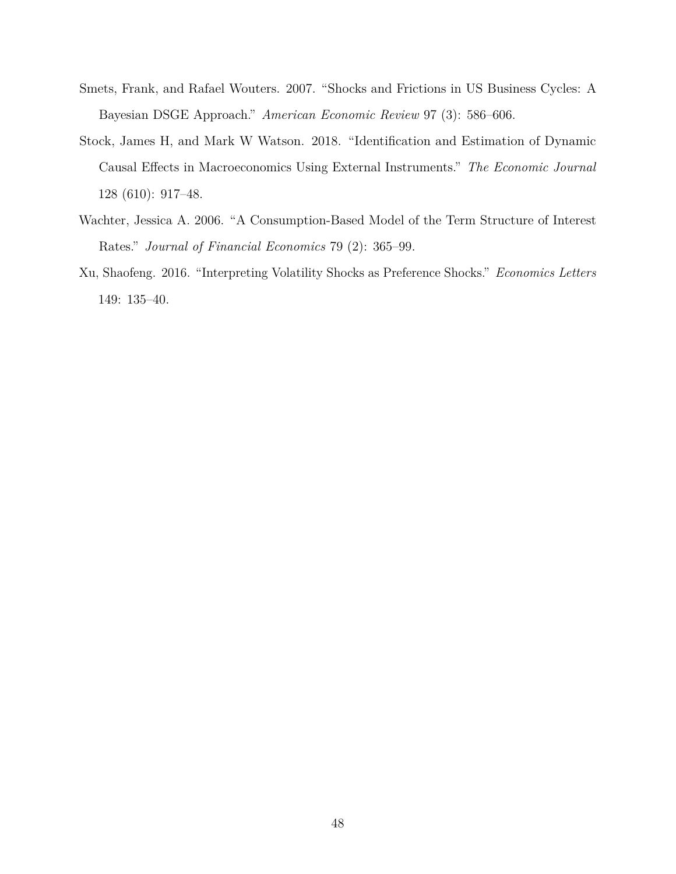- Smets, Frank, and Rafael Wouters. 2007. "Shocks and Frictions in US Business Cycles: A Bayesian DSGE Approach." *American Economic Review* 97 (3): 586–606.
- <span id="page-47-2"></span>Stock, James H, and Mark W Watson. 2018. "Identification and Estimation of Dynamic Causal Effects in Macroeconomics Using External Instruments." *The Economic Journal* 128 (610): 917–48.
- <span id="page-47-1"></span>Wachter, Jessica A. 2006. "A Consumption-Based Model of the Term Structure of Interest Rates." *Journal of Financial Economics* 79 (2): 365–99.
- <span id="page-47-0"></span>Xu, Shaofeng. 2016. "Interpreting Volatility Shocks as Preference Shocks." *Economics Letters* 149: 135–40.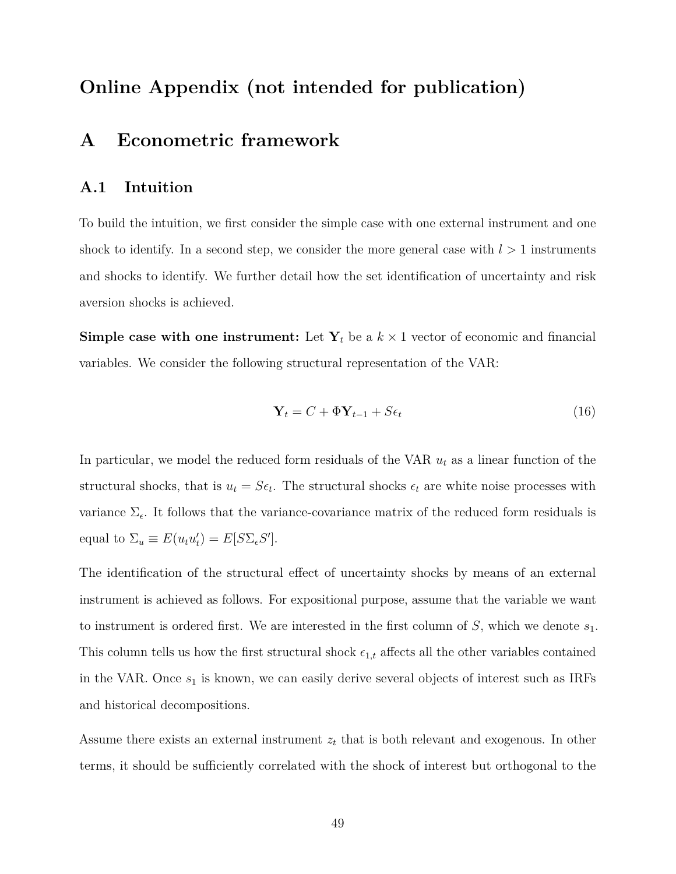# <span id="page-48-0"></span>**Online Appendix (not intended for publication)**

# **A Econometric framework**

# **A.1 Intuition**

To build the intuition, we first consider the simple case with one external instrument and one shock to identify. In a second step, we consider the more general case with  $l > 1$  instruments and shocks to identify. We further detail how the set identification of uncertainty and risk aversion shocks is achieved.

**Simple case with one instrument:** Let  $Y_t$  be a  $k \times 1$  vector of economic and financial variables. We consider the following structural representation of the VAR:

$$
\mathbf{Y}_t = C + \Phi \mathbf{Y}_{t-1} + S \epsilon_t \tag{16}
$$

In particular, we model the reduced form residuals of the VAR *u<sup>t</sup>* as a linear function of the structural shocks, that is  $u_t = S\epsilon_t$ . The structural shocks  $\epsilon_t$  are white noise processes with variance  $\Sigma_{\epsilon}$ . It follows that the variance-covariance matrix of the reduced form residuals is equal to  $\Sigma_u \equiv E(u_t u'_t) = E[S \Sigma_{\epsilon} S']$ .

The identification of the structural effect of uncertainty shocks by means of an external instrument is achieved as follows. For expositional purpose, assume that the variable we want to instrument is ordered first. We are interested in the first column of *S*, which we denote *s*1. This column tells us how the first structural shock  $\epsilon_{1,t}$  affects all the other variables contained in the VAR. Once  $s_1$  is known, we can easily derive several objects of interest such as IRFs and historical decompositions.

Assume there exists an external instrument  $z_t$  that is both relevant and exogenous. In other terms, it should be sufficiently correlated with the shock of interest but orthogonal to the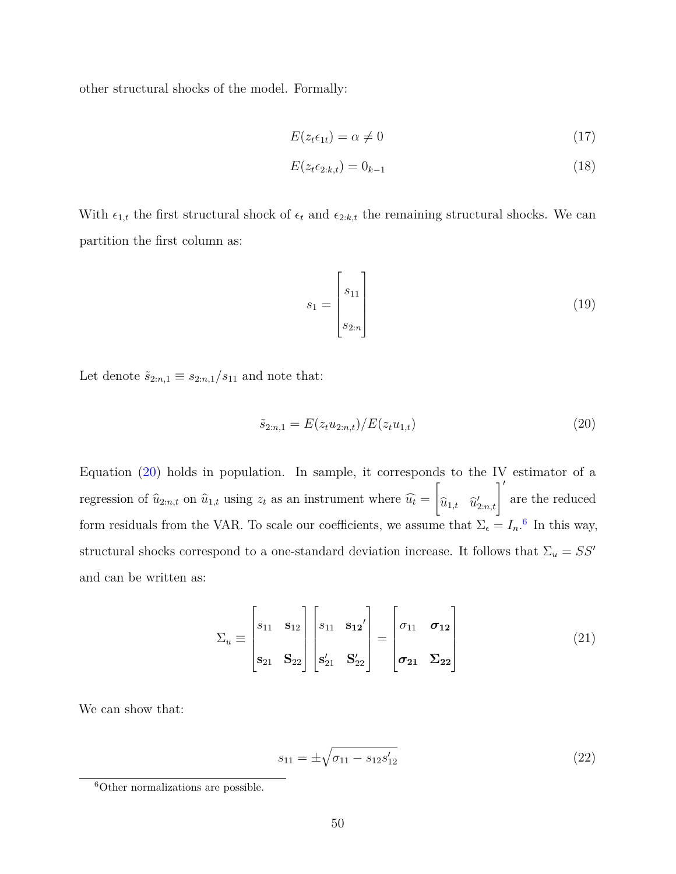other structural shocks of the model. Formally:

<span id="page-49-3"></span><span id="page-49-2"></span>
$$
E(z_t \epsilon_{1t}) = \alpha \neq 0 \tag{17}
$$

$$
E(z_t \epsilon_{2:k,t}) = 0_{k-1} \tag{18}
$$

With  $\epsilon_{1,t}$  the first structural shock of  $\epsilon_t$  and  $\epsilon_{2:k,t}$  the remaining structural shocks. We can partition the first column as:

<span id="page-49-0"></span>
$$
s_1 = \begin{bmatrix} s_{11} \\ s_{2:n} \end{bmatrix} \tag{19}
$$

Let denote  $\tilde{s}_{2:n,1} \equiv s_{2:n,1}/s_{11}$  and note that:

$$
\tilde{s}_{2:n,1} = E(z_t u_{2:n,t}) / E(z_t u_{1,t})
$$
\n(20)

Equation [\(20\)](#page-49-0) holds in population. In sample, it corresponds to the IV estimator of a regression of  $\hat{u}_{2:n,t}$  on  $\hat{u}_{1,t}$  using  $z_t$  as an instrument where  $\hat{u}_t =$  $\sqrt{ }$  $\widehat{u}_{1,t}$  *u*<sub>2:*n*,*t*</sub> $\left| \int_{0}^{t} \right|$  are the reduced form residuals from the VAR. To scale our coefficients, we assume that  $\Sigma_{\epsilon} = I_n$ .<sup>[6](#page-0-0)</sup> In this way, structural shocks correspond to a one-standard deviation increase. It follows that  $\Sigma_u = SS'$ and can be written as:

$$
\Sigma_u \equiv \begin{bmatrix} s_{11} & \mathbf{s}_{12} \\ s_{21} & \mathbf{s}_{22} \end{bmatrix} \begin{bmatrix} s_{11} & \mathbf{s}_{12}' \\ s'_{21} & \mathbf{s}'_{22} \end{bmatrix} = \begin{bmatrix} \sigma_{11} & \sigma_{12} \\ \sigma_{21} & \Sigma_{22} \end{bmatrix} \tag{21}
$$

We can show that:

<span id="page-49-1"></span>
$$
s_{11} = \pm \sqrt{\sigma_{11} - s_{12} s'_{12}} \tag{22}
$$

<sup>6</sup>Other normalizations are possible.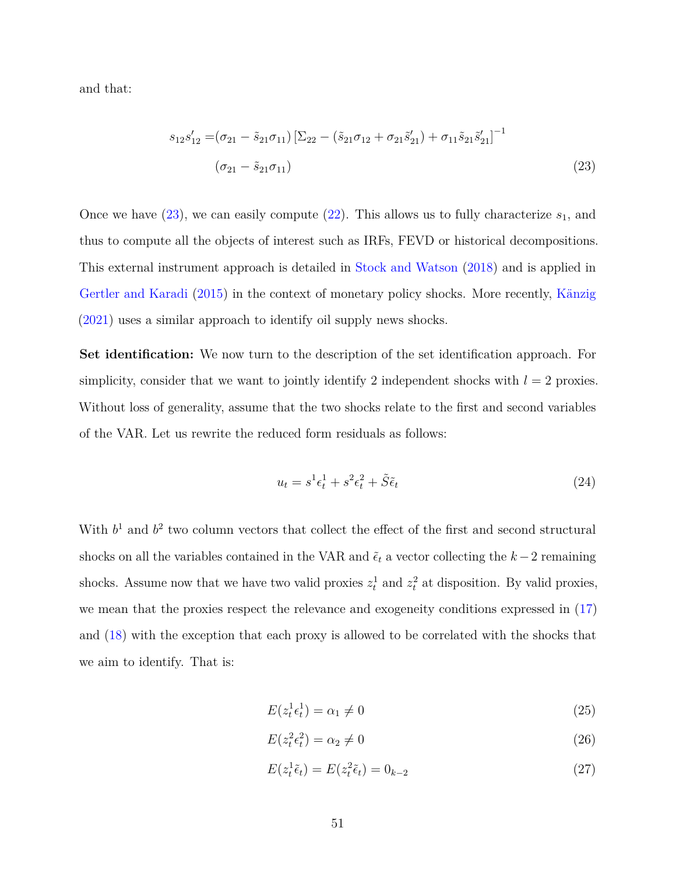and that:

<span id="page-50-0"></span>
$$
s_{12}s'_{12} = (\sigma_{21} - \tilde{s}_{21}\sigma_{11}) \left[ \Sigma_{22} - (\tilde{s}_{21}\sigma_{12} + \sigma_{21}\tilde{s}'_{21}) + \sigma_{11}\tilde{s}_{21}\tilde{s}'_{21} \right]^{-1}
$$
  

$$
(\sigma_{21} - \tilde{s}_{21}\sigma_{11})
$$
 (23)

Once we have  $(23)$ , we can easily compute  $(22)$ . This allows us to fully characterize  $s<sub>1</sub>$ , and thus to compute all the objects of interest such as IRFs, FEVD or historical decompositions. This external instrument approach is detailed in [Stock and Watson](#page-47-2) [\(2018\)](#page-47-2) and is applied in [Gertler and Karadi](#page-44-3) [\(2015\)](#page-44-3) in the context of monetary policy shocks. More recently, [Känzig](#page-45-5) [\(2021\)](#page-45-5) uses a similar approach to identify oil supply news shocks.

**Set identification:** We now turn to the description of the set identification approach. For simplicity, consider that we want to jointly identify 2 independent shocks with  $l = 2$  proxies. Without loss of generality, assume that the two shocks relate to the first and second variables of the VAR. Let us rewrite the reduced form residuals as follows:

$$
u_t = s^1 \epsilon_t^1 + s^2 \epsilon_t^2 + \tilde{S}\tilde{\epsilon}_t \tag{24}
$$

With  $b<sup>1</sup>$  and  $b<sup>2</sup>$  two column vectors that collect the effect of the first and second structural shocks on all the variables contained in the VAR and  $\tilde{\epsilon}_t$  a vector collecting the  $k-2$  remaining shocks. Assume now that we have two valid proxies  $z_t^1$  and  $z_t^2$  at disposition. By valid proxies, we mean that the proxies respect the relevance and exogeneity conditions expressed in [\(17\)](#page-49-2) and [\(18\)](#page-49-3) with the exception that each proxy is allowed to be correlated with the shocks that we aim to identify. That is:

$$
E(z_t^1 \epsilon_t^1) = \alpha_1 \neq 0 \tag{25}
$$

$$
E(z_t^2 \epsilon_t^2) = \alpha_2 \neq 0 \tag{26}
$$

$$
E(z_t^1 \tilde{\epsilon}_t) = E(z_t^2 \tilde{\epsilon}_t) = 0_{k-2}
$$
\n
$$
(27)
$$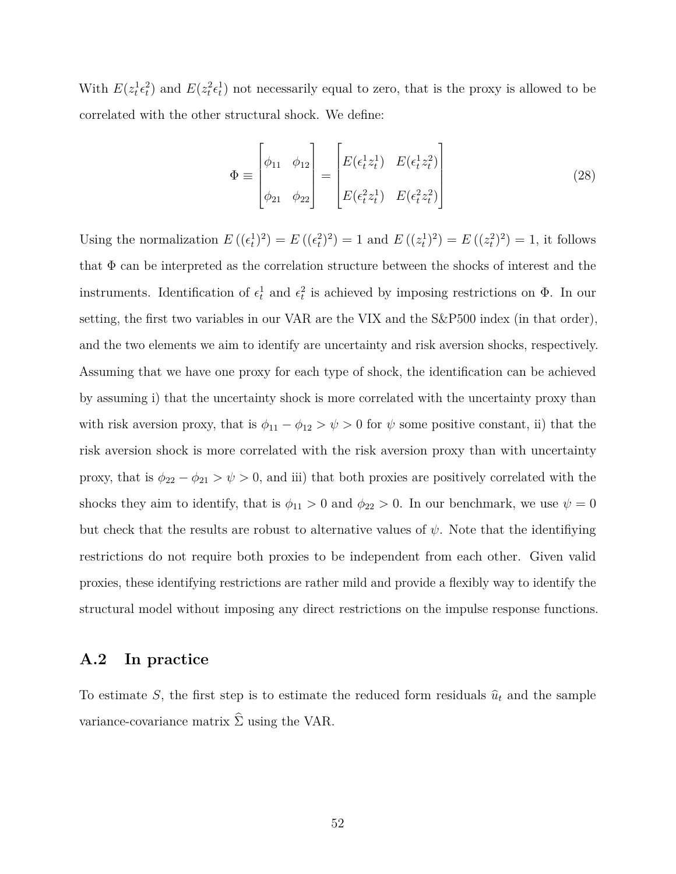With  $E(z_t^1 \epsilon_t^2)$  and  $E(z_t^2 \epsilon_t^1)$  not necessarily equal to zero, that is the proxy is allowed to be correlated with the other structural shock. We define:

$$
\Phi \equiv \begin{bmatrix} \phi_{11} & \phi_{12} \\ \phi_{21} & \phi_{22} \end{bmatrix} = \begin{bmatrix} E(\epsilon_t^1 z_t^1) & E(\epsilon_t^1 z_t^2) \\ E(\epsilon_t^2 z_t^1) & E(\epsilon_t^2 z_t^2) \end{bmatrix}
$$
\n(28)

Using the normalization  $E((\epsilon_t^1)^2) = E((\epsilon_t^2)^2) = 1$  and  $E((z_t^1)^2) = E((z_t^2)^2) = 1$ , it follows that  $\Phi$  can be interpreted as the correlation structure between the shocks of interest and the instruments. Identification of  $\epsilon_t^1$  and  $\epsilon_t^2$  is achieved by imposing restrictions on  $\Phi$ . In our setting, the first two variables in our VAR are the VIX and the S&P500 index (in that order), and the two elements we aim to identify are uncertainty and risk aversion shocks, respectively. Assuming that we have one proxy for each type of shock, the identification can be achieved by assuming i) that the uncertainty shock is more correlated with the uncertainty proxy than with risk aversion proxy, that is  $\phi_{11} - \phi_{12} > \psi > 0$  for  $\psi$  some positive constant, ii) that the risk aversion shock is more correlated with the risk aversion proxy than with uncertainty proxy, that is  $\phi_{22} - \phi_{21} > \psi > 0$ , and iii) that both proxies are positively correlated with the shocks they aim to identify, that is  $\phi_{11} > 0$  and  $\phi_{22} > 0$ . In our benchmark, we use  $\psi = 0$ but check that the results are robust to alternative values of  $\psi$ . Note that the identifiying restrictions do not require both proxies to be independent from each other. Given valid proxies, these identifying restrictions are rather mild and provide a flexibly way to identify the structural model without imposing any direct restrictions on the impulse response functions.

### **A.2 In practice**

To estimate *S*, the first step is to estimate the reduced form residuals  $\hat{u}_t$  and the sample variance-covariance matrix  $\hat{\Sigma}$  using the VAR.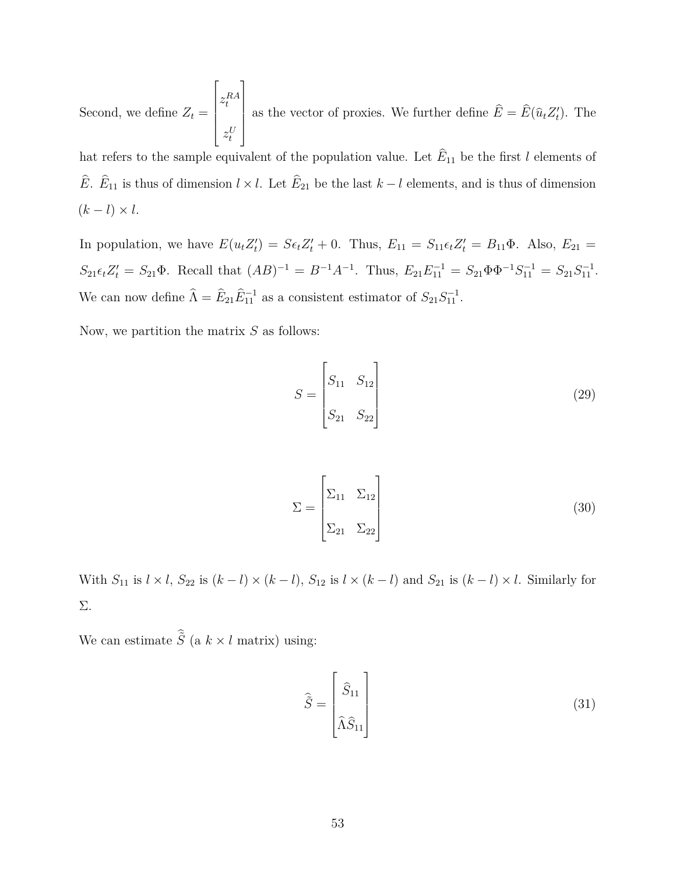Second, we define  $Z_t =$  $\lceil$   $z_t^{RA}$  $z_t^U$ 1 as the vector of proxies. We further define  $\hat{E} = \hat{E}(\hat{u}_t Z_t')$ . The

hat refers to the sample equivalent of the population value. Let  $E_{11}$  be the first *l* elements of *E*. *E*<sub>11</sub> is thus of dimension  $l \times l$ . Let *E*<sub>21</sub> be the last *k* − *l* elements, and is thus of dimension  $(k-l)\times l$ .

In population, we have  $E(u_t Z_t') = S \epsilon_t Z_t' + 0$ . Thus,  $E_{11} = S_{11} \epsilon_t Z_t' = B_{11} \Phi$ . Also,  $E_{21} =$  $S_{21} \epsilon_t Z'_t = S_{21} \Phi$ . Recall that  $(AB)^{-1} = B^{-1}A^{-1}$ . Thus,  $E_{21} E_{11}^{-1} = S_{21} \Phi \Phi^{-1} S_{11}^{-1} = S_{21} S_{11}^{-1}$ . We can now define  $\hat{\Lambda} = \hat{E}_{21} \hat{E}_{11}^{-1}$  as a consistent estimator of  $S_{21} S_{11}^{-1}$ .

Now, we partition the matrix *S* as follows:

$$
S = \begin{bmatrix} S_{11} & S_{12} \\ S_{21} & S_{22} \end{bmatrix} \tag{29}
$$

$$
\Sigma = \begin{bmatrix} \Sigma_{11} & \Sigma_{12} \\ \Sigma_{21} & \Sigma_{22} \end{bmatrix}
$$
 (30)

With  $S_{11}$  is  $l \times l$ ,  $S_{22}$  is  $(k-l) \times (k-l)$ ,  $S_{12}$  is  $l \times (k-l)$  and  $S_{21}$  is  $(k-l) \times l$ . Similarly for Σ.

We can estimate  $\hat{\tilde{S}}$  (a  $k \times l$  matrix) using:

$$
\hat{\tilde{S}} = \begin{bmatrix} \hat{S}_{11} \\ \hat{\Lambda} \hat{S}_{11} \end{bmatrix}
$$
\n(31)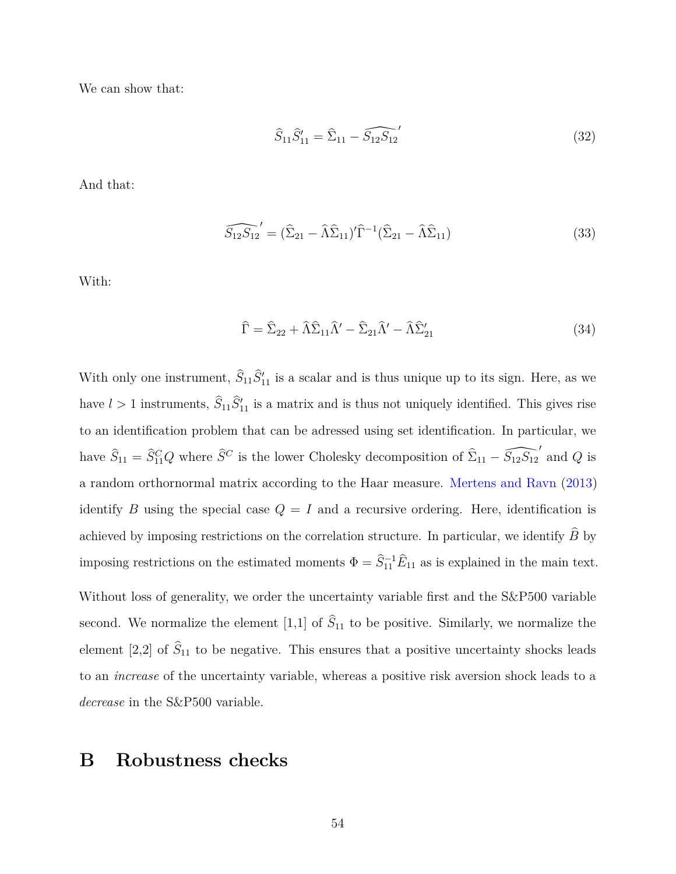We can show that:

$$
\widehat{S}_{11}\widehat{S}_{11}' = \widehat{\Sigma}_{11} - \widehat{S_{12}S_{12}}'
$$
\n(32)

And that:

$$
\widehat{S_{12}S_{12}}' = (\widehat{\Sigma}_{21} - \widehat{\Lambda}\widehat{\Sigma}_{11})'\widehat{\Gamma}^{-1}(\widehat{\Sigma}_{21} - \widehat{\Lambda}\widehat{\Sigma}_{11})
$$
\n(33)

With:

$$
\widehat{\Gamma} = \widehat{\Sigma}_{22} + \widehat{\Lambda}\widehat{\Sigma}_{11}\widehat{\Lambda}' - \widehat{\Sigma}_{21}\widehat{\Lambda}' - \widehat{\Lambda}\widehat{\Sigma}'_{21}
$$
\n(34)

With only one instrument,  $\hat{S}_{11}\hat{S}_{11}'$  is a scalar and is thus unique up to its sign. Here, as we have  $l > 1$  instruments,  $\hat{S}_{11} \hat{S}_{11}'$  is a matrix and is thus not uniquely identified. This gives rise to an identification problem that can be adressed using set identification. In particular, we have  $\hat{S}_{11} = \hat{S}_{11}^C Q$  where  $\hat{S}^C$  is the lower Cholesky decomposition of  $\hat{\Sigma}_{11} - \hat{S}_{12}S_{12}$ <sup>'</sup> and *Q* is a random orthornormal matrix according to the Haar measure. [Mertens and Ravn](#page-46-12) [\(2013\)](#page-46-12) identify *B* using the special case  $Q = I$  and a recursive ordering. Here, identification is achieved by imposing restrictions on the correlation structure. In particular, we identify  $\hat{B}$  by imposing restrictions on the estimated moments  $\Phi = \hat{S}_{11}^{-1} \hat{E}_{11}$  as is explained in the main text. Without loss of generality, we order the uncertainty variable first and the  $S\&P500$  variable second. We normalize the element [1,1] of  $\hat{S}_{11}$  to be positive. Similarly, we normalize the

element [2,2] of  $\widehat{S}_{11}$  to be negative. This ensures that a positive uncertainty shocks leads to an *increase* of the uncertainty variable, whereas a positive risk aversion shock leads to a *decrease* in the S&P500 variable.

# **B Robustness checks**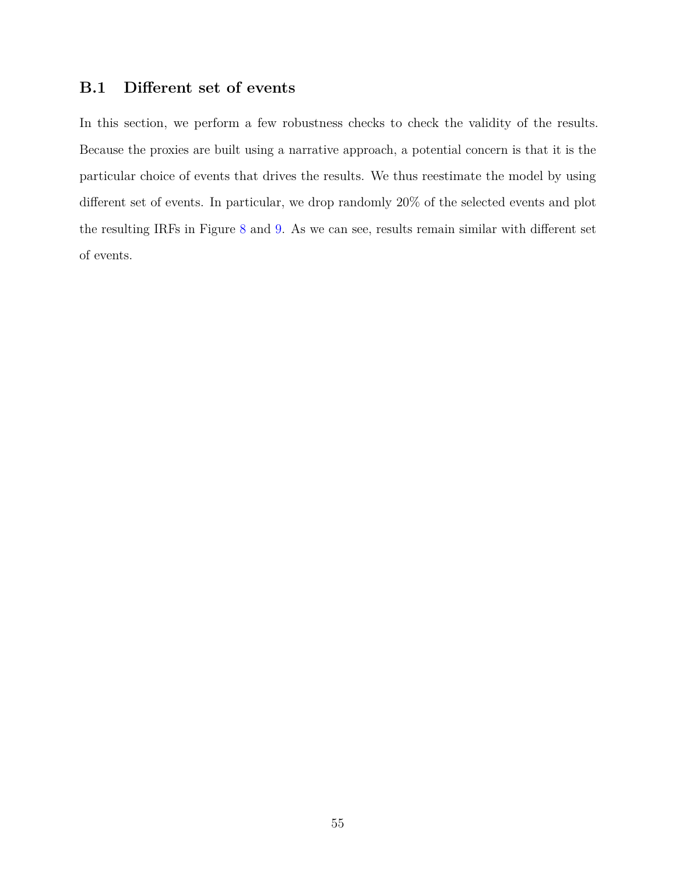# **B.1 Different set of events**

In this section, we perform a few robustness checks to check the validity of the results. Because the proxies are built using a narrative approach, a potential concern is that it is the particular choice of events that drives the results. We thus reestimate the model by using different set of events. In particular, we drop randomly 20% of the selected events and plot the resulting IRFs in Figure [8](#page-55-0) and [9.](#page-56-0) As we can see, results remain similar with different set of events.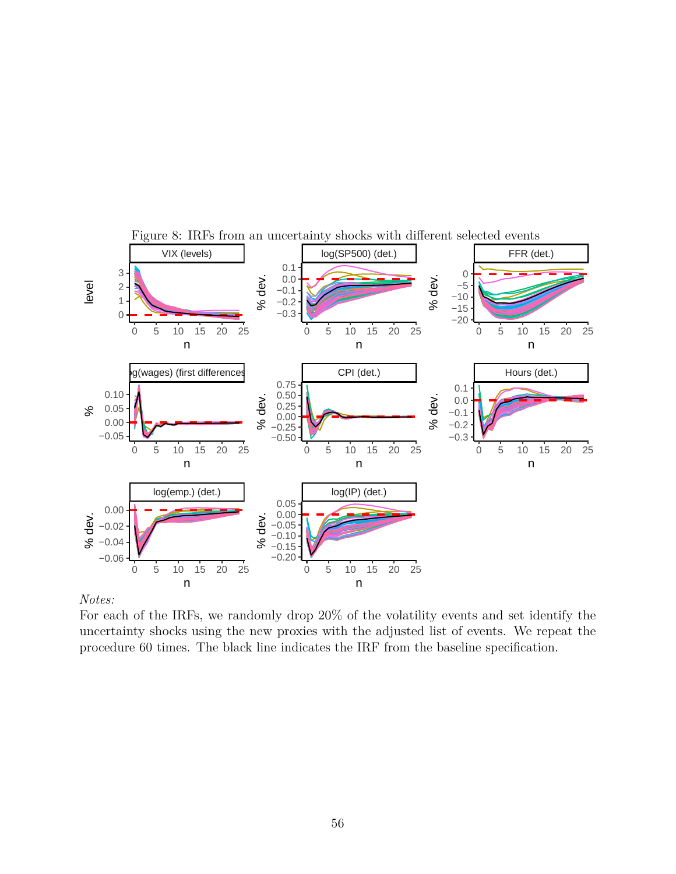<span id="page-55-0"></span>

Figure 8: IRFs from an uncertainty shocks with different selected events

#### *Notes:*

For each of the IRFs, we randomly drop 20% of the volatility events and set identify the uncertainty shocks using the new proxies with the adjusted list of events. We repeat the procedure 60 times. The black line indicates the IRF from the baseline specification.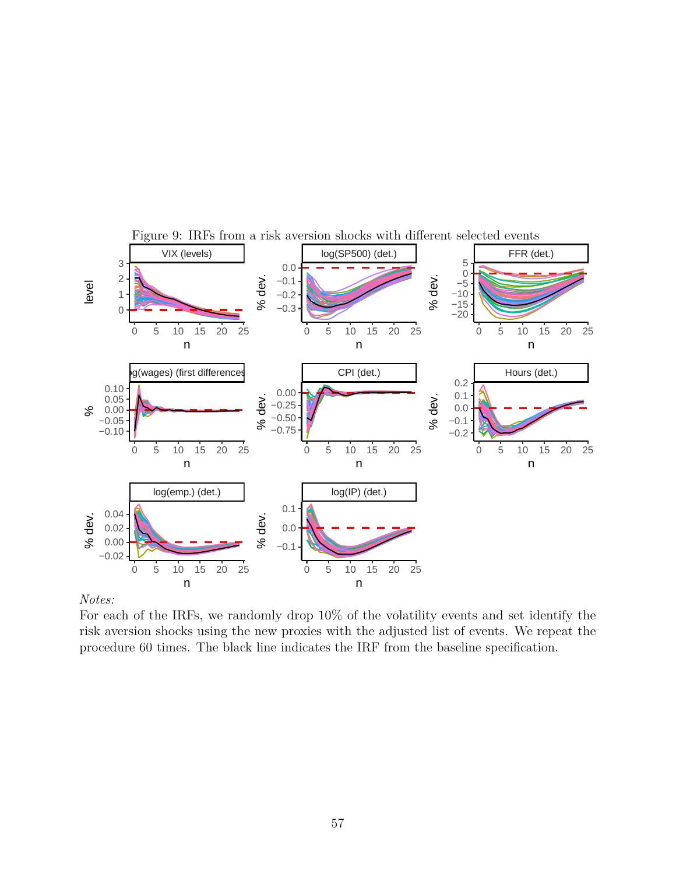<span id="page-56-0"></span>

### Figure 9: IRFs from a risk aversion shocks with different selected events

### *Notes:*

For each of the IRFs, we randomly drop 10% of the volatility events and set identify the risk aversion shocks using the new proxies with the adjusted list of events. We repeat the procedure 60 times. The black line indicates the IRF from the baseline specification.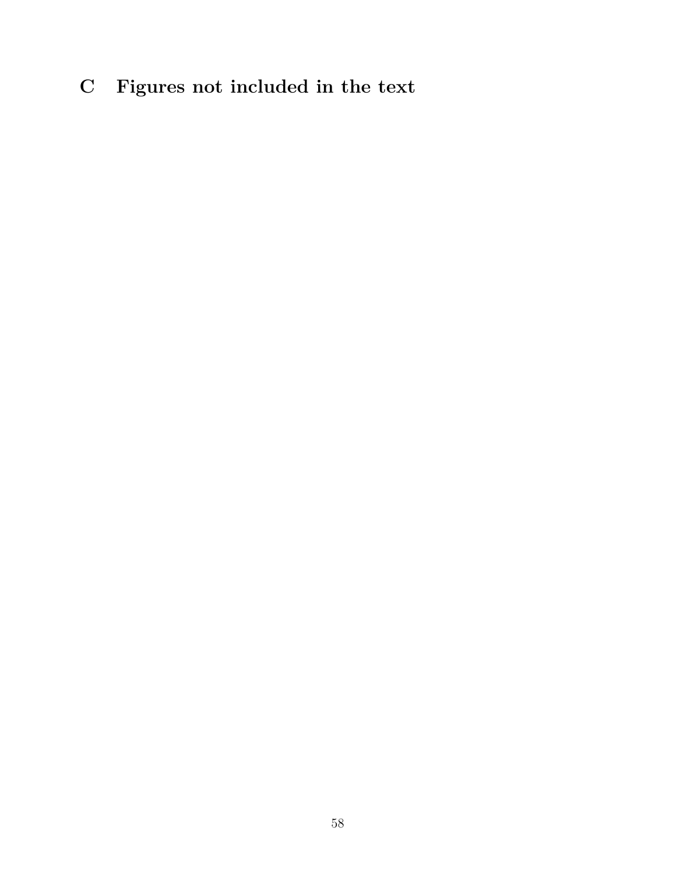# **C Figures not included in the text**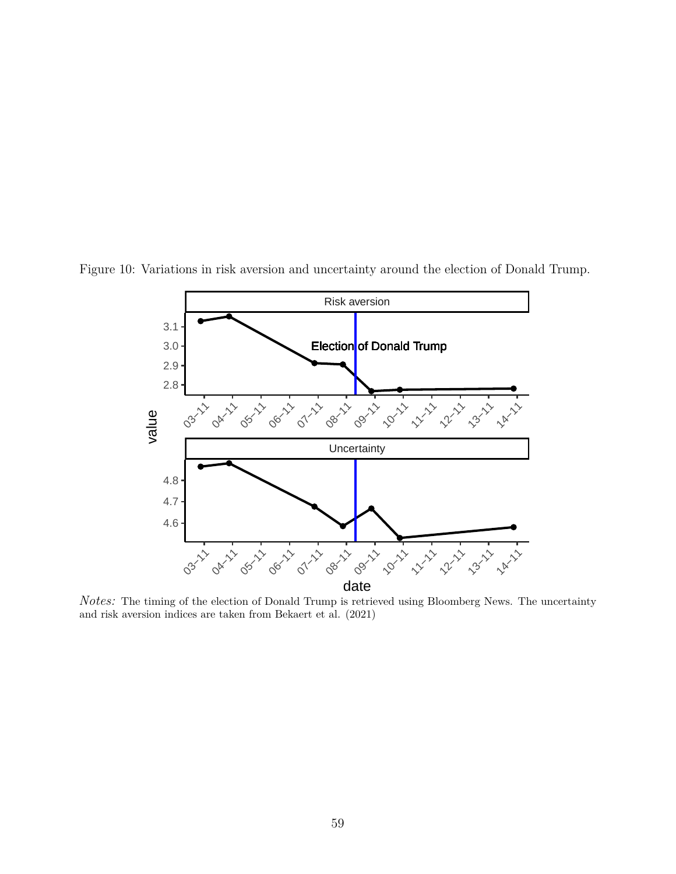

<span id="page-58-0"></span>Figure 10: Variations in risk aversion and uncertainty around the election of Donald Trump.

*Notes:* The timing of the election of Donald Trump is retrieved using Bloomberg News. The uncertainty and risk aversion indices are taken from Bekaert et al. (2021)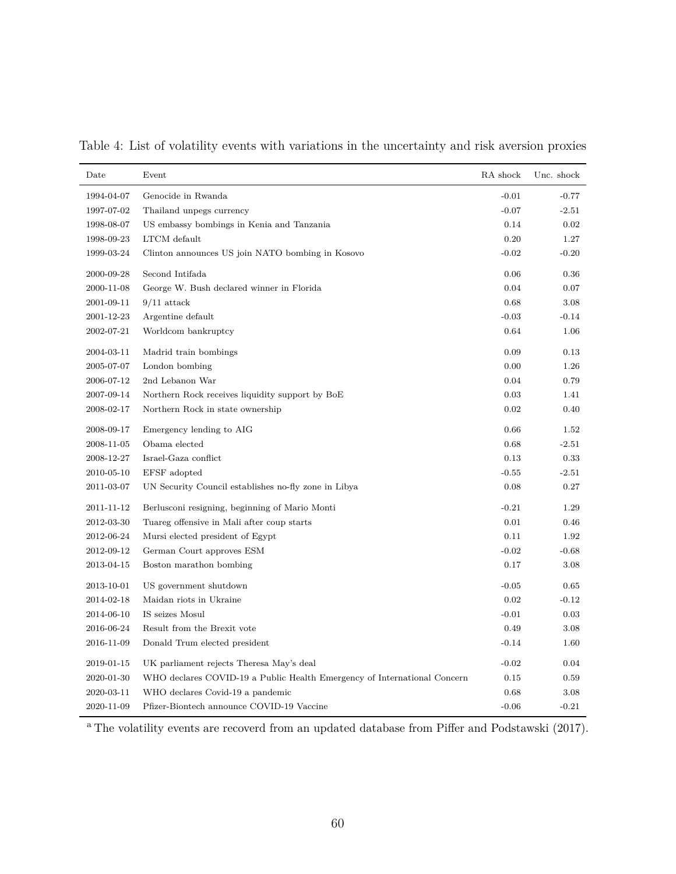| Date       | Event                                                                    | RA shock | Unc. shock |
|------------|--------------------------------------------------------------------------|----------|------------|
| 1994-04-07 | Genocide in Rwanda                                                       | $-0.01$  | $-0.77$    |
| 1997-07-02 | Thailand unpegs currency                                                 | $-0.07$  | $-2.51$    |
| 1998-08-07 | US embassy bombings in Kenia and Tanzania                                | 0.14     | 0.02       |
| 1998-09-23 | LTCM default                                                             | 0.20     | 1.27       |
| 1999-03-24 | Clinton announces US join NATO bombing in Kosovo                         | $-0.02$  | $-0.20$    |
| 2000-09-28 | Second Intifada                                                          | 0.06     | 0.36       |
| 2000-11-08 | George W. Bush declared winner in Florida                                | 0.04     | 0.07       |
| 2001-09-11 | $9/11$ attack                                                            | 0.68     | 3.08       |
| 2001-12-23 | Argentine default                                                        | $-0.03$  | $-0.14$    |
| 2002-07-21 | Worldcom bankruptcy                                                      | 0.64     | 1.06       |
| 2004-03-11 | Madrid train bombings                                                    | 0.09     | 0.13       |
| 2005-07-07 | London bombing                                                           | 0.00     | 1.26       |
| 2006-07-12 | 2nd Lebanon War                                                          | 0.04     | 0.79       |
| 2007-09-14 | Northern Rock receives liquidity support by BoE                          | 0.03     | 1.41       |
| 2008-02-17 | Northern Rock in state ownership                                         | 0.02     | 0.40       |
| 2008-09-17 | Emergency lending to AIG                                                 | 0.66     | 1.52       |
| 2008-11-05 | Obama elected                                                            | 0.68     | $-2.51$    |
| 2008-12-27 | Israel-Gaza conflict                                                     | 0.13     | 0.33       |
| 2010-05-10 | EFSF adopted                                                             | $-0.55$  | $-2.51$    |
| 2011-03-07 | UN Security Council establishes no-fly zone in Libya                     | 0.08     | 0.27       |
| 2011-11-12 | Berlusconi resigning, beginning of Mario Monti                           | $-0.21$  | 1.29       |
| 2012-03-30 | Tuareg offensive in Mali after coup starts                               | 0.01     | 0.46       |
| 2012-06-24 | Mursi elected president of Egypt                                         | 0.11     | 1.92       |
| 2012-09-12 | German Court approves ESM                                                | $-0.02$  | $-0.68$    |
| 2013-04-15 | Boston marathon bombing                                                  | 0.17     | 3.08       |
| 2013-10-01 | US government shutdown                                                   | $-0.05$  | 0.65       |
| 2014-02-18 | Maidan riots in Ukraine                                                  | 0.02     | $-0.12$    |
| 2014-06-10 | IS seizes Mosul                                                          | $-0.01$  | 0.03       |
| 2016-06-24 | Result from the Brexit vote                                              | 0.49     | 3.08       |
| 2016-11-09 | Donald Trum elected president                                            | $-0.14$  | 1.60       |
| 2019-01-15 | UK parliament rejects Theresa May's deal                                 | $-0.02$  | 0.04       |
| 2020-01-30 | WHO declares COVID-19 a Public Health Emergency of International Concern | 0.15     | 0.59       |
| 2020-03-11 | WHO declares Covid-19 a pandemic                                         | 0.68     | 3.08       |
| 2020-11-09 | Pfizer-Biontech announce COVID-19 Vaccine                                | $-0.06$  | $-0.21$    |

<span id="page-59-0"></span>Table 4: List of volatility events with variations in the uncertainty and risk aversion proxies

<sup>a</sup> The volatility events are recoverd from an updated database from Piffer and Podstawski (2017).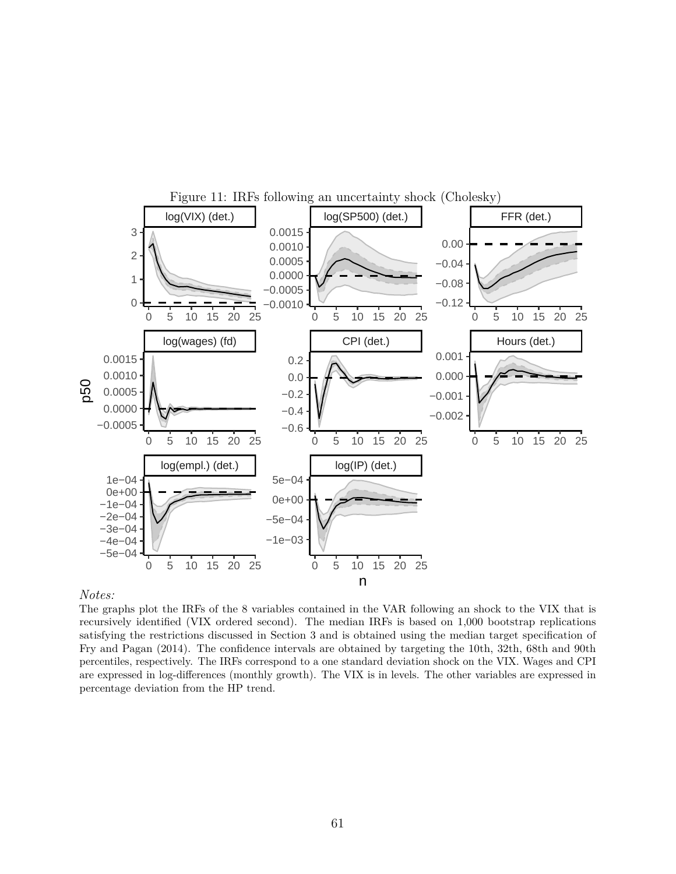<span id="page-60-0"></span>

#### *Notes:*

The graphs plot the IRFs of the 8 variables contained in the VAR following an shock to the VIX that is recursively identified (VIX ordered second). The median IRFs is based on 1,000 bootstrap replications satisfying the restrictions discussed in Section 3 and is obtained using the median target specification of Fry and Pagan (2014). The confidence intervals are obtained by targeting the 10th, 32th, 68th and 90th percentiles, respectively. The IRFs correspond to a one standard deviation shock on the VIX. Wages and CPI are expressed in log-differences (monthly growth). The VIX is in levels. The other variables are expressed in percentage deviation from the HP trend.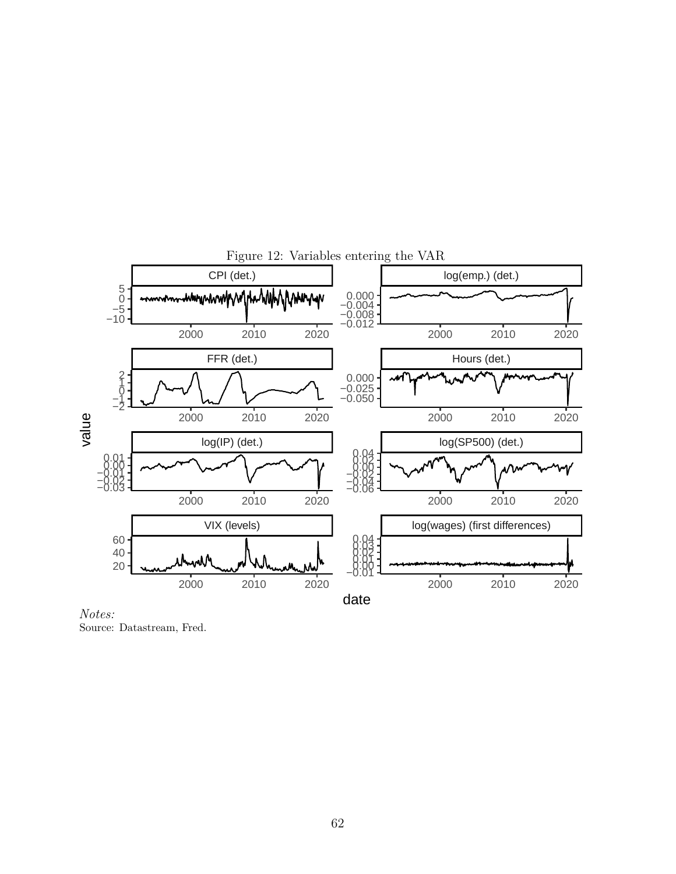<span id="page-61-0"></span>

*Notes:* Source: Datastream, Fred.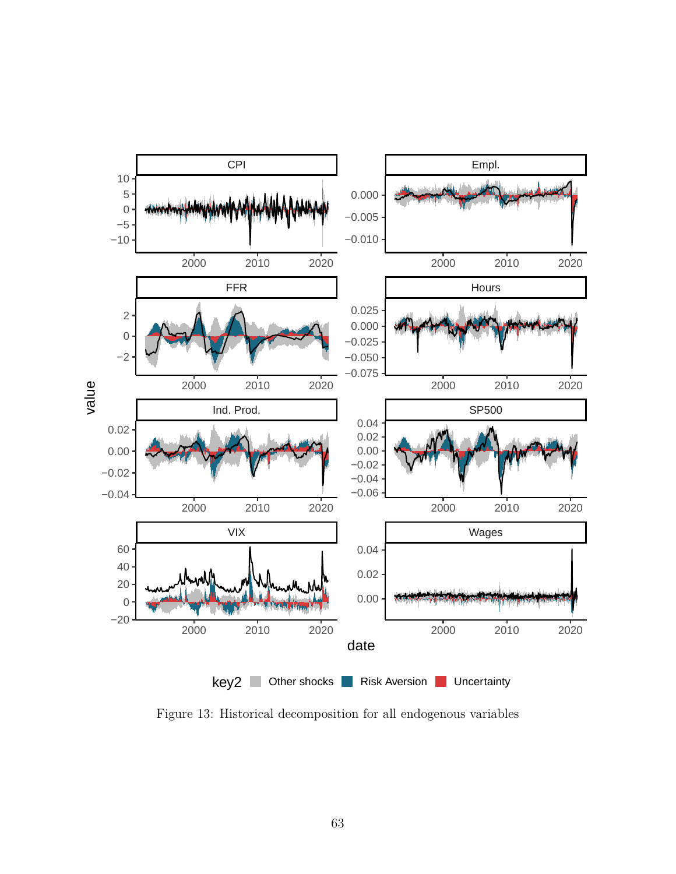

<span id="page-62-0"></span>Figure 13: Historical decomposition for all endogenous variables